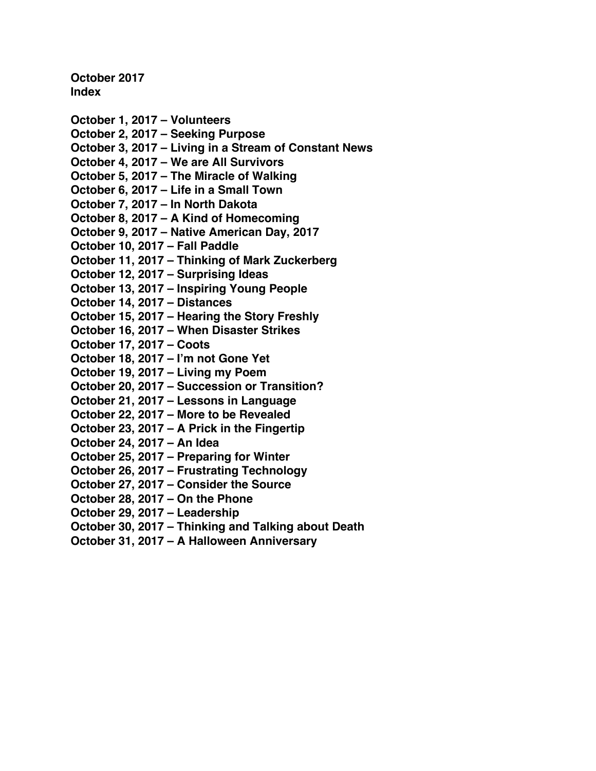**October 2017 Index**

- **[October 1, 2017 –](#page-1-0) Volunteers [October 2, 2017 –](#page-3-0) Seeking Purpose October 3, 2017 – [Living in a Stream of Constant News](#page-5-0) October 4, 2017 – [We are All Survivors](#page-7-0) October 5, 2017 – [The Miracle of Walking](#page-9-0) October 6, 2017 – [Life in a Small Town](#page-11-0) [October 7, 2017 –](#page-13-0) In North Dakota October 8, 2017 – [A Kind of Homecoming](#page-16-0) October 9, 2017 – [Native American Day, 2017](#page-18-0) [October 10, 2017 –](#page-20-0) Fall Paddle October 11, 2017 – [Thinking of Mark Zuckerberg](#page-22-0) [October 12, 2017 –](#page-25-0) Surprising Ideas October 13, 2017 – [Inspiring Young People](#page-27-0) [October 14, 2017 –](#page-29-0) Distances October 15, 2017 – [Hearing the Story Freshly](#page-31-0) October 16, 2017 – [When Disaster Strikes](#page-33-0) [October 17, 2017 –](#page-35-0) Coots [October 18, 2017 –](#page-38-0) I'm not Gone Yet [October 19, 2017 –](#page-40-0) Living my Poem October 20, 2017 – [Succession or Transition?](#page-43-0) October 21, 2017 – [Lessons in Language](#page-45-0) October 22, 2017 – [More to be Revealed](#page-47-0) October 23, 2017 – [A Prick in the Fingertip](#page-49-0) [October 24, 2017 –](#page-51-0) An Idea October 25, 2017 – [Preparing for Winter](#page-53-0) October 26, 2017 – [Frustrating Technology](#page-55-0) October 27, 2017 – [Consider the Source](#page-57-0) [October 28, 2017 –](#page-59-0) On the Phone [October 29, 2017 –](#page-61-0) Leadership October 30, 2017 – [Thinking and Talking about Death](#page-63-0)**
- **October 31, 2017 – [A Halloween Anniversary](#page-65-0)**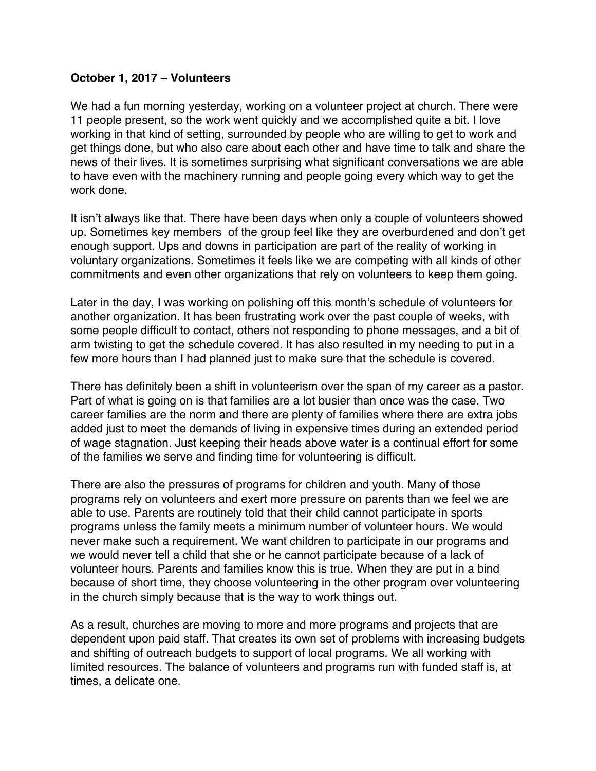#### <span id="page-1-0"></span>**October 1, 2017 – Volunteers**

We had a fun morning yesterday, working on a volunteer project at church. There were 11 people present, so the work went quickly and we accomplished quite a bit. I love working in that kind of setting, surrounded by people who are willing to get to work and get things done, but who also care about each other and have time to talk and share the news of their lives. It is sometimes surprising what significant conversations we are able to have even with the machinery running and people going every which way to get the work done.

It isn't always like that. There have been days when only a couple of volunteers showed up. Sometimes key members of the group feel like they are overburdened and don't get enough support. Ups and downs in participation are part of the reality of working in voluntary organizations. Sometimes it feels like we are competing with all kinds of other commitments and even other organizations that rely on volunteers to keep them going.

Later in the day, I was working on polishing off this month's schedule of volunteers for another organization. It has been frustrating work over the past couple of weeks, with some people difficult to contact, others not responding to phone messages, and a bit of arm twisting to get the schedule covered. It has also resulted in my needing to put in a few more hours than I had planned just to make sure that the schedule is covered.

There has definitely been a shift in volunteerism over the span of my career as a pastor. Part of what is going on is that families are a lot busier than once was the case. Two career families are the norm and there are plenty of families where there are extra jobs added just to meet the demands of living in expensive times during an extended period of wage stagnation. Just keeping their heads above water is a continual effort for some of the families we serve and finding time for volunteering is difficult.

There are also the pressures of programs for children and youth. Many of those programs rely on volunteers and exert more pressure on parents than we feel we are able to use. Parents are routinely told that their child cannot participate in sports programs unless the family meets a minimum number of volunteer hours. We would never make such a requirement. We want children to participate in our programs and we would never tell a child that she or he cannot participate because of a lack of volunteer hours. Parents and families know this is true. When they are put in a bind because of short time, they choose volunteering in the other program over volunteering in the church simply because that is the way to work things out.

As a result, churches are moving to more and more programs and projects that are dependent upon paid staff. That creates its own set of problems with increasing budgets and shifting of outreach budgets to support of local programs. We all working with limited resources. The balance of volunteers and programs run with funded staff is, at times, a delicate one.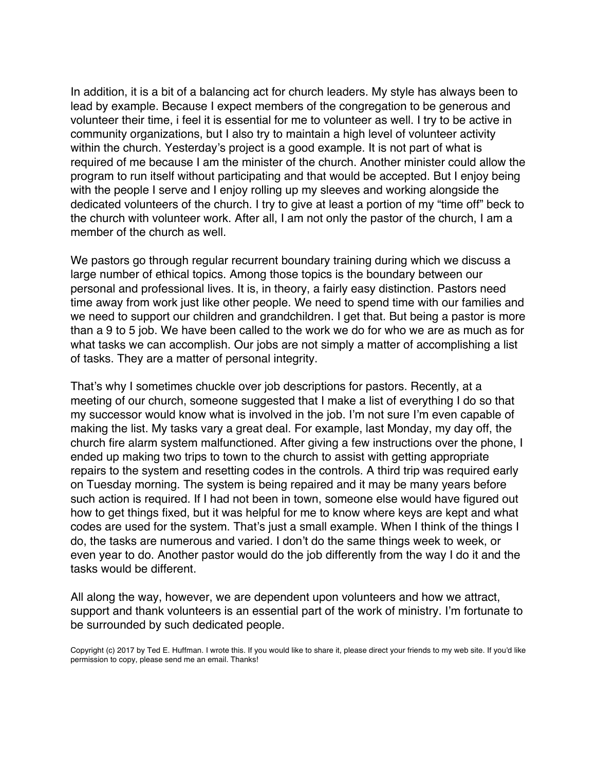In addition, it is a bit of a balancing act for church leaders. My style has always been to lead by example. Because I expect members of the congregation to be generous and volunteer their time, i feel it is essential for me to volunteer as well. I try to be active in community organizations, but I also try to maintain a high level of volunteer activity within the church. Yesterday's project is a good example. It is not part of what is required of me because I am the minister of the church. Another minister could allow the program to run itself without participating and that would be accepted. But I enjoy being with the people I serve and I enjoy rolling up my sleeves and working alongside the dedicated volunteers of the church. I try to give at least a portion of my "time off" beck to the church with volunteer work. After all, I am not only the pastor of the church, I am a member of the church as well.

We pastors go through regular recurrent boundary training during which we discuss a large number of ethical topics. Among those topics is the boundary between our personal and professional lives. It is, in theory, a fairly easy distinction. Pastors need time away from work just like other people. We need to spend time with our families and we need to support our children and grandchildren. I get that. But being a pastor is more than a 9 to 5 job. We have been called to the work we do for who we are as much as for what tasks we can accomplish. Our jobs are not simply a matter of accomplishing a list of tasks. They are a matter of personal integrity.

That's why I sometimes chuckle over job descriptions for pastors. Recently, at a meeting of our church, someone suggested that I make a list of everything I do so that my successor would know what is involved in the job. I'm not sure I'm even capable of making the list. My tasks vary a great deal. For example, last Monday, my day off, the church fire alarm system malfunctioned. After giving a few instructions over the phone, I ended up making two trips to town to the church to assist with getting appropriate repairs to the system and resetting codes in the controls. A third trip was required early on Tuesday morning. The system is being repaired and it may be many years before such action is required. If I had not been in town, someone else would have figured out how to get things fixed, but it was helpful for me to know where keys are kept and what codes are used for the system. That's just a small example. When I think of the things I do, the tasks are numerous and varied. I don't do the same things week to week, or even year to do. Another pastor would do the job differently from the way I do it and the tasks would be different.

All along the way, however, we are dependent upon volunteers and how we attract, support and thank volunteers is an essential part of the work of ministry. I'm fortunate to be surrounded by such dedicated people.

Copyright (c) 2017 by Ted E. Huffman. I wrote this. If you would like to share it, please direct your friends to my web site. If you'd like permission to copy, please send me an email. Thanks!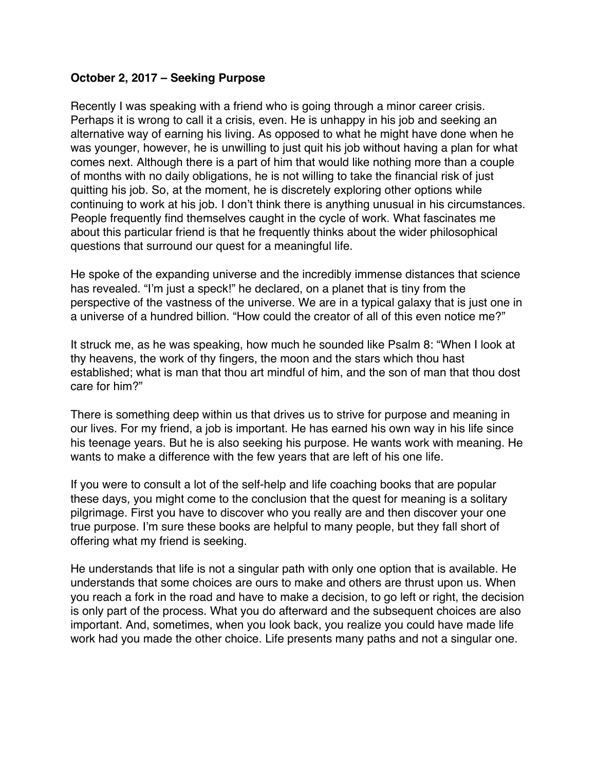### <span id="page-3-0"></span>**October 2, 2017 – Seeking Purpose**

Recently I was speaking with a friend who is going through a minor career crisis. Perhaps it is wrong to call it a crisis, even. He is unhappy in his job and seeking an alternative way of earning his living. As opposed to what he might have done when he was younger, however, he is unwilling to just quit his job without having a plan for what comes next. Although there is a part of him that would like nothing more than a couple of months with no daily obligations, he is not willing to take the financial risk of just quitting his job. So, at the moment, he is discretely exploring other options while continuing to work at his job. I don't think there is anything unusual in his circumstances. People frequently find themselves caught in the cycle of work. What fascinates me about this particular friend is that he frequently thinks about the wider philosophical questions that surround our quest for a meaningful life.

He spoke of the expanding universe and the incredibly immense distances that science has revealed. "I'm just a speck!" he declared, on a planet that is tiny from the perspective of the vastness of the universe. We are in a typical galaxy that is just one in a universe of a hundred billion. "How could the creator of all of this even notice me?"

It struck me, as he was speaking, how much he sounded like Psalm 8: "When I look at thy heavens, the work of thy fingers, the moon and the stars which thou hast established; what is man that thou art mindful of him, and the son of man that thou dost care for him?"

There is something deep within us that drives us to strive for purpose and meaning in our lives. For my friend, a job is important. He has earned his own way in his life since his teenage years. But he is also seeking his purpose. He wants work with meaning. He wants to make a difference with the few years that are left of his one life.

If you were to consult a lot of the self-help and life coaching books that are popular these days, you might come to the conclusion that the quest for meaning is a solitary pilgrimage. First you have to discover who you really are and then discover your one true purpose. I'm sure these books are helpful to many people, but they fall short of offering what my friend is seeking.

He understands that life is not a singular path with only one option that is available. He understands that some choices are ours to make and others are thrust upon us. When you reach a fork in the road and have to make a decision, to go left or right, the decision is only part of the process. What you do afterward and the subsequent choices are also important. And, sometimes, when you look back, you realize you could have made life work had you made the other choice. Life presents many paths and not a singular one.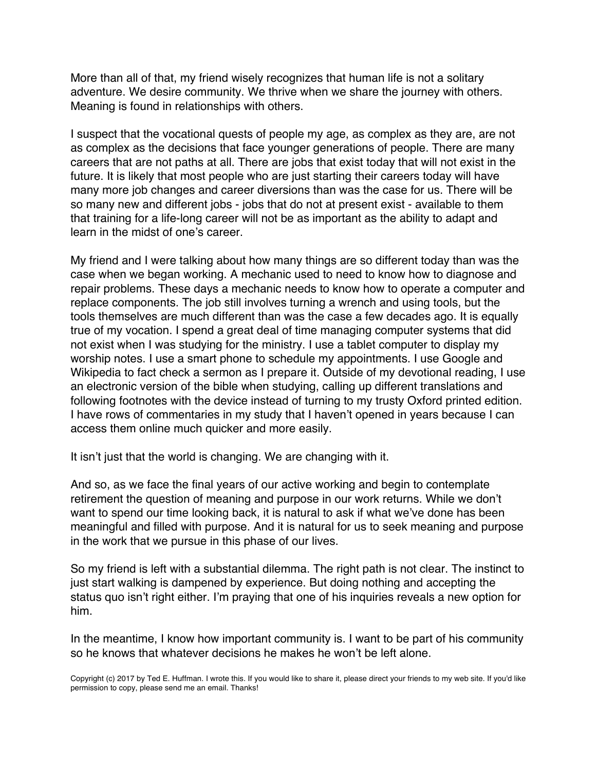More than all of that, my friend wisely recognizes that human life is not a solitary adventure. We desire community. We thrive when we share the journey with others. Meaning is found in relationships with others.

I suspect that the vocational quests of people my age, as complex as they are, are not as complex as the decisions that face younger generations of people. There are many careers that are not paths at all. There are jobs that exist today that will not exist in the future. It is likely that most people who are just starting their careers today will have many more job changes and career diversions than was the case for us. There will be so many new and different jobs - jobs that do not at present exist - available to them that training for a life-long career will not be as important as the ability to adapt and learn in the midst of one's career.

My friend and I were talking about how many things are so different today than was the case when we began working. A mechanic used to need to know how to diagnose and repair problems. These days a mechanic needs to know how to operate a computer and replace components. The job still involves turning a wrench and using tools, but the tools themselves are much different than was the case a few decades ago. It is equally true of my vocation. I spend a great deal of time managing computer systems that did not exist when I was studying for the ministry. I use a tablet computer to display my worship notes. I use a smart phone to schedule my appointments. I use Google and Wikipedia to fact check a sermon as I prepare it. Outside of my devotional reading, I use an electronic version of the bible when studying, calling up different translations and following footnotes with the device instead of turning to my trusty Oxford printed edition. I have rows of commentaries in my study that I haven't opened in years because I can access them online much quicker and more easily.

It isn't just that the world is changing. We are changing with it.

And so, as we face the final years of our active working and begin to contemplate retirement the question of meaning and purpose in our work returns. While we don't want to spend our time looking back, it is natural to ask if what we've done has been meaningful and filled with purpose. And it is natural for us to seek meaning and purpose in the work that we pursue in this phase of our lives.

So my friend is left with a substantial dilemma. The right path is not clear. The instinct to just start walking is dampened by experience. But doing nothing and accepting the status quo isn't right either. I'm praying that one of his inquiries reveals a new option for him.

In the meantime, I know how important community is. I want to be part of his community so he knows that whatever decisions he makes he won't be left alone.

Copyright (c) 2017 by Ted E. Huffman. I wrote this. If you would like to share it, please direct your friends to my web site. If you'd like permission to copy, please send me an email. Thanks!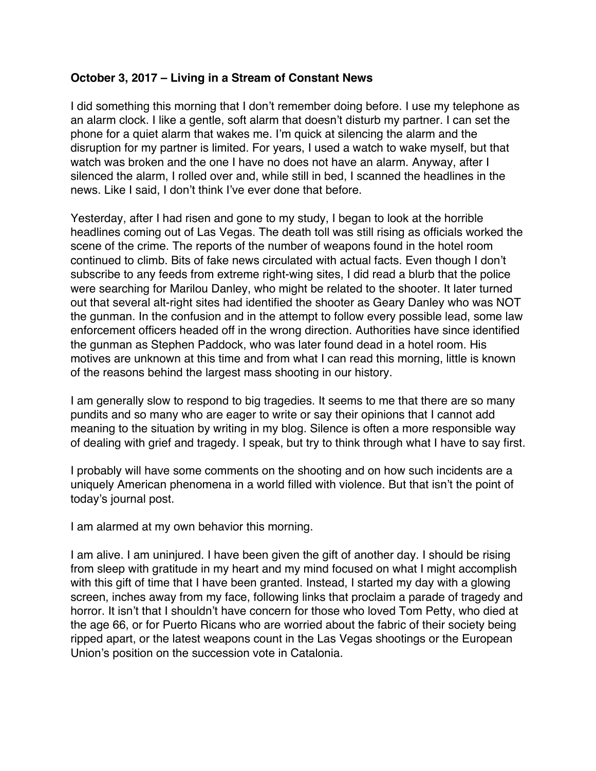## <span id="page-5-0"></span>**October 3, 2017 – Living in a Stream of Constant News**

I did something this morning that I don't remember doing before. I use my telephone as an alarm clock. I like a gentle, soft alarm that doesn't disturb my partner. I can set the phone for a quiet alarm that wakes me. I'm quick at silencing the alarm and the disruption for my partner is limited. For years, I used a watch to wake myself, but that watch was broken and the one I have no does not have an alarm. Anyway, after I silenced the alarm, I rolled over and, while still in bed, I scanned the headlines in the news. Like I said, I don't think I've ever done that before.

Yesterday, after I had risen and gone to my study, I began to look at the horrible headlines coming out of Las Vegas. The death toll was still rising as officials worked the scene of the crime. The reports of the number of weapons found in the hotel room continued to climb. Bits of fake news circulated with actual facts. Even though I don't subscribe to any feeds from extreme right-wing sites, I did read a blurb that the police were searching for Marilou Danley, who might be related to the shooter. It later turned out that several alt-right sites had identified the shooter as Geary Danley who was NOT the gunman. In the confusion and in the attempt to follow every possible lead, some law enforcement officers headed off in the wrong direction. Authorities have since identified the gunman as Stephen Paddock, who was later found dead in a hotel room. His motives are unknown at this time and from what I can read this morning, little is known of the reasons behind the largest mass shooting in our history.

I am generally slow to respond to big tragedies. It seems to me that there are so many pundits and so many who are eager to write or say their opinions that I cannot add meaning to the situation by writing in my blog. Silence is often a more responsible way of dealing with grief and tragedy. I speak, but try to think through what I have to say first.

I probably will have some comments on the shooting and on how such incidents are a uniquely American phenomena in a world filled with violence. But that isn't the point of today's journal post.

I am alarmed at my own behavior this morning.

I am alive. I am uninjured. I have been given the gift of another day. I should be rising from sleep with gratitude in my heart and my mind focused on what I might accomplish with this gift of time that I have been granted. Instead, I started my day with a glowing screen, inches away from my face, following links that proclaim a parade of tragedy and horror. It isn't that I shouldn't have concern for those who loved Tom Petty, who died at the age 66, or for Puerto Ricans who are worried about the fabric of their society being ripped apart, or the latest weapons count in the Las Vegas shootings or the European Union's position on the succession vote in Catalonia.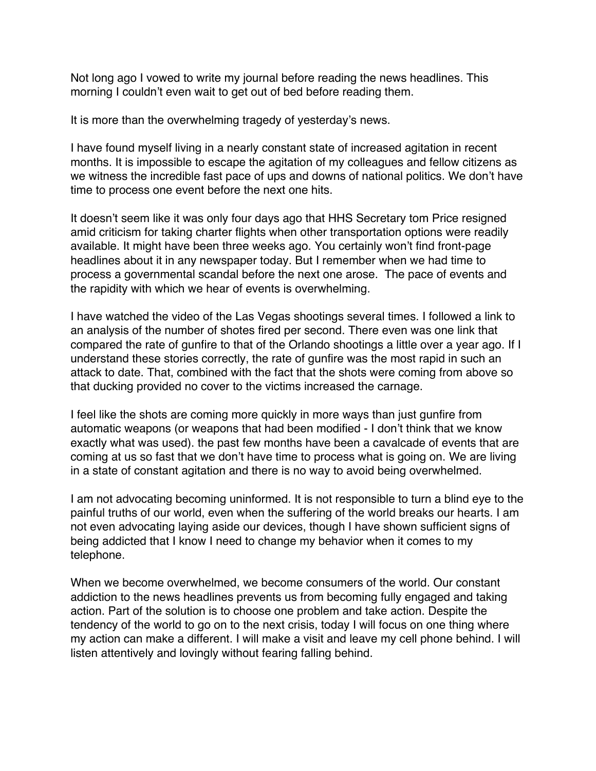Not long ago I vowed to write my journal before reading the news headlines. This morning I couldn't even wait to get out of bed before reading them.

It is more than the overwhelming tragedy of yesterday's news.

I have found myself living in a nearly constant state of increased agitation in recent months. It is impossible to escape the agitation of my colleagues and fellow citizens as we witness the incredible fast pace of ups and downs of national politics. We don't have time to process one event before the next one hits.

It doesn't seem like it was only four days ago that HHS Secretary tom Price resigned amid criticism for taking charter flights when other transportation options were readily available. It might have been three weeks ago. You certainly won't find front-page headlines about it in any newspaper today. But I remember when we had time to process a governmental scandal before the next one arose. The pace of events and the rapidity with which we hear of events is overwhelming.

I have watched the video of the Las Vegas shootings several times. I followed a link to an analysis of the number of shotes fired per second. There even was one link that compared the rate of gunfire to that of the Orlando shootings a little over a year ago. If I understand these stories correctly, the rate of gunfire was the most rapid in such an attack to date. That, combined with the fact that the shots were coming from above so that ducking provided no cover to the victims increased the carnage.

I feel like the shots are coming more quickly in more ways than just gunfire from automatic weapons (or weapons that had been modified - I don't think that we know exactly what was used). the past few months have been a cavalcade of events that are coming at us so fast that we don't have time to process what is going on. We are living in a state of constant agitation and there is no way to avoid being overwhelmed.

I am not advocating becoming uninformed. It is not responsible to turn a blind eye to the painful truths of our world, even when the suffering of the world breaks our hearts. I am not even advocating laying aside our devices, though I have shown sufficient signs of being addicted that I know I need to change my behavior when it comes to my telephone.

When we become overwhelmed, we become consumers of the world. Our constant addiction to the news headlines prevents us from becoming fully engaged and taking action. Part of the solution is to choose one problem and take action. Despite the tendency of the world to go on to the next crisis, today I will focus on one thing where my action can make a different. I will make a visit and leave my cell phone behind. I will listen attentively and lovingly without fearing falling behind.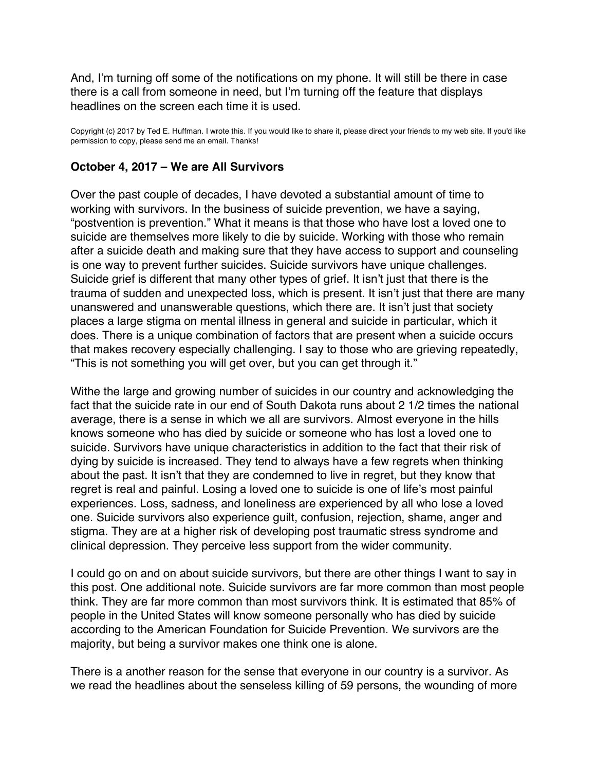<span id="page-7-0"></span>And, I'm turning off some of the notifications on my phone. It will still be there in case there is a call from someone in need, but I'm turning off the feature that displays headlines on the screen each time it is used.

Copyright (c) 2017 by Ted E. Huffman. I wrote this. If you would like to share it, please direct your friends to my web site. If you'd like permission to copy, please send me an email. Thanks!

#### **October 4, 2017 – We are All Survivors**

Over the past couple of decades, I have devoted a substantial amount of time to working with survivors. In the business of suicide prevention, we have a saying, "postvention is prevention." What it means is that those who have lost a loved one to suicide are themselves more likely to die by suicide. Working with those who remain after a suicide death and making sure that they have access to support and counseling is one way to prevent further suicides. Suicide survivors have unique challenges. Suicide grief is different that many other types of grief. It isn't just that there is the trauma of sudden and unexpected loss, which is present. It isn't just that there are many unanswered and unanswerable questions, which there are. It isn't just that society places a large stigma on mental illness in general and suicide in particular, which it does. There is a unique combination of factors that are present when a suicide occurs that makes recovery especially challenging. I say to those who are grieving repeatedly, "This is not something you will get over, but you can get through it."

Withe the large and growing number of suicides in our country and acknowledging the fact that the suicide rate in our end of South Dakota runs about 2 1/2 times the national average, there is a sense in which we all are survivors. Almost everyone in the hills knows someone who has died by suicide or someone who has lost a loved one to suicide. Survivors have unique characteristics in addition to the fact that their risk of dying by suicide is increased. They tend to always have a few regrets when thinking about the past. It isn't that they are condemned to live in regret, but they know that regret is real and painful. Losing a loved one to suicide is one of life's most painful experiences. Loss, sadness, and loneliness are experienced by all who lose a loved one. Suicide survivors also experience guilt, confusion, rejection, shame, anger and stigma. They are at a higher risk of developing post traumatic stress syndrome and clinical depression. They perceive less support from the wider community.

I could go on and on about suicide survivors, but there are other things I want to say in this post. One additional note. Suicide survivors are far more common than most people think. They are far more common than most survivors think. It is estimated that 85% of people in the United States will know someone personally who has died by suicide according to the American Foundation for Suicide Prevention. We survivors are the majority, but being a survivor makes one think one is alone.

There is a another reason for the sense that everyone in our country is a survivor. As we read the headlines about the senseless killing of 59 persons, the wounding of more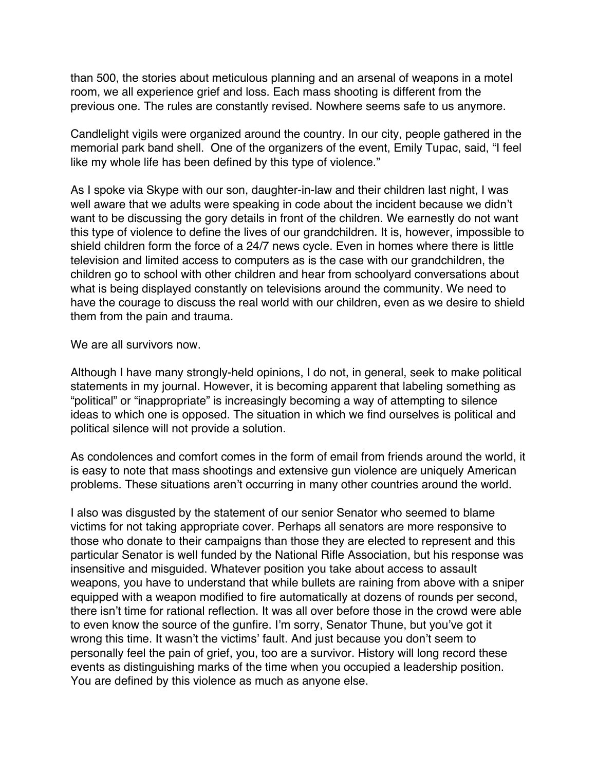than 500, the stories about meticulous planning and an arsenal of weapons in a motel room, we all experience grief and loss. Each mass shooting is different from the previous one. The rules are constantly revised. Nowhere seems safe to us anymore.

Candlelight vigils were organized around the country. In our city, people gathered in the memorial park band shell. One of the organizers of the event, Emily Tupac, said, "I feel like my whole life has been defined by this type of violence."

As I spoke via Skype with our son, daughter-in-law and their children last night, I was well aware that we adults were speaking in code about the incident because we didn't want to be discussing the gory details in front of the children. We earnestly do not want this type of violence to define the lives of our grandchildren. It is, however, impossible to shield children form the force of a 24/7 news cycle. Even in homes where there is little television and limited access to computers as is the case with our grandchildren, the children go to school with other children and hear from schoolyard conversations about what is being displayed constantly on televisions around the community. We need to have the courage to discuss the real world with our children, even as we desire to shield them from the pain and trauma.

We are all survivors now.

Although I have many strongly-held opinions, I do not, in general, seek to make political statements in my journal. However, it is becoming apparent that labeling something as "political" or "inappropriate" is increasingly becoming a way of attempting to silence ideas to which one is opposed. The situation in which we find ourselves is political and political silence will not provide a solution.

As condolences and comfort comes in the form of email from friends around the world, it is easy to note that mass shootings and extensive gun violence are uniquely American problems. These situations aren't occurring in many other countries around the world.

I also was disgusted by the statement of our senior Senator who seemed to blame victims for not taking appropriate cover. Perhaps all senators are more responsive to those who donate to their campaigns than those they are elected to represent and this particular Senator is well funded by the National Rifle Association, but his response was insensitive and misguided. Whatever position you take about access to assault weapons, you have to understand that while bullets are raining from above with a sniper equipped with a weapon modified to fire automatically at dozens of rounds per second, there isn't time for rational reflection. It was all over before those in the crowd were able to even know the source of the gunfire. I'm sorry, Senator Thune, but you've got it wrong this time. It wasn't the victims' fault. And just because you don't seem to personally feel the pain of grief, you, too are a survivor. History will long record these events as distinguishing marks of the time when you occupied a leadership position. You are defined by this violence as much as anyone else.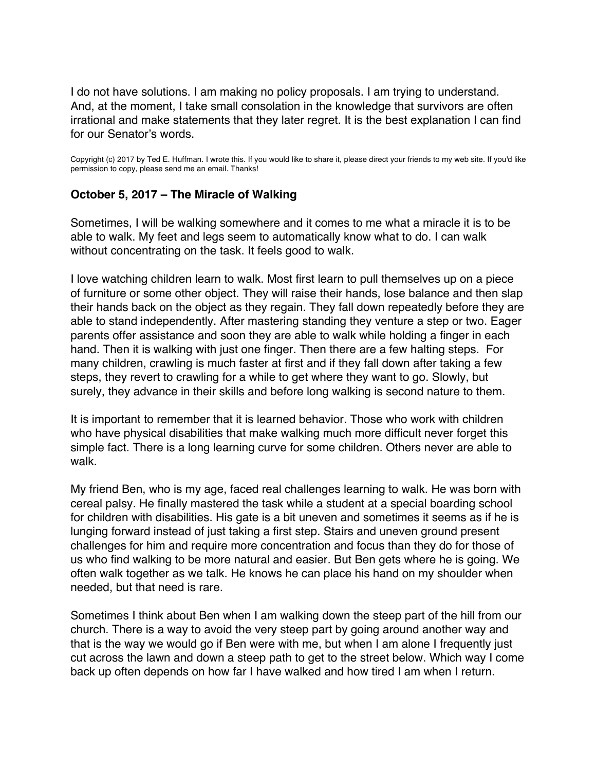<span id="page-9-0"></span>I do not have solutions. I am making no policy proposals. I am trying to understand. And, at the moment, I take small consolation in the knowledge that survivors are often irrational and make statements that they later regret. It is the best explanation I can find for our Senator's words.

Copyright (c) 2017 by Ted E. Huffman. I wrote this. If you would like to share it, please direct your friends to my web site. If you'd like permission to copy, please send me an email. Thanks!

### **October 5, 2017 – The Miracle of Walking**

Sometimes, I will be walking somewhere and it comes to me what a miracle it is to be able to walk. My feet and legs seem to automatically know what to do. I can walk without concentrating on the task. It feels good to walk.

I love watching children learn to walk. Most first learn to pull themselves up on a piece of furniture or some other object. They will raise their hands, lose balance and then slap their hands back on the object as they regain. They fall down repeatedly before they are able to stand independently. After mastering standing they venture a step or two. Eager parents offer assistance and soon they are able to walk while holding a finger in each hand. Then it is walking with just one finger. Then there are a few halting steps. For many children, crawling is much faster at first and if they fall down after taking a few steps, they revert to crawling for a while to get where they want to go. Slowly, but surely, they advance in their skills and before long walking is second nature to them.

It is important to remember that it is learned behavior. Those who work with children who have physical disabilities that make walking much more difficult never forget this simple fact. There is a long learning curve for some children. Others never are able to walk.

My friend Ben, who is my age, faced real challenges learning to walk. He was born with cereal palsy. He finally mastered the task while a student at a special boarding school for children with disabilities. His gate is a bit uneven and sometimes it seems as if he is lunging forward instead of just taking a first step. Stairs and uneven ground present challenges for him and require more concentration and focus than they do for those of us who find walking to be more natural and easier. But Ben gets where he is going. We often walk together as we talk. He knows he can place his hand on my shoulder when needed, but that need is rare.

Sometimes I think about Ben when I am walking down the steep part of the hill from our church. There is a way to avoid the very steep part by going around another way and that is the way we would go if Ben were with me, but when I am alone I frequently just cut across the lawn and down a steep path to get to the street below. Which way I come back up often depends on how far I have walked and how tired I am when I return.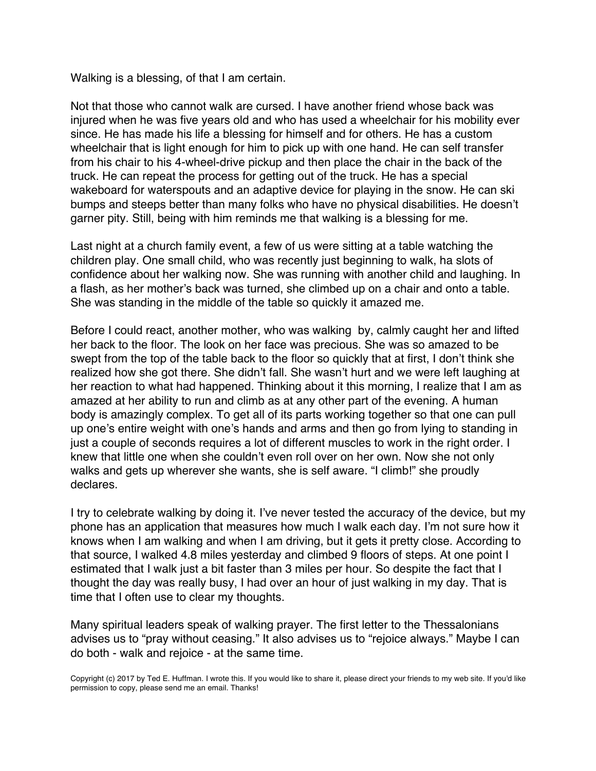Walking is a blessing, of that I am certain.

Not that those who cannot walk are cursed. I have another friend whose back was injured when he was five years old and who has used a wheelchair for his mobility ever since. He has made his life a blessing for himself and for others. He has a custom wheelchair that is light enough for him to pick up with one hand. He can self transfer from his chair to his 4-wheel-drive pickup and then place the chair in the back of the truck. He can repeat the process for getting out of the truck. He has a special wakeboard for waterspouts and an adaptive device for playing in the snow. He can ski bumps and steeps better than many folks who have no physical disabilities. He doesn't garner pity. Still, being with him reminds me that walking is a blessing for me.

Last night at a church family event, a few of us were sitting at a table watching the children play. One small child, who was recently just beginning to walk, ha slots of confidence about her walking now. She was running with another child and laughing. In a flash, as her mother's back was turned, she climbed up on a chair and onto a table. She was standing in the middle of the table so quickly it amazed me.

Before I could react, another mother, who was walking by, calmly caught her and lifted her back to the floor. The look on her face was precious. She was so amazed to be swept from the top of the table back to the floor so quickly that at first, I don't think she realized how she got there. She didn't fall. She wasn't hurt and we were left laughing at her reaction to what had happened. Thinking about it this morning, I realize that I am as amazed at her ability to run and climb as at any other part of the evening. A human body is amazingly complex. To get all of its parts working together so that one can pull up one's entire weight with one's hands and arms and then go from lying to standing in just a couple of seconds requires a lot of different muscles to work in the right order. I knew that little one when she couldn't even roll over on her own. Now she not only walks and gets up wherever she wants, she is self aware. "I climb!" she proudly declares.

I try to celebrate walking by doing it. I've never tested the accuracy of the device, but my phone has an application that measures how much I walk each day. I'm not sure how it knows when I am walking and when I am driving, but it gets it pretty close. According to that source, I walked 4.8 miles yesterday and climbed 9 floors of steps. At one point I estimated that I walk just a bit faster than 3 miles per hour. So despite the fact that I thought the day was really busy, I had over an hour of just walking in my day. That is time that I often use to clear my thoughts.

Many spiritual leaders speak of walking prayer. The first letter to the Thessalonians advises us to "pray without ceasing." It also advises us to "rejoice always." Maybe I can do both - walk and rejoice - at the same time.

Copyright (c) 2017 by Ted E. Huffman. I wrote this. If you would like to share it, please direct your friends to my web site. If you'd like permission to copy, please send me an email. Thanks!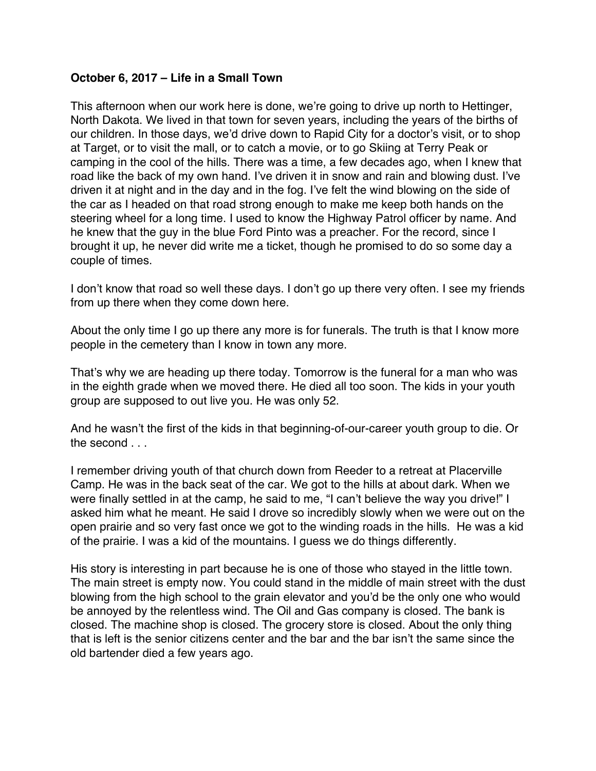### <span id="page-11-0"></span>**October 6, 2017 – Life in a Small Town**

This afternoon when our work here is done, we're going to drive up north to Hettinger, North Dakota. We lived in that town for seven years, including the years of the births of our children. In those days, we'd drive down to Rapid City for a doctor's visit, or to shop at Target, or to visit the mall, or to catch a movie, or to go Skiing at Terry Peak or camping in the cool of the hills. There was a time, a few decades ago, when I knew that road like the back of my own hand. I've driven it in snow and rain and blowing dust. I've driven it at night and in the day and in the fog. I've felt the wind blowing on the side of the car as I headed on that road strong enough to make me keep both hands on the steering wheel for a long time. I used to know the Highway Patrol officer by name. And he knew that the guy in the blue Ford Pinto was a preacher. For the record, since I brought it up, he never did write me a ticket, though he promised to do so some day a couple of times.

I don't know that road so well these days. I don't go up there very often. I see my friends from up there when they come down here.

About the only time I go up there any more is for funerals. The truth is that I know more people in the cemetery than I know in town any more.

That's why we are heading up there today. Tomorrow is the funeral for a man who was in the eighth grade when we moved there. He died all too soon. The kids in your youth group are supposed to out live you. He was only 52.

And he wasn't the first of the kids in that beginning-of-our-career youth group to die. Or the second ...

I remember driving youth of that church down from Reeder to a retreat at Placerville Camp. He was in the back seat of the car. We got to the hills at about dark. When we were finally settled in at the camp, he said to me, "I can't believe the way you drive!" I asked him what he meant. He said I drove so incredibly slowly when we were out on the open prairie and so very fast once we got to the winding roads in the hills. He was a kid of the prairie. I was a kid of the mountains. I guess we do things differently.

His story is interesting in part because he is one of those who stayed in the little town. The main street is empty now. You could stand in the middle of main street with the dust blowing from the high school to the grain elevator and you'd be the only one who would be annoyed by the relentless wind. The Oil and Gas company is closed. The bank is closed. The machine shop is closed. The grocery store is closed. About the only thing that is left is the senior citizens center and the bar and the bar isn't the same since the old bartender died a few years ago.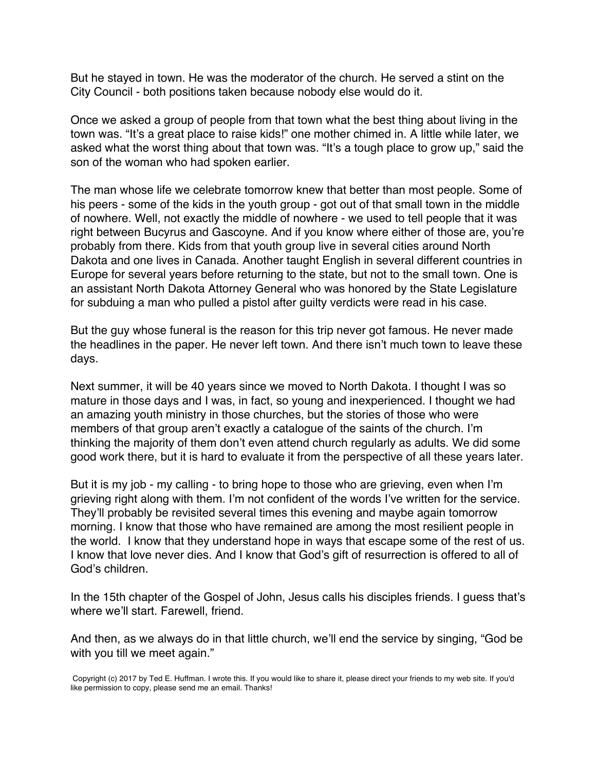But he stayed in town. He was the moderator of the church. He served a stint on the City Council - both positions taken because nobody else would do it.

Once we asked a group of people from that town what the best thing about living in the town was. "It's a great place to raise kids!" one mother chimed in. A little while later, we asked what the worst thing about that town was. "It's a tough place to grow up," said the son of the woman who had spoken earlier.

The man whose life we celebrate tomorrow knew that better than most people. Some of his peers - some of the kids in the youth group - got out of that small town in the middle of nowhere. Well, not exactly the middle of nowhere - we used to tell people that it was right between Bucyrus and Gascoyne. And if you know where either of those are, you're probably from there. Kids from that youth group live in several cities around North Dakota and one lives in Canada. Another taught English in several different countries in Europe for several years before returning to the state, but not to the small town. One is an assistant North Dakota Attorney General who was honored by the State Legislature for subduing a man who pulled a pistol after guilty verdicts were read in his case.

But the guy whose funeral is the reason for this trip never got famous. He never made the headlines in the paper. He never left town. And there isn't much town to leave these days.

Next summer, it will be 40 years since we moved to North Dakota. I thought I was so mature in those days and I was, in fact, so young and inexperienced. I thought we had an amazing youth ministry in those churches, but the stories of those who were members of that group aren't exactly a catalogue of the saints of the church. I'm thinking the majority of them don't even attend church regularly as adults. We did some good work there, but it is hard to evaluate it from the perspective of all these years later.

But it is my job - my calling - to bring hope to those who are grieving, even when I'm grieving right along with them. I'm not confident of the words I've written for the service. They'll probably be revisited several times this evening and maybe again tomorrow morning. I know that those who have remained are among the most resilient people in the world. I know that they understand hope in ways that escape some of the rest of us. I know that love never dies. And I know that God's gift of resurrection is offered to all of God's children.

In the 15th chapter of the Gospel of John, Jesus calls his disciples friends. I guess that's where we'll start. Farewell, friend.

And then, as we always do in that little church, we'll end the service by singing, "God be with you till we meet again."

Copyright (c) 2017 by Ted E. Huffman. I wrote this. If you would like to share it, please direct your friends to my web site. If you'd like permission to copy, please send me an email. Thanks!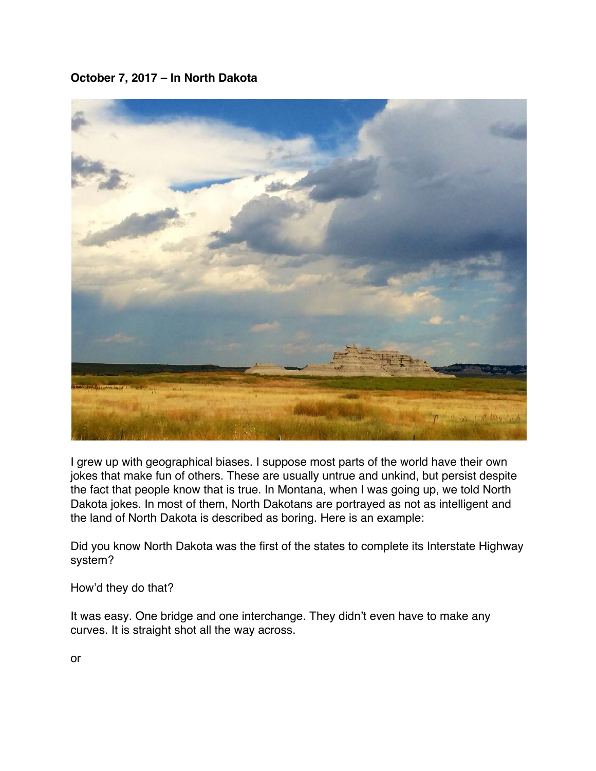# <span id="page-13-0"></span>**October 7, 2017 – In North Dakota**



I grew up with geographical biases. I suppose most parts of the world have their own jokes that make fun of others. These are usually untrue and unkind, but persist despite the fact that people know that is true. In Montana, when I was going up, we told North Dakota jokes. In most of them, North Dakotans are portrayed as not as intelligent and the land of North Dakota is described as boring. Here is an example:

Did you know North Dakota was the first of the states to complete its Interstate Highway system?

How'd they do that?

It was easy. One bridge and one interchange. They didn't even have to make any curves. It is straight shot all the way across.

or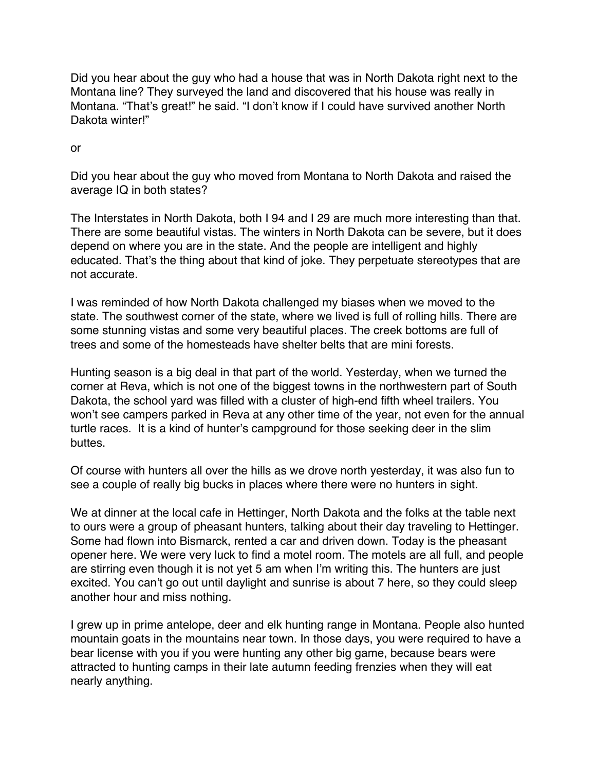Did you hear about the guy who had a house that was in North Dakota right next to the Montana line? They surveyed the land and discovered that his house was really in Montana. "That's great!" he said. "I don't know if I could have survived another North Dakota winter!"

or

Did you hear about the guy who moved from Montana to North Dakota and raised the average IQ in both states?

The Interstates in North Dakota, both I 94 and I 29 are much more interesting than that. There are some beautiful vistas. The winters in North Dakota can be severe, but it does depend on where you are in the state. And the people are intelligent and highly educated. That's the thing about that kind of joke. They perpetuate stereotypes that are not accurate.

I was reminded of how North Dakota challenged my biases when we moved to the state. The southwest corner of the state, where we lived is full of rolling hills. There are some stunning vistas and some very beautiful places. The creek bottoms are full of trees and some of the homesteads have shelter belts that are mini forests.

Hunting season is a big deal in that part of the world. Yesterday, when we turned the corner at Reva, which is not one of the biggest towns in the northwestern part of South Dakota, the school yard was filled with a cluster of high-end fifth wheel trailers. You won't see campers parked in Reva at any other time of the year, not even for the annual turtle races. It is a kind of hunter's campground for those seeking deer in the slim buttes.

Of course with hunters all over the hills as we drove north yesterday, it was also fun to see a couple of really big bucks in places where there were no hunters in sight.

We at dinner at the local cafe in Hettinger, North Dakota and the folks at the table next to ours were a group of pheasant hunters, talking about their day traveling to Hettinger. Some had flown into Bismarck, rented a car and driven down. Today is the pheasant opener here. We were very luck to find a motel room. The motels are all full, and people are stirring even though it is not yet 5 am when I'm writing this. The hunters are just excited. You can't go out until daylight and sunrise is about 7 here, so they could sleep another hour and miss nothing.

I grew up in prime antelope, deer and elk hunting range in Montana. People also hunted mountain goats in the mountains near town. In those days, you were required to have a bear license with you if you were hunting any other big game, because bears were attracted to hunting camps in their late autumn feeding frenzies when they will eat nearly anything.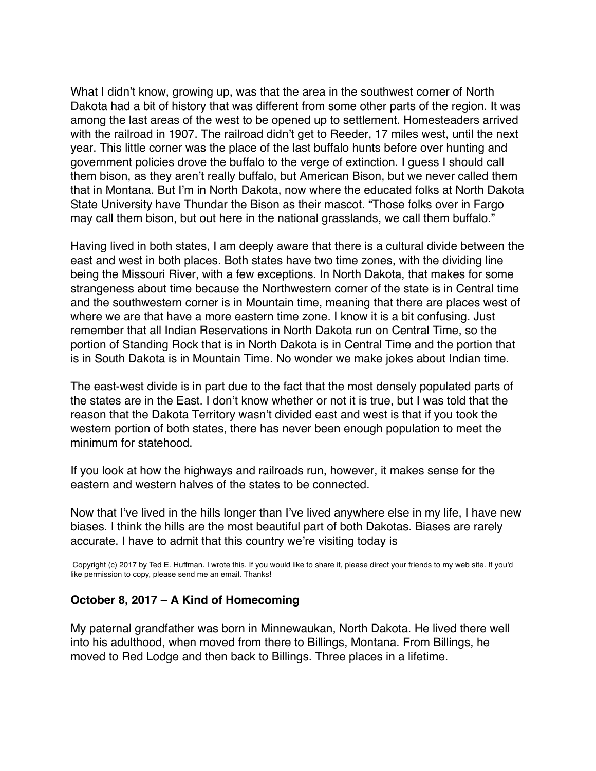What I didn't know, growing up, was that the area in the southwest corner of North Dakota had a bit of history that was different from some other parts of the region. It was among the last areas of the west to be opened up to settlement. Homesteaders arrived with the railroad in 1907. The railroad didn't get to Reeder, 17 miles west, until the next year. This little corner was the place of the last buffalo hunts before over hunting and government policies drove the buffalo to the verge of extinction. I guess I should call them bison, as they aren't really buffalo, but American Bison, but we never called them that in Montana. But I'm in North Dakota, now where the educated folks at North Dakota State University have Thundar the Bison as their mascot. "Those folks over in Fargo may call them bison, but out here in the national grasslands, we call them buffalo."

Having lived in both states, I am deeply aware that there is a cultural divide between the east and west in both places. Both states have two time zones, with the dividing line being the Missouri River, with a few exceptions. In North Dakota, that makes for some strangeness about time because the Northwestern corner of the state is in Central time and the southwestern corner is in Mountain time, meaning that there are places west of where we are that have a more eastern time zone. I know it is a bit confusing. Just remember that all Indian Reservations in North Dakota run on Central Time, so the portion of Standing Rock that is in North Dakota is in Central Time and the portion that is in South Dakota is in Mountain Time. No wonder we make jokes about Indian time.

The east-west divide is in part due to the fact that the most densely populated parts of the states are in the East. I don't know whether or not it is true, but I was told that the reason that the Dakota Territory wasn't divided east and west is that if you took the western portion of both states, there has never been enough population to meet the minimum for statehood.

If you look at how the highways and railroads run, however, it makes sense for the eastern and western halves of the states to be connected.

Now that I've lived in the hills longer than I've lived anywhere else in my life, I have new biases. I think the hills are the most beautiful part of both Dakotas. Biases are rarely accurate. I have to admit that this country we're visiting today is

Copyright (c) 2017 by Ted E. Huffman. I wrote this. If you would like to share it, please direct your friends to my web site. If you'd like permission to copy, please send me an email. Thanks!

#### **October 8, 2017 – A Kind of Homecoming**

My paternal grandfather was born in Minnewaukan, North Dakota. He lived there well into his adulthood, when moved from there to Billings, Montana. From Billings, he moved to Red Lodge and then back to Billings. Three places in a lifetime.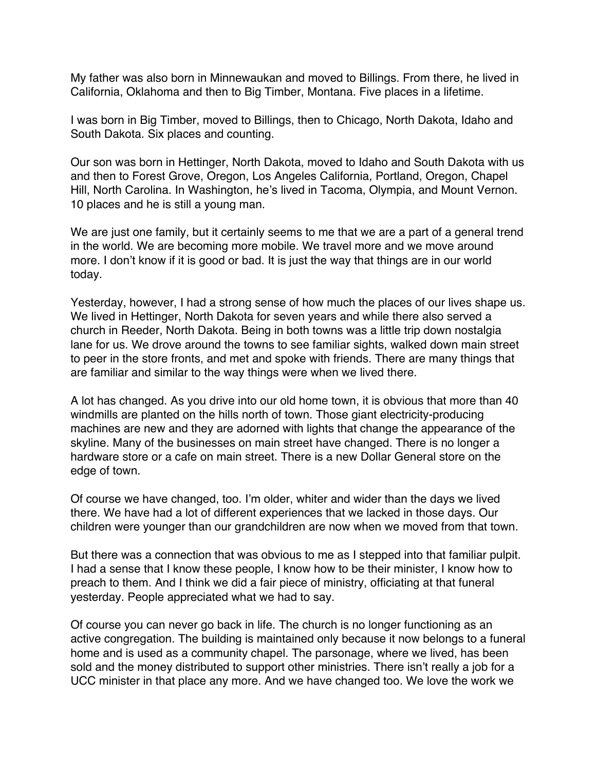<span id="page-16-0"></span>My father was also born in Minnewaukan and moved to Billings. From there, he lived in California, Oklahoma and then to Big Timber, Montana. Five places in a lifetime.

I was born in Big Timber, moved to Billings, then to Chicago, North Dakota, Idaho and South Dakota. Six places and counting.

Our son was born in Hettinger, North Dakota, moved to Idaho and South Dakota with us and then to Forest Grove, Oregon, Los Angeles California, Portland, Oregon, Chapel Hill, North Carolina. In Washington, he's lived in Tacoma, Olympia, and Mount Vernon. 10 places and he is still a young man.

We are just one family, but it certainly seems to me that we are a part of a general trend in the world. We are becoming more mobile. We travel more and we move around more. I don't know if it is good or bad. It is just the way that things are in our world today.

Yesterday, however, I had a strong sense of how much the places of our lives shape us. We lived in Hettinger, North Dakota for seven years and while there also served a church in Reeder, North Dakota. Being in both towns was a little trip down nostalgia lane for us. We drove around the towns to see familiar sights, walked down main street to peer in the store fronts, and met and spoke with friends. There are many things that are familiar and similar to the way things were when we lived there.

A lot has changed. As you drive into our old home town, it is obvious that more than 40 windmills are planted on the hills north of town. Those giant electricity-producing machines are new and they are adorned with lights that change the appearance of the skyline. Many of the businesses on main street have changed. There is no longer a hardware store or a cafe on main street. There is a new Dollar General store on the edge of town.

Of course we have changed, too. I'm older, whiter and wider than the days we lived there. We have had a lot of different experiences that we lacked in those days. Our children were younger than our grandchildren are now when we moved from that town.

But there was a connection that was obvious to me as I stepped into that familiar pulpit. I had a sense that I know these people, I know how to be their minister, I know how to preach to them. And I think we did a fair piece of ministry, officiating at that funeral yesterday. People appreciated what we had to say.

Of course you can never go back in life. The church is no longer functioning as an active congregation. The building is maintained only because it now belongs to a funeral home and is used as a community chapel. The parsonage, where we lived, has been sold and the money distributed to support other ministries. There isn't really a job for a UCC minister in that place any more. And we have changed too. We love the work we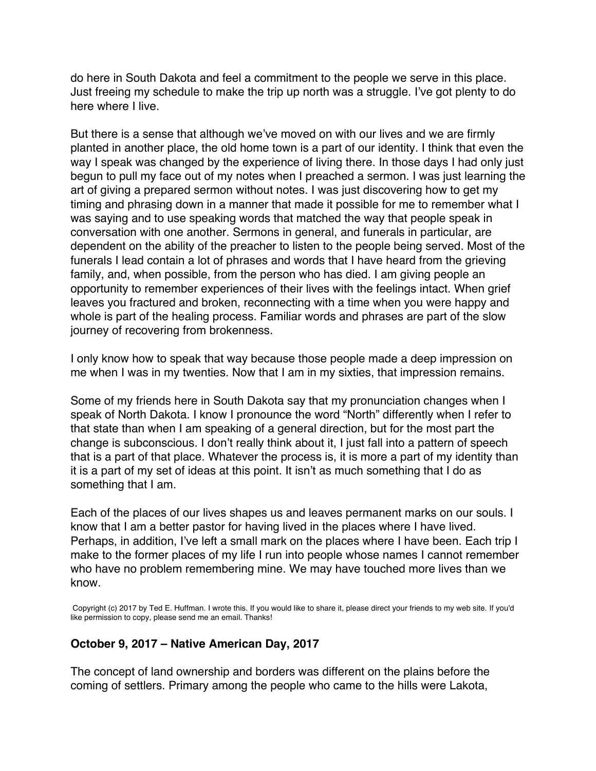do here in South Dakota and feel a commitment to the people we serve in this place. Just freeing my schedule to make the trip up north was a struggle. I've got plenty to do here where I live.

But there is a sense that although we've moved on with our lives and we are firmly planted in another place, the old home town is a part of our identity. I think that even the way I speak was changed by the experience of living there. In those days I had only just begun to pull my face out of my notes when I preached a sermon. I was just learning the art of giving a prepared sermon without notes. I was just discovering how to get my timing and phrasing down in a manner that made it possible for me to remember what I was saying and to use speaking words that matched the way that people speak in conversation with one another. Sermons in general, and funerals in particular, are dependent on the ability of the preacher to listen to the people being served. Most of the funerals I lead contain a lot of phrases and words that I have heard from the grieving family, and, when possible, from the person who has died. I am giving people an opportunity to remember experiences of their lives with the feelings intact. When grief leaves you fractured and broken, reconnecting with a time when you were happy and whole is part of the healing process. Familiar words and phrases are part of the slow journey of recovering from brokenness.

I only know how to speak that way because those people made a deep impression on me when I was in my twenties. Now that I am in my sixties, that impression remains.

Some of my friends here in South Dakota say that my pronunciation changes when I speak of North Dakota. I know I pronounce the word "North" differently when I refer to that state than when I am speaking of a general direction, but for the most part the change is subconscious. I don't really think about it, I just fall into a pattern of speech that is a part of that place. Whatever the process is, it is more a part of my identity than it is a part of my set of ideas at this point. It isn't as much something that I do as something that I am.

Each of the places of our lives shapes us and leaves permanent marks on our souls. I know that I am a better pastor for having lived in the places where I have lived. Perhaps, in addition, I've left a small mark on the places where I have been. Each trip I make to the former places of my life I run into people whose names I cannot remember who have no problem remembering mine. We may have touched more lives than we know.

Copyright (c) 2017 by Ted E. Huffman. I wrote this. If you would like to share it, please direct your friends to my web site. If you'd like permission to copy, please send me an email. Thanks!

#### **October 9, 2017 – Native American Day, 2017**

The concept of land ownership and borders was different on the plains before the coming of settlers. Primary among the people who came to the hills were Lakota,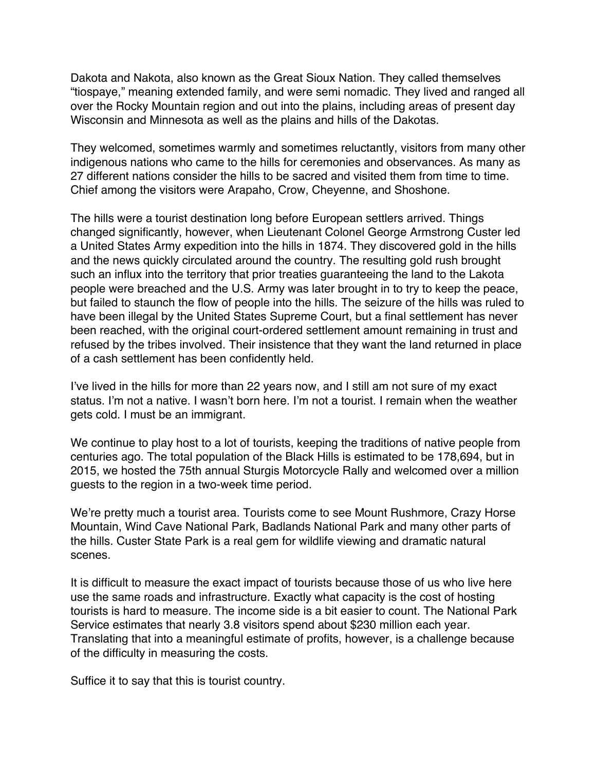<span id="page-18-0"></span>Dakota and Nakota, also known as the Great Sioux Nation. They called themselves "tiospaye," meaning extended family, and were semi nomadic. They lived and ranged all over the Rocky Mountain region and out into the plains, including areas of present day Wisconsin and Minnesota as well as the plains and hills of the Dakotas.

They welcomed, sometimes warmly and sometimes reluctantly, visitors from many other indigenous nations who came to the hills for ceremonies and observances. As many as 27 different nations consider the hills to be sacred and visited them from time to time. Chief among the visitors were Arapaho, Crow, Cheyenne, and Shoshone.

The hills were a tourist destination long before European settlers arrived. Things changed significantly, however, when Lieutenant Colonel George Armstrong Custer led a United States Army expedition into the hills in 1874. They discovered gold in the hills and the news quickly circulated around the country. The resulting gold rush brought such an influx into the territory that prior treaties guaranteeing the land to the Lakota people were breached and the U.S. Army was later brought in to try to keep the peace, but failed to staunch the flow of people into the hills. The seizure of the hills was ruled to have been illegal by the United States Supreme Court, but a final settlement has never been reached, with the original court-ordered settlement amount remaining in trust and refused by the tribes involved. Their insistence that they want the land returned in place of a cash settlement has been confidently held.

I've lived in the hills for more than 22 years now, and I still am not sure of my exact status. I'm not a native. I wasn't born here. I'm not a tourist. I remain when the weather gets cold. I must be an immigrant.

We continue to play host to a lot of tourists, keeping the traditions of native people from centuries ago. The total population of the Black Hills is estimated to be 178,694, but in 2015, we hosted the 75th annual Sturgis Motorcycle Rally and welcomed over a million guests to the region in a two-week time period.

We're pretty much a tourist area. Tourists come to see Mount Rushmore, Crazy Horse Mountain, Wind Cave National Park, Badlands National Park and many other parts of the hills. Custer State Park is a real gem for wildlife viewing and dramatic natural scenes.

It is difficult to measure the exact impact of tourists because those of us who live here use the same roads and infrastructure. Exactly what capacity is the cost of hosting tourists is hard to measure. The income side is a bit easier to count. The National Park Service estimates that nearly 3.8 visitors spend about \$230 million each year. Translating that into a meaningful estimate of profits, however, is a challenge because of the difficulty in measuring the costs.

Suffice it to say that this is tourist country.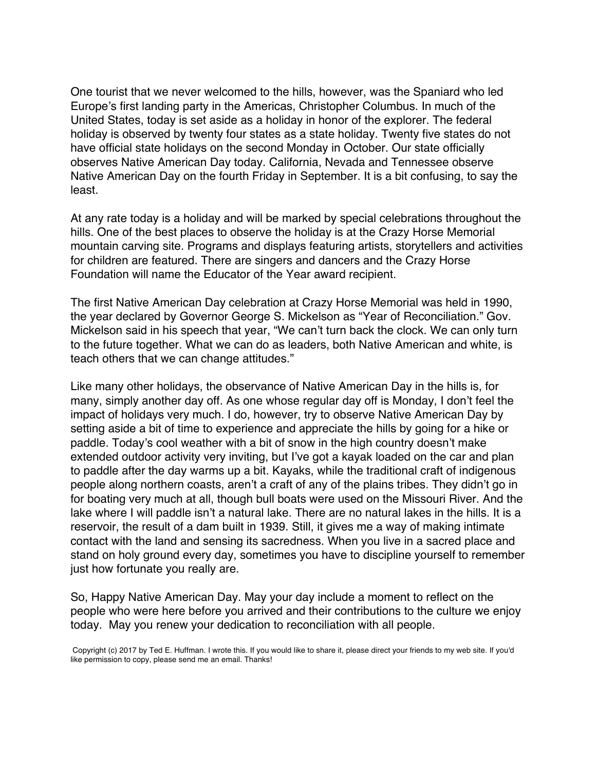One tourist that we never welcomed to the hills, however, was the Spaniard who led Europe's first landing party in the Americas, Christopher Columbus. In much of the United States, today is set aside as a holiday in honor of the explorer. The federal holiday is observed by twenty four states as a state holiday. Twenty five states do not have official state holidays on the second Monday in October. Our state officially observes Native American Day today. California, Nevada and Tennessee observe Native American Day on the fourth Friday in September. It is a bit confusing, to say the least.

At any rate today is a holiday and will be marked by special celebrations throughout the hills. One of the best places to observe the holiday is at the Crazy Horse Memorial mountain carving site. Programs and displays featuring artists, storytellers and activities for children are featured. There are singers and dancers and the Crazy Horse Foundation will name the Educator of the Year award recipient.

The first Native American Day celebration at Crazy Horse Memorial was held in 1990, the year declared by Governor George S. Mickelson as "Year of Reconciliation." Gov. Mickelson said in his speech that year, "We can't turn back the clock. We can only turn to the future together. What we can do as leaders, both Native American and white, is teach others that we can change attitudes."

Like many other holidays, the observance of Native American Day in the hills is, for many, simply another day off. As one whose regular day off is Monday, I don't feel the impact of holidays very much. I do, however, try to observe Native American Day by setting aside a bit of time to experience and appreciate the hills by going for a hike or paddle. Today's cool weather with a bit of snow in the high country doesn't make extended outdoor activity very inviting, but I've got a kayak loaded on the car and plan to paddle after the day warms up a bit. Kayaks, while the traditional craft of indigenous people along northern coasts, aren't a craft of any of the plains tribes. They didn't go in for boating very much at all, though bull boats were used on the Missouri River. And the lake where I will paddle isn't a natural lake. There are no natural lakes in the hills. It is a reservoir, the result of a dam built in 1939. Still, it gives me a way of making intimate contact with the land and sensing its sacredness. When you live in a sacred place and stand on holy ground every day, sometimes you have to discipline yourself to remember just how fortunate you really are.

So, Happy Native American Day. May your day include a moment to reflect on the people who were here before you arrived and their contributions to the culture we enjoy today. May you renew your dedication to reconciliation with all people.

Copyright (c) 2017 by Ted E. Huffman. I wrote this. If you would like to share it, please direct your friends to my web site. If you'd like permission to copy, please send me an email. Thanks!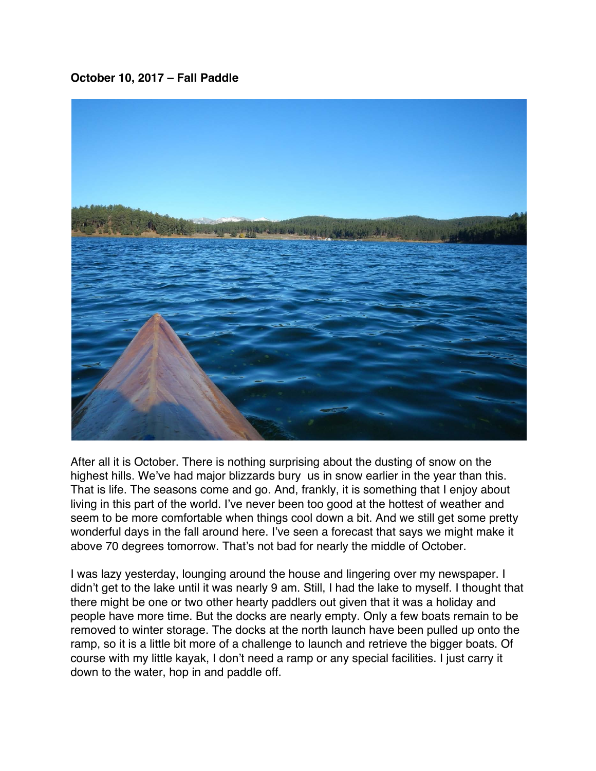### <span id="page-20-0"></span>**October 10, 2017 – Fall Paddle**



After all it is October. There is nothing surprising about the dusting of snow on the highest hills. We've had major blizzards bury us in snow earlier in the year than this. That is life. The seasons come and go. And, frankly, it is something that I enjoy about living in this part of the world. I've never been too good at the hottest of weather and seem to be more comfortable when things cool down a bit. And we still get some pretty wonderful days in the fall around here. I've seen a forecast that says we might make it above 70 degrees tomorrow. That's not bad for nearly the middle of October.

I was lazy yesterday, lounging around the house and lingering over my newspaper. I didn't get to the lake until it was nearly 9 am. Still, I had the lake to myself. I thought that there might be one or two other hearty paddlers out given that it was a holiday and people have more time. But the docks are nearly empty. Only a few boats remain to be removed to winter storage. The docks at the north launch have been pulled up onto the ramp, so it is a little bit more of a challenge to launch and retrieve the bigger boats. Of course with my little kayak, I don't need a ramp or any special facilities. I just carry it down to the water, hop in and paddle off.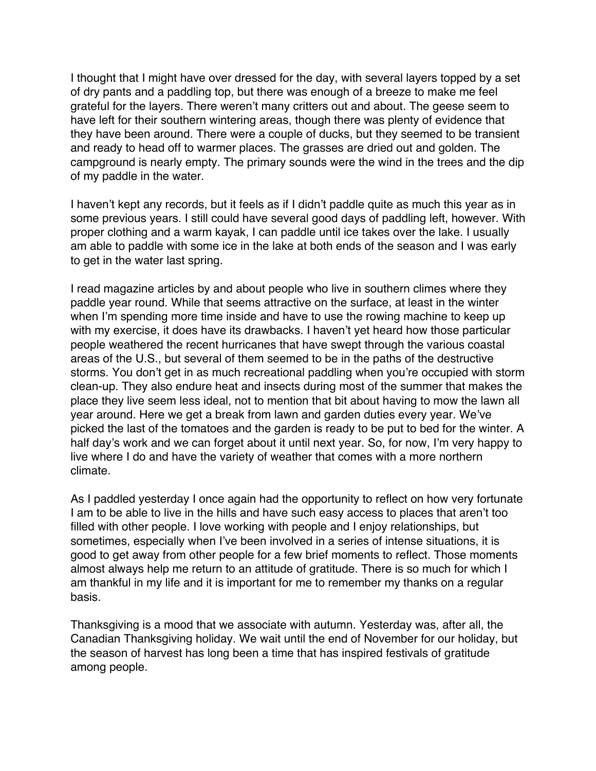I thought that I might have over dressed for the day, with several layers topped by a set of dry pants and a paddling top, but there was enough of a breeze to make me feel grateful for the layers. There weren't many critters out and about. The geese seem to have left for their southern wintering areas, though there was plenty of evidence that they have been around. There were a couple of ducks, but they seemed to be transient and ready to head off to warmer places. The grasses are dried out and golden. The campground is nearly empty. The primary sounds were the wind in the trees and the dip of my paddle in the water.

I haven't kept any records, but it feels as if I didn't paddle quite as much this year as in some previous years. I still could have several good days of paddling left, however. With proper clothing and a warm kayak, I can paddle until ice takes over the lake. I usually am able to paddle with some ice in the lake at both ends of the season and I was early to get in the water last spring.

I read magazine articles by and about people who live in southern climes where they paddle year round. While that seems attractive on the surface, at least in the winter when I'm spending more time inside and have to use the rowing machine to keep up with my exercise, it does have its drawbacks. I haven't yet heard how those particular people weathered the recent hurricanes that have swept through the various coastal areas of the U.S., but several of them seemed to be in the paths of the destructive storms. You don't get in as much recreational paddling when you're occupied with storm clean-up. They also endure heat and insects during most of the summer that makes the place they live seem less ideal, not to mention that bit about having to mow the lawn all year around. Here we get a break from lawn and garden duties every year. We've picked the last of the tomatoes and the garden is ready to be put to bed for the winter. A half day's work and we can forget about it until next year. So, for now, I'm very happy to live where I do and have the variety of weather that comes with a more northern climate.

As I paddled yesterday I once again had the opportunity to reflect on how very fortunate I am to be able to live in the hills and have such easy access to places that aren't too filled with other people. I love working with people and I enjoy relationships, but sometimes, especially when I've been involved in a series of intense situations, it is good to get away from other people for a few brief moments to reflect. Those moments almost always help me return to an attitude of gratitude. There is so much for which I am thankful in my life and it is important for me to remember my thanks on a regular basis.

Thanksgiving is a mood that we associate with autumn. Yesterday was, after all, the Canadian Thanksgiving holiday. We wait until the end of November for our holiday, but the season of harvest has long been a time that has inspired festivals of gratitude among people.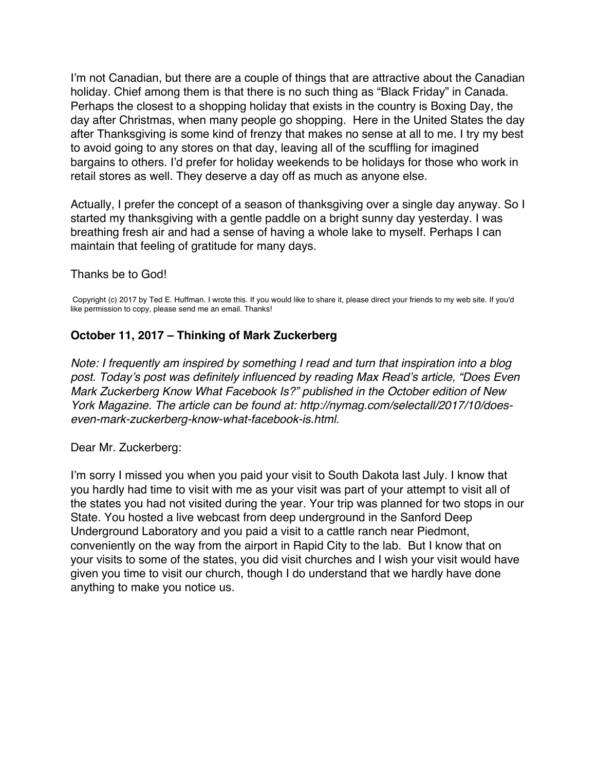<span id="page-22-0"></span>I'm not Canadian, but there are a couple of things that are attractive about the Canadian holiday. Chief among them is that there is no such thing as "Black Friday" in Canada. Perhaps the closest to a shopping holiday that exists in the country is Boxing Day, the day after Christmas, when many people go shopping. Here in the United States the day after Thanksgiving is some kind of frenzy that makes no sense at all to me. I try my best to avoid going to any stores on that day, leaving all of the scuffling for imagined bargains to others. I'd prefer for holiday weekends to be holidays for those who work in retail stores as well. They deserve a day off as much as anyone else.

Actually, I prefer the concept of a season of thanksgiving over a single day anyway. So I started my thanksgiving with a gentle paddle on a bright sunny day yesterday. I was breathing fresh air and had a sense of having a whole lake to myself. Perhaps I can maintain that feeling of gratitude for many days.

#### Thanks be to God!

Copyright (c) 2017 by Ted E. Huffman. I wrote this. If you would like to share it, please direct your friends to my web site. If you'd like permission to copy, please send me an email. Thanks!

#### **October 11, 2017 – Thinking of Mark Zuckerberg**

*Note: I frequently am inspired by something I read and turn that inspiration into a blog post. Today's post was definitely influenced by reading Max Read's article, "Does Even Mark Zuckerberg Know What Facebook Is?" published in the October edition of New York Magazine. The article can be found at: http://nymag.com/selectall/2017/10/doeseven-mark-zuckerberg-know-what-facebook-is.html.*

Dear Mr. Zuckerberg:

I'm sorry I missed you when you paid your visit to South Dakota last July. I know that you hardly had time to visit with me as your visit was part of your attempt to visit all of the states you had not visited during the year. Your trip was planned for two stops in our State. You hosted a live webcast from deep underground in the Sanford Deep Underground Laboratory and you paid a visit to a cattle ranch near Piedmont, conveniently on the way from the airport in Rapid City to the lab. But I know that on your visits to some of the states, you did visit churches and I wish your visit would have given you time to visit our church, though I do understand that we hardly have done anything to make you notice us.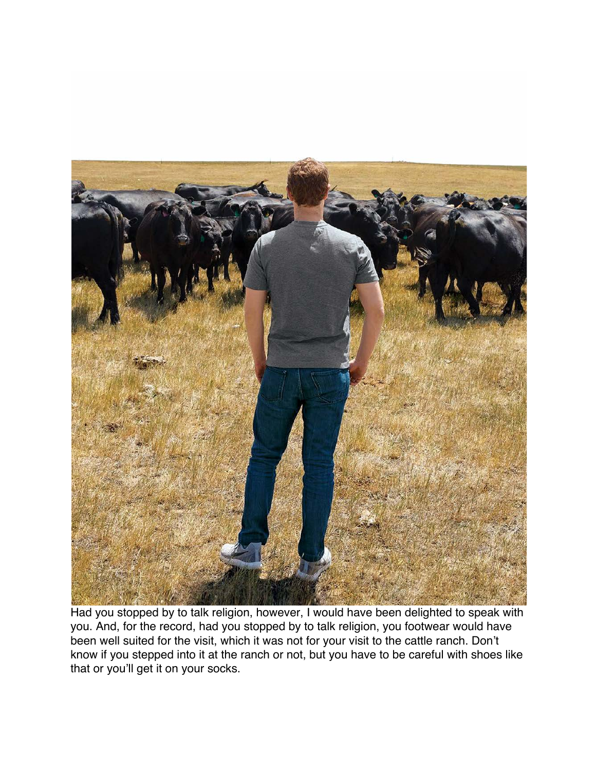

Had you stopped by to talk religion, however, I would have been delighted to speak with you. And, for the record, had you stopped by to talk religion, you footwear would have been well suited for the visit, which it was not for your visit to the cattle ranch. Don't know if you stepped into it at the ranch or not, but you have to be careful with shoes like that or you'll get it on your socks.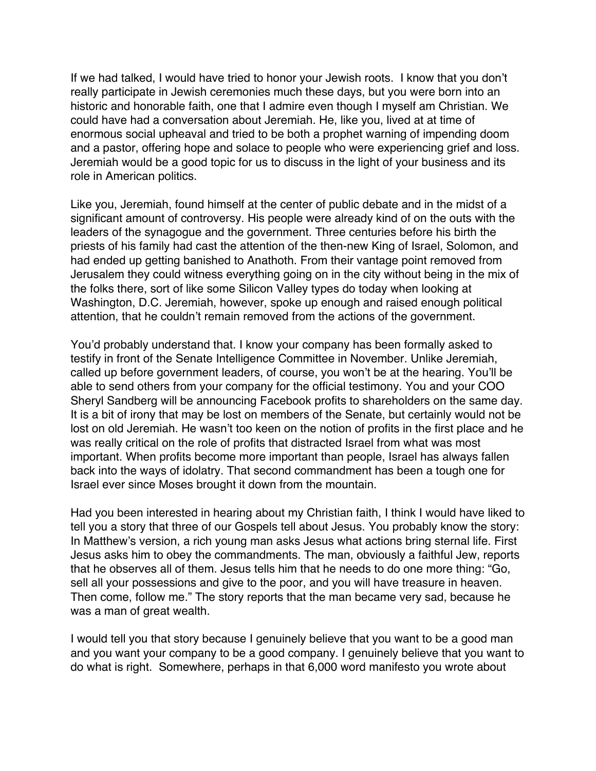If we had talked, I would have tried to honor your Jewish roots. I know that you don't really participate in Jewish ceremonies much these days, but you were born into an historic and honorable faith, one that I admire even though I myself am Christian. We could have had a conversation about Jeremiah. He, like you, lived at at time of enormous social upheaval and tried to be both a prophet warning of impending doom and a pastor, offering hope and solace to people who were experiencing grief and loss. Jeremiah would be a good topic for us to discuss in the light of your business and its role in American politics.

Like you, Jeremiah, found himself at the center of public debate and in the midst of a significant amount of controversy. His people were already kind of on the outs with the leaders of the synagogue and the government. Three centuries before his birth the priests of his family had cast the attention of the then-new King of Israel, Solomon, and had ended up getting banished to Anathoth. From their vantage point removed from Jerusalem they could witness everything going on in the city without being in the mix of the folks there, sort of like some Silicon Valley types do today when looking at Washington, D.C. Jeremiah, however, spoke up enough and raised enough political attention, that he couldn't remain removed from the actions of the government.

You'd probably understand that. I know your company has been formally asked to testify in front of the Senate Intelligence Committee in November. Unlike Jeremiah, called up before government leaders, of course, you won't be at the hearing. You'll be able to send others from your company for the official testimony. You and your COO Sheryl Sandberg will be announcing Facebook profits to shareholders on the same day. It is a bit of irony that may be lost on members of the Senate, but certainly would not be lost on old Jeremiah. He wasn't too keen on the notion of profits in the first place and he was really critical on the role of profits that distracted Israel from what was most important. When profits become more important than people, Israel has always fallen back into the ways of idolatry. That second commandment has been a tough one for Israel ever since Moses brought it down from the mountain.

Had you been interested in hearing about my Christian faith, I think I would have liked to tell you a story that three of our Gospels tell about Jesus. You probably know the story: In Matthew's version, a rich young man asks Jesus what actions bring sternal life. First Jesus asks him to obey the commandments. The man, obviously a faithful Jew, reports that he observes all of them. Jesus tells him that he needs to do one more thing: "Go, sell all your possessions and give to the poor, and you will have treasure in heaven. Then come, follow me." The story reports that the man became very sad, because he was a man of great wealth.

I would tell you that story because I genuinely believe that you want to be a good man and you want your company to be a good company. I genuinely believe that you want to do what is right. Somewhere, perhaps in that 6,000 word manifesto you wrote about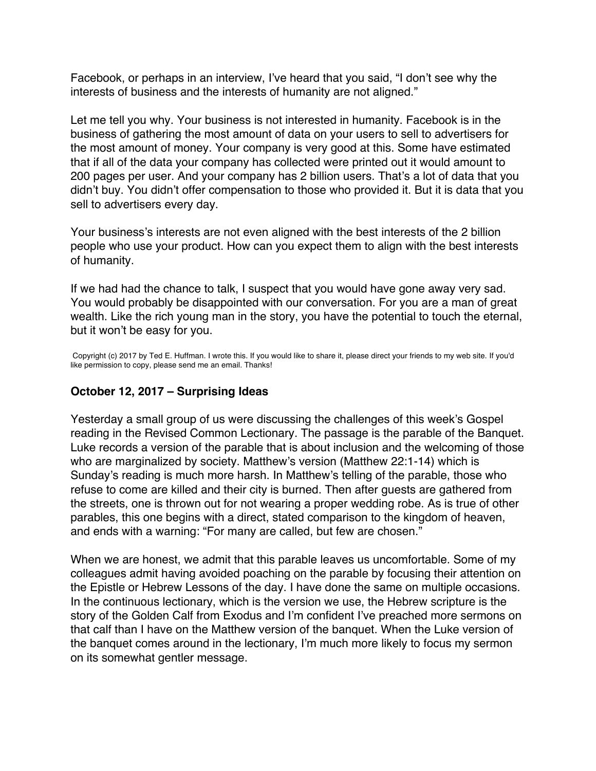<span id="page-25-0"></span>Facebook, or perhaps in an interview, I've heard that you said, "I don't see why the interests of business and the interests of humanity are not aligned."

Let me tell you why. Your business is not interested in humanity. Facebook is in the business of gathering the most amount of data on your users to sell to advertisers for the most amount of money. Your company is very good at this. Some have estimated that if all of the data your company has collected were printed out it would amount to 200 pages per user. And your company has 2 billion users. That's a lot of data that you didn't buy. You didn't offer compensation to those who provided it. But it is data that you sell to advertisers every day.

Your business's interests are not even aligned with the best interests of the 2 billion people who use your product. How can you expect them to align with the best interests of humanity.

If we had had the chance to talk, I suspect that you would have gone away very sad. You would probably be disappointed with our conversation. For you are a man of great wealth. Like the rich young man in the story, you have the potential to touch the eternal, but it won't be easy for you.

Copyright (c) 2017 by Ted E. Huffman. I wrote this. If you would like to share it, please direct your friends to my web site. If you'd like permission to copy, please send me an email. Thanks!

## **October 12, 2017 – Surprising Ideas**

Yesterday a small group of us were discussing the challenges of this week's Gospel reading in the Revised Common Lectionary. The passage is the parable of the Banquet. Luke records a version of the parable that is about inclusion and the welcoming of those who are marginalized by society. Matthew's version (Matthew 22:1-14) which is Sunday's reading is much more harsh. In Matthew's telling of the parable, those who refuse to come are killed and their city is burned. Then after guests are gathered from the streets, one is thrown out for not wearing a proper wedding robe. As is true of other parables, this one begins with a direct, stated comparison to the kingdom of heaven, and ends with a warning: "For many are called, but few are chosen."

When we are honest, we admit that this parable leaves us uncomfortable. Some of my colleagues admit having avoided poaching on the parable by focusing their attention on the Epistle or Hebrew Lessons of the day. I have done the same on multiple occasions. In the continuous lectionary, which is the version we use, the Hebrew scripture is the story of the Golden Calf from Exodus and I'm confident I've preached more sermons on that calf than I have on the Matthew version of the banquet. When the Luke version of the banquet comes around in the lectionary, I'm much more likely to focus my sermon on its somewhat gentler message.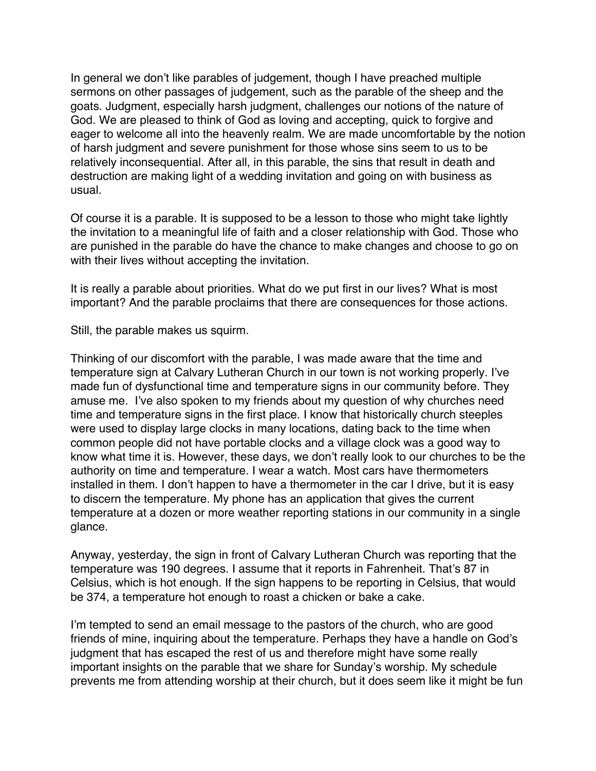In general we don't like parables of judgement, though I have preached multiple sermons on other passages of judgement, such as the parable of the sheep and the goats. Judgment, especially harsh judgment, challenges our notions of the nature of God. We are pleased to think of God as loving and accepting, quick to forgive and eager to welcome all into the heavenly realm. We are made uncomfortable by the notion of harsh judgment and severe punishment for those whose sins seem to us to be relatively inconsequential. After all, in this parable, the sins that result in death and destruction are making light of a wedding invitation and going on with business as usual.

Of course it is a parable. It is supposed to be a lesson to those who might take lightly the invitation to a meaningful life of faith and a closer relationship with God. Those who are punished in the parable do have the chance to make changes and choose to go on with their lives without accepting the invitation.

It is really a parable about priorities. What do we put first in our lives? What is most important? And the parable proclaims that there are consequences for those actions.

Still, the parable makes us squirm.

Thinking of our discomfort with the parable, I was made aware that the time and temperature sign at Calvary Lutheran Church in our town is not working properly. I've made fun of dysfunctional time and temperature signs in our community before. They amuse me. I've also spoken to my friends about my question of why churches need time and temperature signs in the first place. I know that historically church steeples were used to display large clocks in many locations, dating back to the time when common people did not have portable clocks and a village clock was a good way to know what time it is. However, these days, we don't really look to our churches to be the authority on time and temperature. I wear a watch. Most cars have thermometers installed in them. I don't happen to have a thermometer in the car I drive, but it is easy to discern the temperature. My phone has an application that gives the current temperature at a dozen or more weather reporting stations in our community in a single glance.

Anyway, yesterday, the sign in front of Calvary Lutheran Church was reporting that the temperature was 190 degrees. I assume that it reports in Fahrenheit. That's 87 in Celsius, which is hot enough. If the sign happens to be reporting in Celsius, that would be 374, a temperature hot enough to roast a chicken or bake a cake.

I'm tempted to send an email message to the pastors of the church, who are good friends of mine, inquiring about the temperature. Perhaps they have a handle on God's judgment that has escaped the rest of us and therefore might have some really important insights on the parable that we share for Sunday's worship. My schedule prevents me from attending worship at their church, but it does seem like it might be fun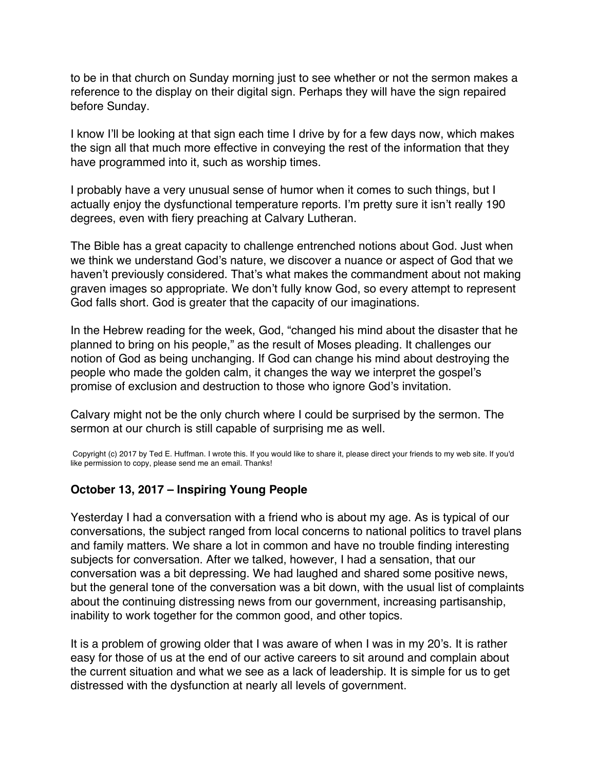<span id="page-27-0"></span>to be in that church on Sunday morning just to see whether or not the sermon makes a reference to the display on their digital sign. Perhaps they will have the sign repaired before Sunday.

I know I'll be looking at that sign each time I drive by for a few days now, which makes the sign all that much more effective in conveying the rest of the information that they have programmed into it, such as worship times.

I probably have a very unusual sense of humor when it comes to such things, but I actually enjoy the dysfunctional temperature reports. I'm pretty sure it isn't really 190 degrees, even with fiery preaching at Calvary Lutheran.

The Bible has a great capacity to challenge entrenched notions about God. Just when we think we understand God's nature, we discover a nuance or aspect of God that we haven't previously considered. That's what makes the commandment about not making graven images so appropriate. We don't fully know God, so every attempt to represent God falls short. God is greater that the capacity of our imaginations.

In the Hebrew reading for the week, God, "changed his mind about the disaster that he planned to bring on his people," as the result of Moses pleading. It challenges our notion of God as being unchanging. If God can change his mind about destroying the people who made the golden calm, it changes the way we interpret the gospel's promise of exclusion and destruction to those who ignore God's invitation.

Calvary might not be the only church where I could be surprised by the sermon. The sermon at our church is still capable of surprising me as well.

Copyright (c) 2017 by Ted E. Huffman. I wrote this. If you would like to share it, please direct your friends to my web site. If you'd like permission to copy, please send me an email. Thanks!

# **October 13, 2017 – Inspiring Young People**

Yesterday I had a conversation with a friend who is about my age. As is typical of our conversations, the subject ranged from local concerns to national politics to travel plans and family matters. We share a lot in common and have no trouble finding interesting subjects for conversation. After we talked, however, I had a sensation, that our conversation was a bit depressing. We had laughed and shared some positive news, but the general tone of the conversation was a bit down, with the usual list of complaints about the continuing distressing news from our government, increasing partisanship, inability to work together for the common good, and other topics.

It is a problem of growing older that I was aware of when I was in my 20's. It is rather easy for those of us at the end of our active careers to sit around and complain about the current situation and what we see as a lack of leadership. It is simple for us to get distressed with the dysfunction at nearly all levels of government.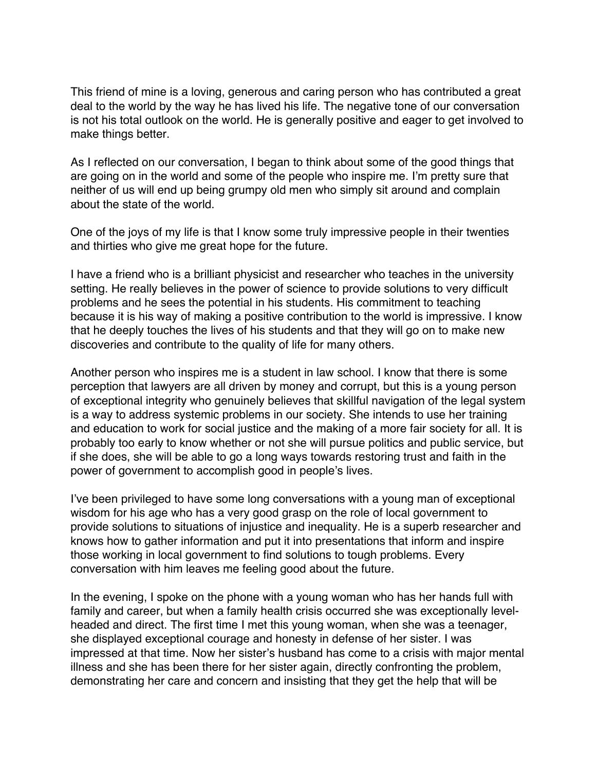This friend of mine is a loving, generous and caring person who has contributed a great deal to the world by the way he has lived his life. The negative tone of our conversation is not his total outlook on the world. He is generally positive and eager to get involved to make things better.

As I reflected on our conversation, I began to think about some of the good things that are going on in the world and some of the people who inspire me. I'm pretty sure that neither of us will end up being grumpy old men who simply sit around and complain about the state of the world.

One of the joys of my life is that I know some truly impressive people in their twenties and thirties who give me great hope for the future.

I have a friend who is a brilliant physicist and researcher who teaches in the university setting. He really believes in the power of science to provide solutions to very difficult problems and he sees the potential in his students. His commitment to teaching because it is his way of making a positive contribution to the world is impressive. I know that he deeply touches the lives of his students and that they will go on to make new discoveries and contribute to the quality of life for many others.

Another person who inspires me is a student in law school. I know that there is some perception that lawyers are all driven by money and corrupt, but this is a young person of exceptional integrity who genuinely believes that skillful navigation of the legal system is a way to address systemic problems in our society. She intends to use her training and education to work for social justice and the making of a more fair society for all. It is probably too early to know whether or not she will pursue politics and public service, but if she does, she will be able to go a long ways towards restoring trust and faith in the power of government to accomplish good in people's lives.

I've been privileged to have some long conversations with a young man of exceptional wisdom for his age who has a very good grasp on the role of local government to provide solutions to situations of injustice and inequality. He is a superb researcher and knows how to gather information and put it into presentations that inform and inspire those working in local government to find solutions to tough problems. Every conversation with him leaves me feeling good about the future.

In the evening, I spoke on the phone with a young woman who has her hands full with family and career, but when a family health crisis occurred she was exceptionally levelheaded and direct. The first time I met this young woman, when she was a teenager, she displayed exceptional courage and honesty in defense of her sister. I was impressed at that time. Now her sister's husband has come to a crisis with major mental illness and she has been there for her sister again, directly confronting the problem, demonstrating her care and concern and insisting that they get the help that will be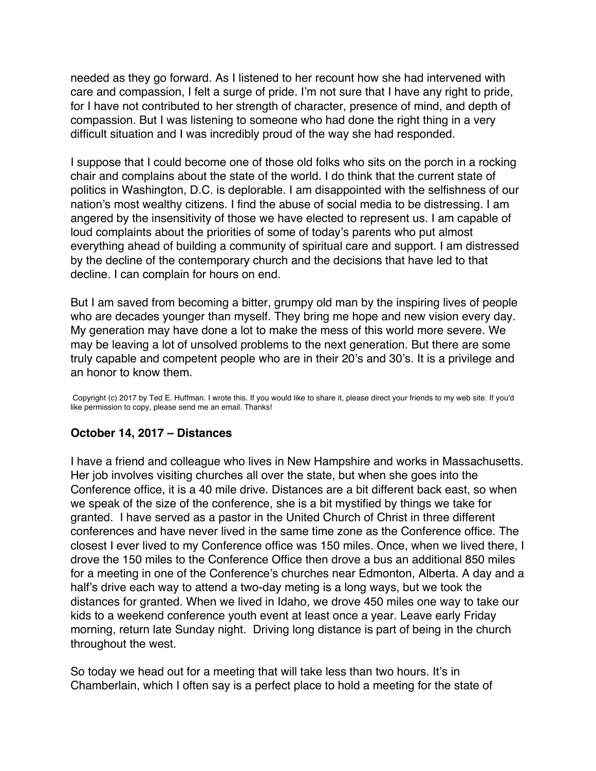<span id="page-29-0"></span>needed as they go forward. As I listened to her recount how she had intervened with care and compassion, I felt a surge of pride. I'm not sure that I have any right to pride, for I have not contributed to her strength of character, presence of mind, and depth of compassion. But I was listening to someone who had done the right thing in a very difficult situation and I was incredibly proud of the way she had responded.

I suppose that I could become one of those old folks who sits on the porch in a rocking chair and complains about the state of the world. I do think that the current state of politics in Washington, D.C. is deplorable. I am disappointed with the selfishness of our nation's most wealthy citizens. I find the abuse of social media to be distressing. I am angered by the insensitivity of those we have elected to represent us. I am capable of loud complaints about the priorities of some of today's parents who put almost everything ahead of building a community of spiritual care and support. I am distressed by the decline of the contemporary church and the decisions that have led to that decline. I can complain for hours on end.

But I am saved from becoming a bitter, grumpy old man by the inspiring lives of people who are decades younger than myself. They bring me hope and new vision every day. My generation may have done a lot to make the mess of this world more severe. We may be leaving a lot of unsolved problems to the next generation. But there are some truly capable and competent people who are in their 20's and 30's. It is a privilege and an honor to know them.

Copyright (c) 2017 by Ted E. Huffman. I wrote this. If you would like to share it, please direct your friends to my web site. If you'd like permission to copy, please send me an email. Thanks!

### **October 14, 2017 – Distances**

I have a friend and colleague who lives in New Hampshire and works in Massachusetts. Her job involves visiting churches all over the state, but when she goes into the Conference office, it is a 40 mile drive. Distances are a bit different back east, so when we speak of the size of the conference, she is a bit mystified by things we take for granted. I have served as a pastor in the United Church of Christ in three different conferences and have never lived in the same time zone as the Conference office. The closest I ever lived to my Conference office was 150 miles. Once, when we lived there, I drove the 150 miles to the Conference Office then drove a bus an additional 850 miles for a meeting in one of the Conference's churches near Edmonton, Alberta. A day and a half's drive each way to attend a two-day meting is a long ways, but we took the distances for granted. When we lived in Idaho, we drove 450 miles one way to take our kids to a weekend conference youth event at least once a year. Leave early Friday morning, return late Sunday night. Driving long distance is part of being in the church throughout the west.

So today we head out for a meeting that will take less than two hours. It's in Chamberlain, which I often say is a perfect place to hold a meeting for the state of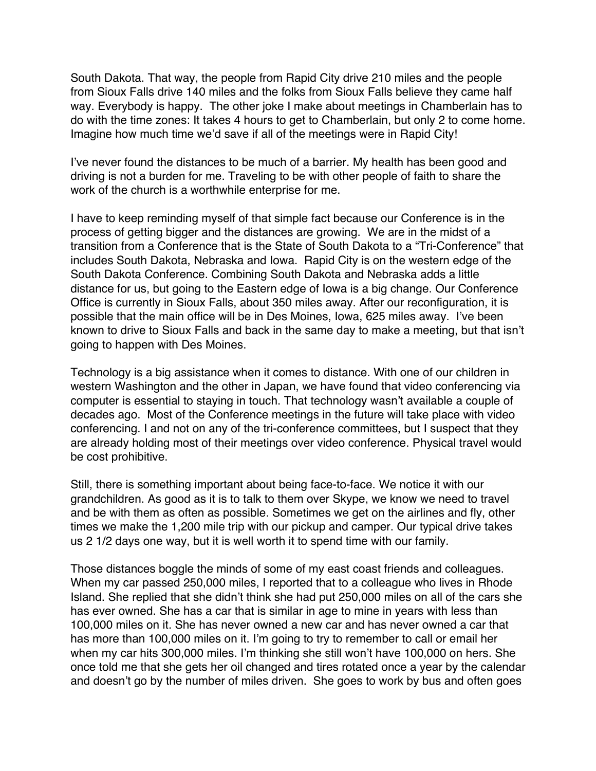South Dakota. That way, the people from Rapid City drive 210 miles and the people from Sioux Falls drive 140 miles and the folks from Sioux Falls believe they came half way. Everybody is happy. The other joke I make about meetings in Chamberlain has to do with the time zones: It takes 4 hours to get to Chamberlain, but only 2 to come home. Imagine how much time we'd save if all of the meetings were in Rapid City!

I've never found the distances to be much of a barrier. My health has been good and driving is not a burden for me. Traveling to be with other people of faith to share the work of the church is a worthwhile enterprise for me.

I have to keep reminding myself of that simple fact because our Conference is in the process of getting bigger and the distances are growing. We are in the midst of a transition from a Conference that is the State of South Dakota to a "Tri-Conference" that includes South Dakota, Nebraska and Iowa. Rapid City is on the western edge of the South Dakota Conference. Combining South Dakota and Nebraska adds a little distance for us, but going to the Eastern edge of Iowa is a big change. Our Conference Office is currently in Sioux Falls, about 350 miles away. After our reconfiguration, it is possible that the main office will be in Des Moines, Iowa, 625 miles away. I've been known to drive to Sioux Falls and back in the same day to make a meeting, but that isn't going to happen with Des Moines.

Technology is a big assistance when it comes to distance. With one of our children in western Washington and the other in Japan, we have found that video conferencing via computer is essential to staying in touch. That technology wasn't available a couple of decades ago. Most of the Conference meetings in the future will take place with video conferencing. I and not on any of the tri-conference committees, but I suspect that they are already holding most of their meetings over video conference. Physical travel would be cost prohibitive.

Still, there is something important about being face-to-face. We notice it with our grandchildren. As good as it is to talk to them over Skype, we know we need to travel and be with them as often as possible. Sometimes we get on the airlines and fly, other times we make the 1,200 mile trip with our pickup and camper. Our typical drive takes us 2 1/2 days one way, but it is well worth it to spend time with our family.

Those distances boggle the minds of some of my east coast friends and colleagues. When my car passed 250,000 miles, I reported that to a colleague who lives in Rhode Island. She replied that she didn't think she had put 250,000 miles on all of the cars she has ever owned. She has a car that is similar in age to mine in years with less than 100,000 miles on it. She has never owned a new car and has never owned a car that has more than 100,000 miles on it. I'm going to try to remember to call or email her when my car hits 300,000 miles. I'm thinking she still won't have 100,000 on hers. She once told me that she gets her oil changed and tires rotated once a year by the calendar and doesn't go by the number of miles driven. She goes to work by bus and often goes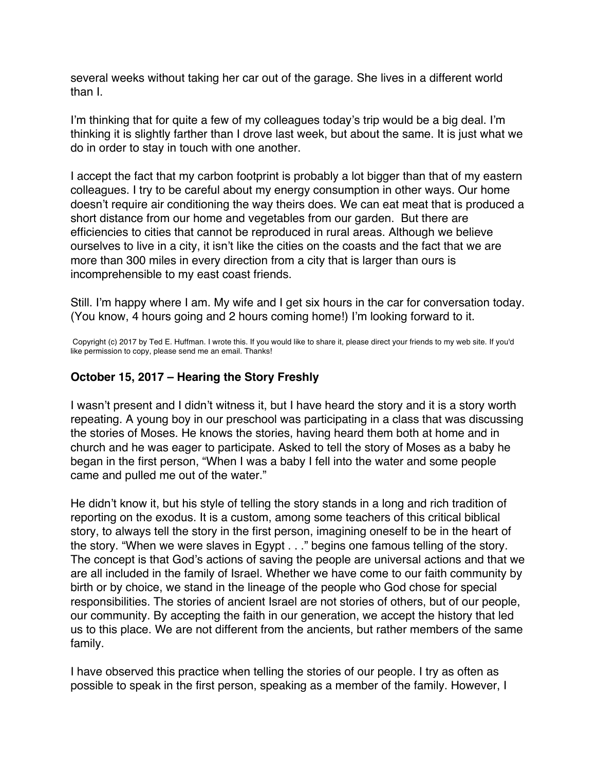<span id="page-31-0"></span>several weeks without taking her car out of the garage. She lives in a different world than I.

I'm thinking that for quite a few of my colleagues today's trip would be a big deal. I'm thinking it is slightly farther than I drove last week, but about the same. It is just what we do in order to stay in touch with one another.

I accept the fact that my carbon footprint is probably a lot bigger than that of my eastern colleagues. I try to be careful about my energy consumption in other ways. Our home doesn't require air conditioning the way theirs does. We can eat meat that is produced a short distance from our home and vegetables from our garden. But there are efficiencies to cities that cannot be reproduced in rural areas. Although we believe ourselves to live in a city, it isn't like the cities on the coasts and the fact that we are more than 300 miles in every direction from a city that is larger than ours is incomprehensible to my east coast friends.

Still. I'm happy where I am. My wife and I get six hours in the car for conversation today. (You know, 4 hours going and 2 hours coming home!) I'm looking forward to it.

Copyright (c) 2017 by Ted E. Huffman. I wrote this. If you would like to share it, please direct your friends to my web site. If you'd like permission to copy, please send me an email. Thanks!

### **October 15, 2017 – Hearing the Story Freshly**

I wasn't present and I didn't witness it, but I have heard the story and it is a story worth repeating. A young boy in our preschool was participating in a class that was discussing the stories of Moses. He knows the stories, having heard them both at home and in church and he was eager to participate. Asked to tell the story of Moses as a baby he began in the first person, "When I was a baby I fell into the water and some people came and pulled me out of the water."

He didn't know it, but his style of telling the story stands in a long and rich tradition of reporting on the exodus. It is a custom, among some teachers of this critical biblical story, to always tell the story in the first person, imagining oneself to be in the heart of the story. "When we were slaves in Egypt . . ." begins one famous telling of the story. The concept is that God's actions of saving the people are universal actions and that we are all included in the family of Israel. Whether we have come to our faith community by birth or by choice, we stand in the lineage of the people who God chose for special responsibilities. The stories of ancient Israel are not stories of others, but of our people, our community. By accepting the faith in our generation, we accept the history that led us to this place. We are not different from the ancients, but rather members of the same family.

I have observed this practice when telling the stories of our people. I try as often as possible to speak in the first person, speaking as a member of the family. However, I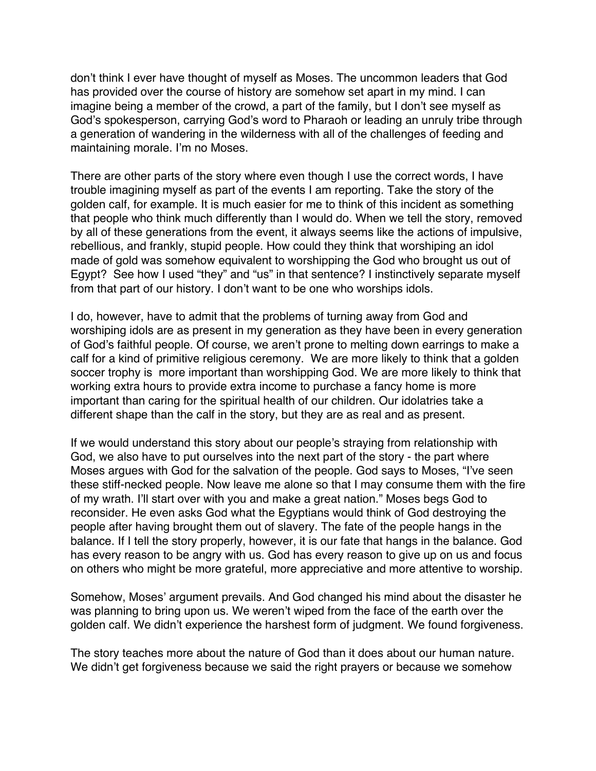don't think I ever have thought of myself as Moses. The uncommon leaders that God has provided over the course of history are somehow set apart in my mind. I can imagine being a member of the crowd, a part of the family, but I don't see myself as God's spokesperson, carrying God's word to Pharaoh or leading an unruly tribe through a generation of wandering in the wilderness with all of the challenges of feeding and maintaining morale. I'm no Moses.

There are other parts of the story where even though I use the correct words, I have trouble imagining myself as part of the events I am reporting. Take the story of the golden calf, for example. It is much easier for me to think of this incident as something that people who think much differently than I would do. When we tell the story, removed by all of these generations from the event, it always seems like the actions of impulsive, rebellious, and frankly, stupid people. How could they think that worshiping an idol made of gold was somehow equivalent to worshipping the God who brought us out of Egypt? See how I used "they" and "us" in that sentence? I instinctively separate myself from that part of our history. I don't want to be one who worships idols.

I do, however, have to admit that the problems of turning away from God and worshiping idols are as present in my generation as they have been in every generation of God's faithful people. Of course, we aren't prone to melting down earrings to make a calf for a kind of primitive religious ceremony. We are more likely to think that a golden soccer trophy is more important than worshipping God. We are more likely to think that working extra hours to provide extra income to purchase a fancy home is more important than caring for the spiritual health of our children. Our idolatries take a different shape than the calf in the story, but they are as real and as present.

If we would understand this story about our people's straying from relationship with God, we also have to put ourselves into the next part of the story - the part where Moses argues with God for the salvation of the people. God says to Moses, "I've seen these stiff-necked people. Now leave me alone so that I may consume them with the fire of my wrath. I'll start over with you and make a great nation." Moses begs God to reconsider. He even asks God what the Egyptians would think of God destroying the people after having brought them out of slavery. The fate of the people hangs in the balance. If I tell the story properly, however, it is our fate that hangs in the balance. God has every reason to be angry with us. God has every reason to give up on us and focus on others who might be more grateful, more appreciative and more attentive to worship.

Somehow, Moses' argument prevails. And God changed his mind about the disaster he was planning to bring upon us. We weren't wiped from the face of the earth over the golden calf. We didn't experience the harshest form of judgment. We found forgiveness.

The story teaches more about the nature of God than it does about our human nature. We didn't get forgiveness because we said the right prayers or because we somehow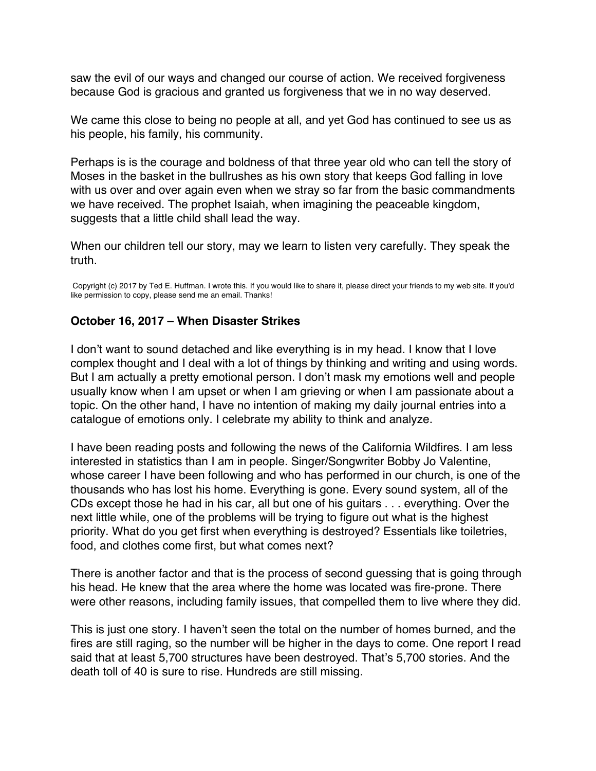<span id="page-33-0"></span>saw the evil of our ways and changed our course of action. We received forgiveness because God is gracious and granted us forgiveness that we in no way deserved.

We came this close to being no people at all, and yet God has continued to see us as his people, his family, his community.

Perhaps is is the courage and boldness of that three year old who can tell the story of Moses in the basket in the bullrushes as his own story that keeps God falling in love with us over and over again even when we stray so far from the basic commandments we have received. The prophet Isaiah, when imagining the peaceable kingdom, suggests that a little child shall lead the way.

When our children tell our story, may we learn to listen very carefully. They speak the truth.

Copyright (c) 2017 by Ted E. Huffman. I wrote this. If you would like to share it, please direct your friends to my web site. If you'd like permission to copy, please send me an email. Thanks!

### **October 16, 2017 – When Disaster Strikes**

I don't want to sound detached and like everything is in my head. I know that I love complex thought and I deal with a lot of things by thinking and writing and using words. But I am actually a pretty emotional person. I don't mask my emotions well and people usually know when I am upset or when I am grieving or when I am passionate about a topic. On the other hand, I have no intention of making my daily journal entries into a catalogue of emotions only. I celebrate my ability to think and analyze.

I have been reading posts and following the news of the California Wildfires. I am less interested in statistics than I am in people. Singer/Songwriter Bobby Jo Valentine, whose career I have been following and who has performed in our church, is one of the thousands who has lost his home. Everything is gone. Every sound system, all of the CDs except those he had in his car, all but one of his guitars . . . everything. Over the next little while, one of the problems will be trying to figure out what is the highest priority. What do you get first when everything is destroyed? Essentials like toiletries, food, and clothes come first, but what comes next?

There is another factor and that is the process of second guessing that is going through his head. He knew that the area where the home was located was fire-prone. There were other reasons, including family issues, that compelled them to live where they did.

This is just one story. I haven't seen the total on the number of homes burned, and the fires are still raging, so the number will be higher in the days to come. One report I read said that at least 5,700 structures have been destroyed. That's 5,700 stories. And the death toll of 40 is sure to rise. Hundreds are still missing.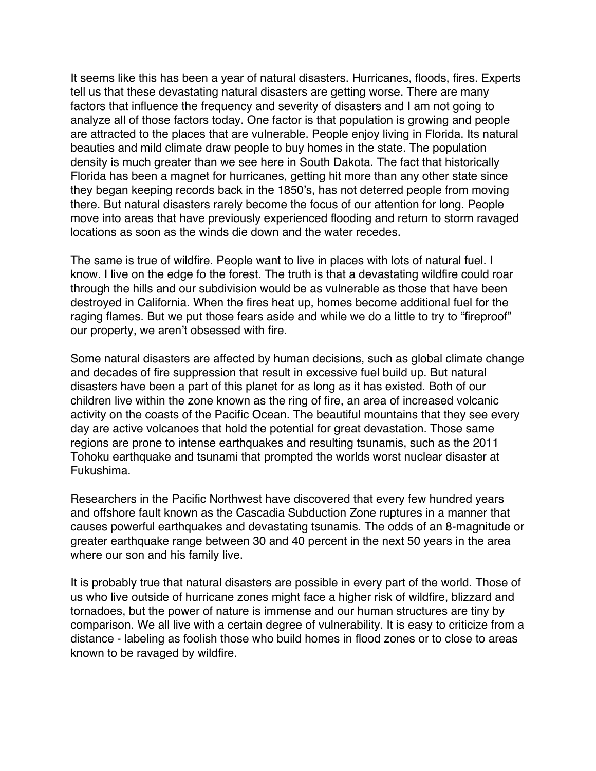It seems like this has been a year of natural disasters. Hurricanes, floods, fires. Experts tell us that these devastating natural disasters are getting worse. There are many factors that influence the frequency and severity of disasters and I am not going to analyze all of those factors today. One factor is that population is growing and people are attracted to the places that are vulnerable. People enjoy living in Florida. Its natural beauties and mild climate draw people to buy homes in the state. The population density is much greater than we see here in South Dakota. The fact that historically Florida has been a magnet for hurricanes, getting hit more than any other state since they began keeping records back in the 1850's, has not deterred people from moving there. But natural disasters rarely become the focus of our attention for long. People move into areas that have previously experienced flooding and return to storm ravaged locations as soon as the winds die down and the water recedes.

The same is true of wildfire. People want to live in places with lots of natural fuel. I know. I live on the edge fo the forest. The truth is that a devastating wildfire could roar through the hills and our subdivision would be as vulnerable as those that have been destroyed in California. When the fires heat up, homes become additional fuel for the raging flames. But we put those fears aside and while we do a little to try to "fireproof" our property, we aren't obsessed with fire.

Some natural disasters are affected by human decisions, such as global climate change and decades of fire suppression that result in excessive fuel build up. But natural disasters have been a part of this planet for as long as it has existed. Both of our children live within the zone known as the ring of fire, an area of increased volcanic activity on the coasts of the Pacific Ocean. The beautiful mountains that they see every day are active volcanoes that hold the potential for great devastation. Those same regions are prone to intense earthquakes and resulting tsunamis, such as the 2011 Tohoku earthquake and tsunami that prompted the worlds worst nuclear disaster at Fukushima.

Researchers in the Pacific Northwest have discovered that every few hundred years and offshore fault known as the Cascadia Subduction Zone ruptures in a manner that causes powerful earthquakes and devastating tsunamis. The odds of an 8-magnitude or greater earthquake range between 30 and 40 percent in the next 50 years in the area where our son and his family live.

It is probably true that natural disasters are possible in every part of the world. Those of us who live outside of hurricane zones might face a higher risk of wildfire, blizzard and tornadoes, but the power of nature is immense and our human structures are tiny by comparison. We all live with a certain degree of vulnerability. It is easy to criticize from a distance - labeling as foolish those who build homes in flood zones or to close to areas known to be ravaged by wildfire.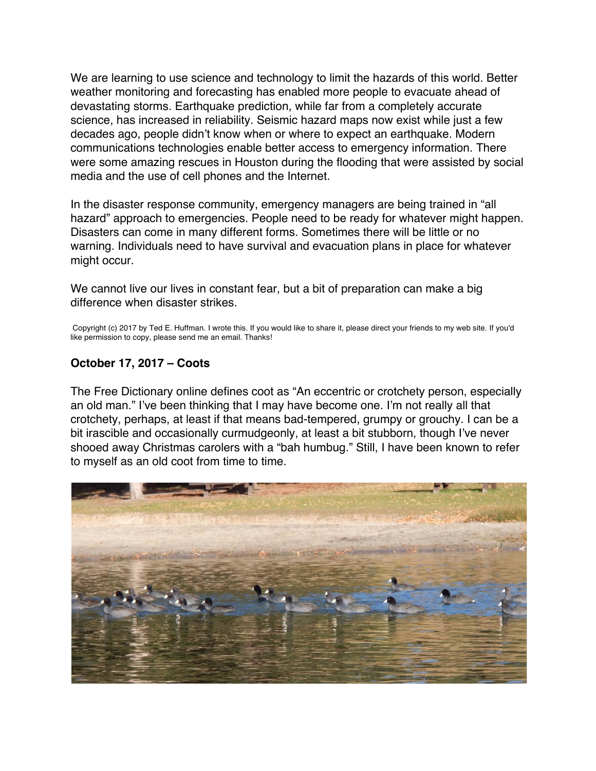<span id="page-35-0"></span>We are learning to use science and technology to limit the hazards of this world. Better weather monitoring and forecasting has enabled more people to evacuate ahead of devastating storms. Earthquake prediction, while far from a completely accurate science, has increased in reliability. Seismic hazard maps now exist while just a few decades ago, people didn't know when or where to expect an earthquake. Modern communications technologies enable better access to emergency information. There were some amazing rescues in Houston during the flooding that were assisted by social media and the use of cell phones and the Internet.

In the disaster response community, emergency managers are being trained in "all hazard" approach to emergencies. People need to be ready for whatever might happen. Disasters can come in many different forms. Sometimes there will be little or no warning. Individuals need to have survival and evacuation plans in place for whatever might occur.

We cannot live our lives in constant fear, but a bit of preparation can make a big difference when disaster strikes.

Copyright (c) 2017 by Ted E. Huffman. I wrote this. If you would like to share it, please direct your friends to my web site. If you'd like permission to copy, please send me an email. Thanks!

#### **October 17, 2017 – Coots**

The Free Dictionary online defines coot as "An eccentric or crotchety person, especially an old man." I've been thinking that I may have become one. I'm not really all that crotchety, perhaps, at least if that means bad-tempered, grumpy or grouchy. I can be a bit irascible and occasionally curmudgeonly, at least a bit stubborn, though I've never shooed away Christmas carolers with a "bah humbug." Still, I have been known to refer to myself as an old coot from time to time.

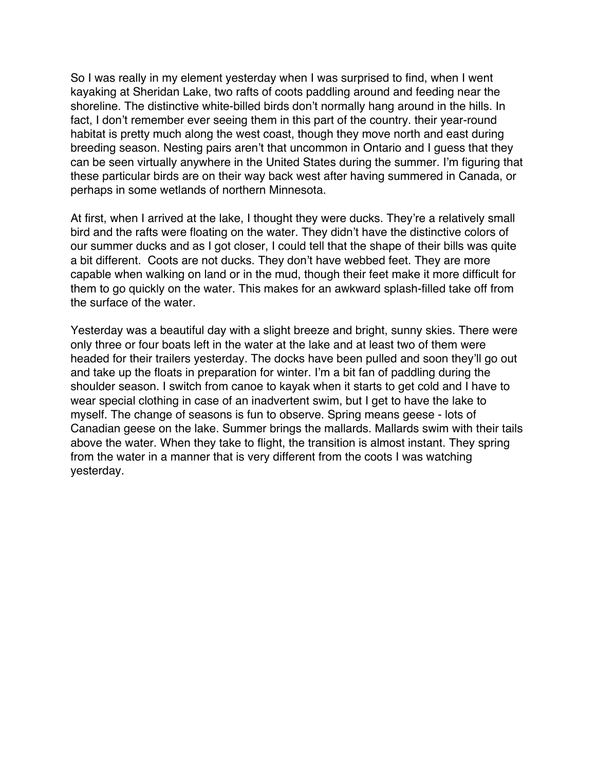So I was really in my element yesterday when I was surprised to find, when I went kayaking at Sheridan Lake, two rafts of coots paddling around and feeding near the shoreline. The distinctive white-billed birds don't normally hang around in the hills. In fact, I don't remember ever seeing them in this part of the country. their year-round habitat is pretty much along the west coast, though they move north and east during breeding season. Nesting pairs aren't that uncommon in Ontario and I guess that they can be seen virtually anywhere in the United States during the summer. I'm figuring that these particular birds are on their way back west after having summered in Canada, or perhaps in some wetlands of northern Minnesota.

At first, when I arrived at the lake, I thought they were ducks. They're a relatively small bird and the rafts were floating on the water. They didn't have the distinctive colors of our summer ducks and as I got closer, I could tell that the shape of their bills was quite a bit different. Coots are not ducks. They don't have webbed feet. They are more capable when walking on land or in the mud, though their feet make it more difficult for them to go quickly on the water. This makes for an awkward splash-filled take off from the surface of the water.

Yesterday was a beautiful day with a slight breeze and bright, sunny skies. There were only three or four boats left in the water at the lake and at least two of them were headed for their trailers yesterday. The docks have been pulled and soon they'll go out and take up the floats in preparation for winter. I'm a bit fan of paddling during the shoulder season. I switch from canoe to kayak when it starts to get cold and I have to wear special clothing in case of an inadvertent swim, but I get to have the lake to myself. The change of seasons is fun to observe. Spring means geese - lots of Canadian geese on the lake. Summer brings the mallards. Mallards swim with their tails above the water. When they take to flight, the transition is almost instant. They spring from the water in a manner that is very different from the coots I was watching yesterday.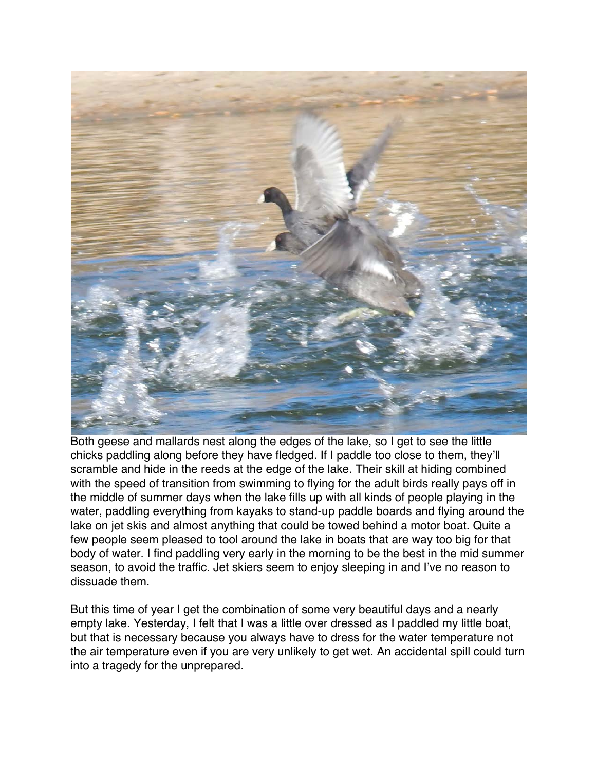

Both geese and mallards nest along the edges of the lake, so I get to see the little chicks paddling along before they have fledged. If I paddle too close to them, they'll scramble and hide in the reeds at the edge of the lake. Their skill at hiding combined with the speed of transition from swimming to flying for the adult birds really pays off in the middle of summer days when the lake fills up with all kinds of people playing in the water, paddling everything from kayaks to stand-up paddle boards and flying around the lake on jet skis and almost anything that could be towed behind a motor boat. Quite a few people seem pleased to tool around the lake in boats that are way too big for that body of water. I find paddling very early in the morning to be the best in the mid summer season, to avoid the traffic. Jet skiers seem to enjoy sleeping in and I've no reason to dissuade them.

But this time of year I get the combination of some very beautiful days and a nearly empty lake. Yesterday, I felt that I was a little over dressed as I paddled my little boat, but that is necessary because you always have to dress for the water temperature not the air temperature even if you are very unlikely to get wet. An accidental spill could turn into a tragedy for the unprepared.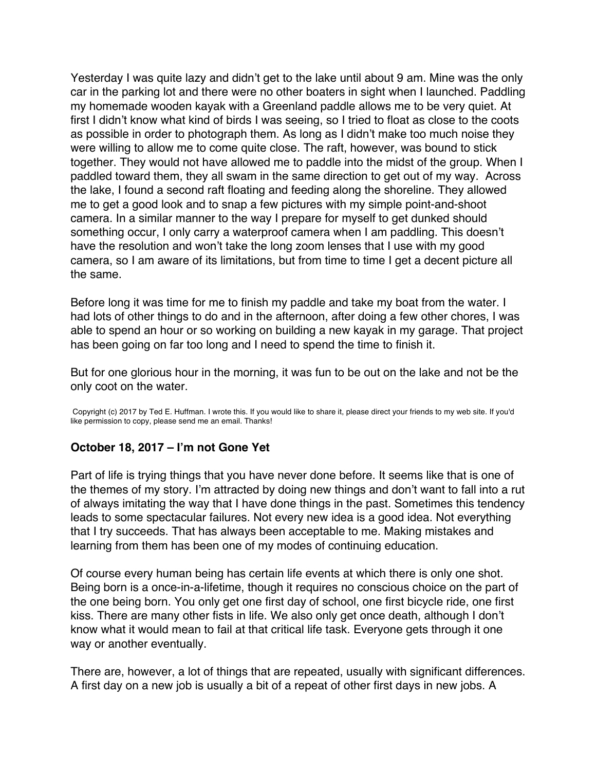<span id="page-38-0"></span>Yesterday I was quite lazy and didn't get to the lake until about 9 am. Mine was the only car in the parking lot and there were no other boaters in sight when I launched. Paddling my homemade wooden kayak with a Greenland paddle allows me to be very quiet. At first I didn't know what kind of birds I was seeing, so I tried to float as close to the coots as possible in order to photograph them. As long as I didn't make too much noise they were willing to allow me to come quite close. The raft, however, was bound to stick together. They would not have allowed me to paddle into the midst of the group. When I paddled toward them, they all swam in the same direction to get out of my way. Across the lake, I found a second raft floating and feeding along the shoreline. They allowed me to get a good look and to snap a few pictures with my simple point-and-shoot camera. In a similar manner to the way I prepare for myself to get dunked should something occur, I only carry a waterproof camera when I am paddling. This doesn't have the resolution and won't take the long zoom lenses that I use with my good camera, so I am aware of its limitations, but from time to time I get a decent picture all the same.

Before long it was time for me to finish my paddle and take my boat from the water. I had lots of other things to do and in the afternoon, after doing a few other chores, I was able to spend an hour or so working on building a new kayak in my garage. That project has been going on far too long and I need to spend the time to finish it.

But for one glorious hour in the morning, it was fun to be out on the lake and not be the only coot on the water.

Copyright (c) 2017 by Ted E. Huffman. I wrote this. If you would like to share it, please direct your friends to my web site. If you'd like permission to copy, please send me an email. Thanks!

#### **October 18, 2017 – I'm not Gone Yet**

Part of life is trying things that you have never done before. It seems like that is one of the themes of my story. I'm attracted by doing new things and don't want to fall into a rut of always imitating the way that I have done things in the past. Sometimes this tendency leads to some spectacular failures. Not every new idea is a good idea. Not everything that I try succeeds. That has always been acceptable to me. Making mistakes and learning from them has been one of my modes of continuing education.

Of course every human being has certain life events at which there is only one shot. Being born is a once-in-a-lifetime, though it requires no conscious choice on the part of the one being born. You only get one first day of school, one first bicycle ride, one first kiss. There are many other fists in life. We also only get once death, although I don't know what it would mean to fail at that critical life task. Everyone gets through it one way or another eventually.

There are, however, a lot of things that are repeated, usually with significant differences. A first day on a new job is usually a bit of a repeat of other first days in new jobs. A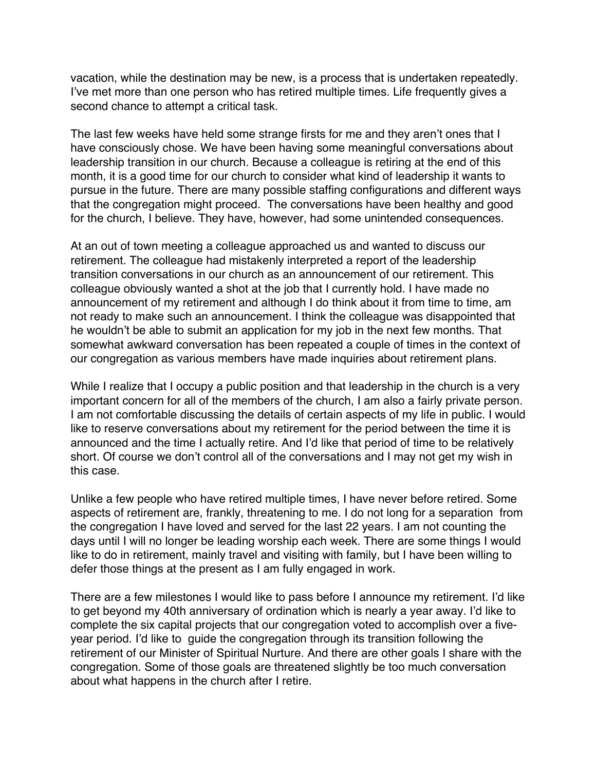vacation, while the destination may be new, is a process that is undertaken repeatedly. I've met more than one person who has retired multiple times. Life frequently gives a second chance to attempt a critical task.

The last few weeks have held some strange firsts for me and they aren't ones that I have consciously chose. We have been having some meaningful conversations about leadership transition in our church. Because a colleague is retiring at the end of this month, it is a good time for our church to consider what kind of leadership it wants to pursue in the future. There are many possible staffing configurations and different ways that the congregation might proceed. The conversations have been healthy and good for the church, I believe. They have, however, had some unintended consequences.

At an out of town meeting a colleague approached us and wanted to discuss our retirement. The colleague had mistakenly interpreted a report of the leadership transition conversations in our church as an announcement of our retirement. This colleague obviously wanted a shot at the job that I currently hold. I have made no announcement of my retirement and although I do think about it from time to time, am not ready to make such an announcement. I think the colleague was disappointed that he wouldn't be able to submit an application for my job in the next few months. That somewhat awkward conversation has been repeated a couple of times in the context of our congregation as various members have made inquiries about retirement plans.

While I realize that I occupy a public position and that leadership in the church is a very important concern for all of the members of the church, I am also a fairly private person. I am not comfortable discussing the details of certain aspects of my life in public. I would like to reserve conversations about my retirement for the period between the time it is announced and the time I actually retire. And I'd like that period of time to be relatively short. Of course we don't control all of the conversations and I may not get my wish in this case.

Unlike a few people who have retired multiple times, I have never before retired. Some aspects of retirement are, frankly, threatening to me. I do not long for a separation from the congregation I have loved and served for the last 22 years. I am not counting the days until I will no longer be leading worship each week. There are some things I would like to do in retirement, mainly travel and visiting with family, but I have been willing to defer those things at the present as I am fully engaged in work.

There are a few milestones I would like to pass before I announce my retirement. I'd like to get beyond my 40th anniversary of ordination which is nearly a year away. I'd like to complete the six capital projects that our congregation voted to accomplish over a fiveyear period. I'd like to guide the congregation through its transition following the retirement of our Minister of Spiritual Nurture. And there are other goals I share with the congregation. Some of those goals are threatened slightly be too much conversation about what happens in the church after I retire.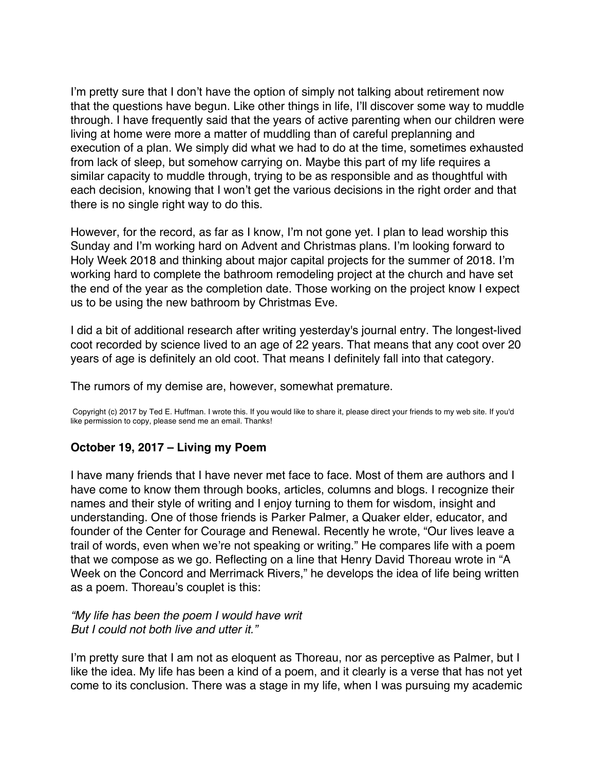<span id="page-40-0"></span>I'm pretty sure that I don't have the option of simply not talking about retirement now that the questions have begun. Like other things in life, I'll discover some way to muddle through. I have frequently said that the years of active parenting when our children were living at home were more a matter of muddling than of careful preplanning and execution of a plan. We simply did what we had to do at the time, sometimes exhausted from lack of sleep, but somehow carrying on. Maybe this part of my life requires a similar capacity to muddle through, trying to be as responsible and as thoughtful with each decision, knowing that I won't get the various decisions in the right order and that there is no single right way to do this.

However, for the record, as far as I know, I'm not gone yet. I plan to lead worship this Sunday and I'm working hard on Advent and Christmas plans. I'm looking forward to Holy Week 2018 and thinking about major capital projects for the summer of 2018. I'm working hard to complete the bathroom remodeling project at the church and have set the end of the year as the completion date. Those working on the project know I expect us to be using the new bathroom by Christmas Eve.

I did a bit of additional research after writing yesterday's journal entry. The longest-lived coot recorded by science lived to an age of 22 years. That means that any coot over 20 years of age is definitely an old coot. That means I definitely fall into that category.

The rumors of my demise are, however, somewhat premature.

Copyright (c) 2017 by Ted E. Huffman. I wrote this. If you would like to share it, please direct your friends to my web site. If you'd like permission to copy, please send me an email. Thanks!

#### **October 19, 2017 – Living my Poem**

I have many friends that I have never met face to face. Most of them are authors and I have come to know them through books, articles, columns and blogs. I recognize their names and their style of writing and I enjoy turning to them for wisdom, insight and understanding. One of those friends is Parker Palmer, a Quaker elder, educator, and founder of the Center for Courage and Renewal. Recently he wrote, "Our lives leave a trail of words, even when we're not speaking or writing." He compares life with a poem that we compose as we go. Reflecting on a line that Henry David Thoreau wrote in "A Week on the Concord and Merrimack Rivers," he develops the idea of life being written as a poem. Thoreau's couplet is this:

*"My life has been the poem I would have writ But I could not both live and utter it."*

I'm pretty sure that I am not as eloquent as Thoreau, nor as perceptive as Palmer, but I like the idea. My life has been a kind of a poem, and it clearly is a verse that has not yet come to its conclusion. There was a stage in my life, when I was pursuing my academic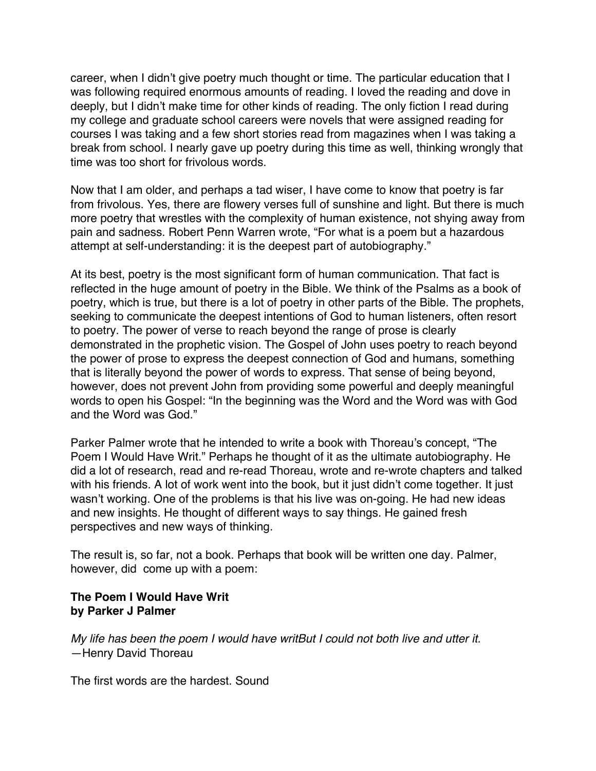career, when I didn't give poetry much thought or time. The particular education that I was following required enormous amounts of reading. I loved the reading and dove in deeply, but I didn't make time for other kinds of reading. The only fiction I read during my college and graduate school careers were novels that were assigned reading for courses I was taking and a few short stories read from magazines when I was taking a break from school. I nearly gave up poetry during this time as well, thinking wrongly that time was too short for frivolous words.

Now that I am older, and perhaps a tad wiser, I have come to know that poetry is far from frivolous. Yes, there are flowery verses full of sunshine and light. But there is much more poetry that wrestles with the complexity of human existence, not shying away from pain and sadness. Robert Penn Warren wrote, "For what is a poem but a hazardous attempt at self-understanding: it is the deepest part of autobiography."

At its best, poetry is the most significant form of human communication. That fact is reflected in the huge amount of poetry in the Bible. We think of the Psalms as a book of poetry, which is true, but there is a lot of poetry in other parts of the Bible. The prophets, seeking to communicate the deepest intentions of God to human listeners, often resort to poetry. The power of verse to reach beyond the range of prose is clearly demonstrated in the prophetic vision. The Gospel of John uses poetry to reach beyond the power of prose to express the deepest connection of God and humans, something that is literally beyond the power of words to express. That sense of being beyond, however, does not prevent John from providing some powerful and deeply meaningful words to open his Gospel: "In the beginning was the Word and the Word was with God and the Word was God."

Parker Palmer wrote that he intended to write a book with Thoreau's concept, "The Poem I Would Have Writ." Perhaps he thought of it as the ultimate autobiography. He did a lot of research, read and re-read Thoreau, wrote and re-wrote chapters and talked with his friends. A lot of work went into the book, but it just didn't come together. It just wasn't working. One of the problems is that his live was on-going. He had new ideas and new insights. He thought of different ways to say things. He gained fresh perspectives and new ways of thinking.

The result is, so far, not a book. Perhaps that book will be written one day. Palmer, however, did come up with a poem:

#### **The Poem I Would Have Writ by Parker J Palmer**

*My life has been the poem I would have writBut I could not both live and utter it.* —Henry David Thoreau

The first words are the hardest. Sound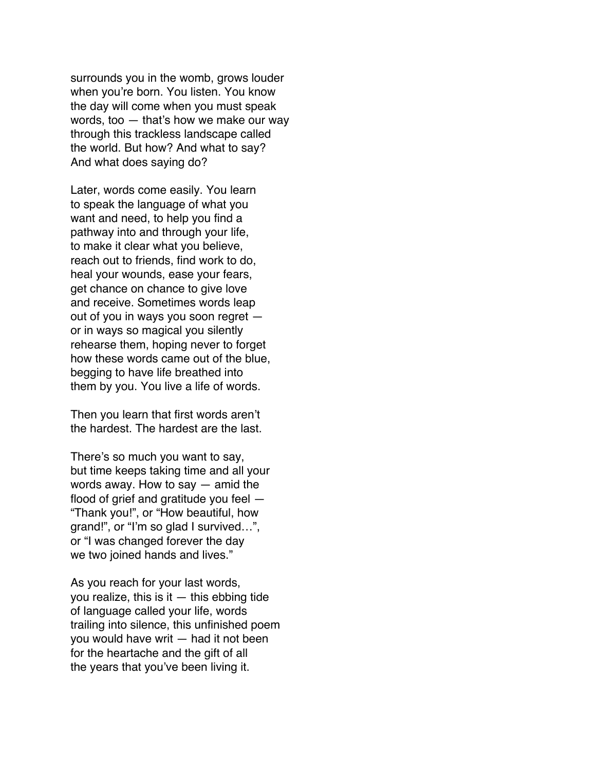surrounds you in the womb, grows louder when you're born. You listen. You know the day will come when you must speak words, too — that's how we make our way through this trackless landscape called the world. But how? And what to say? And what does saying do?

Later, words come easily. You learn to speak the language of what you want and need, to help you find a pathway into and through your life, to make it clear what you believe, reach out to friends, find work to do, heal your wounds, ease your fears, get chance on chance to give love and receive. Sometimes words leap out of you in ways you soon regret or in ways so magical you silently rehearse them, hoping never to forget how these words came out of the blue, begging to have life breathed into them by you. You live a life of words.

Then you learn that first words aren't the hardest. The hardest are the last.

There's so much you want to say, but time keeps taking time and all your words away. How to say — amid the flood of grief and gratitude you feel — "Thank you!", or "How beautiful, how grand!", or "I'm so glad I survived…", or "I was changed forever the day we two joined hands and lives."

As you reach for your last words, you realize, this is it  $-$  this ebbing tide of language called your life, words trailing into silence, this unfinished poem you would have writ — had it not been for the heartache and the gift of all the years that you've been living it.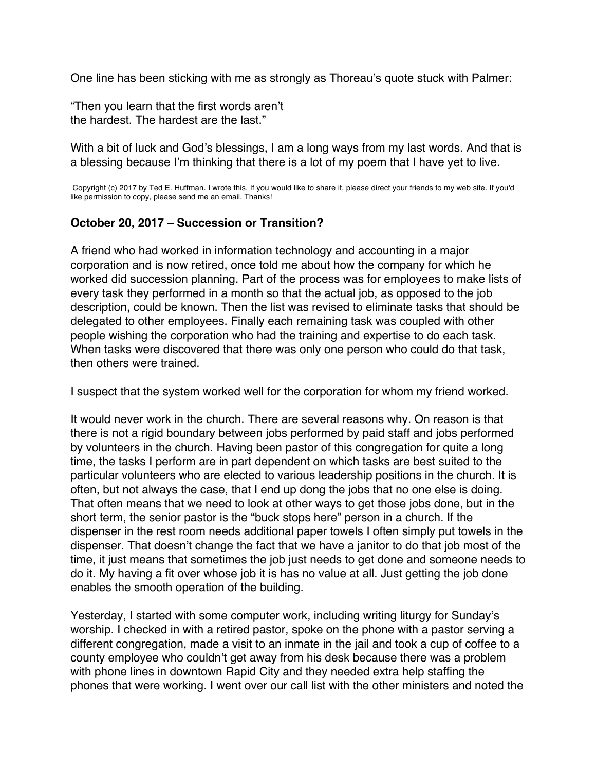<span id="page-43-0"></span>One line has been sticking with me as strongly as Thoreau's quote stuck with Palmer:

"Then you learn that the first words aren't the hardest. The hardest are the last."

With a bit of luck and God's blessings, I am a long ways from my last words. And that is a blessing because I'm thinking that there is a lot of my poem that I have yet to live.

Copyright (c) 2017 by Ted E. Huffman. I wrote this. If you would like to share it, please direct your friends to my web site. If you'd like permission to copy, please send me an email. Thanks!

#### **October 20, 2017 – Succession or Transition?**

A friend who had worked in information technology and accounting in a major corporation and is now retired, once told me about how the company for which he worked did succession planning. Part of the process was for employees to make lists of every task they performed in a month so that the actual job, as opposed to the job description, could be known. Then the list was revised to eliminate tasks that should be delegated to other employees. Finally each remaining task was coupled with other people wishing the corporation who had the training and expertise to do each task. When tasks were discovered that there was only one person who could do that task, then others were trained.

I suspect that the system worked well for the corporation for whom my friend worked.

It would never work in the church. There are several reasons why. On reason is that there is not a rigid boundary between jobs performed by paid staff and jobs performed by volunteers in the church. Having been pastor of this congregation for quite a long time, the tasks I perform are in part dependent on which tasks are best suited to the particular volunteers who are elected to various leadership positions in the church. It is often, but not always the case, that I end up dong the jobs that no one else is doing. That often means that we need to look at other ways to get those jobs done, but in the short term, the senior pastor is the "buck stops here" person in a church. If the dispenser in the rest room needs additional paper towels I often simply put towels in the dispenser. That doesn't change the fact that we have a janitor to do that job most of the time, it just means that sometimes the job just needs to get done and someone needs to do it. My having a fit over whose job it is has no value at all. Just getting the job done enables the smooth operation of the building.

Yesterday, I started with some computer work, including writing liturgy for Sunday's worship. I checked in with a retired pastor, spoke on the phone with a pastor serving a different congregation, made a visit to an inmate in the jail and took a cup of coffee to a county employee who couldn't get away from his desk because there was a problem with phone lines in downtown Rapid City and they needed extra help staffing the phones that were working. I went over our call list with the other ministers and noted the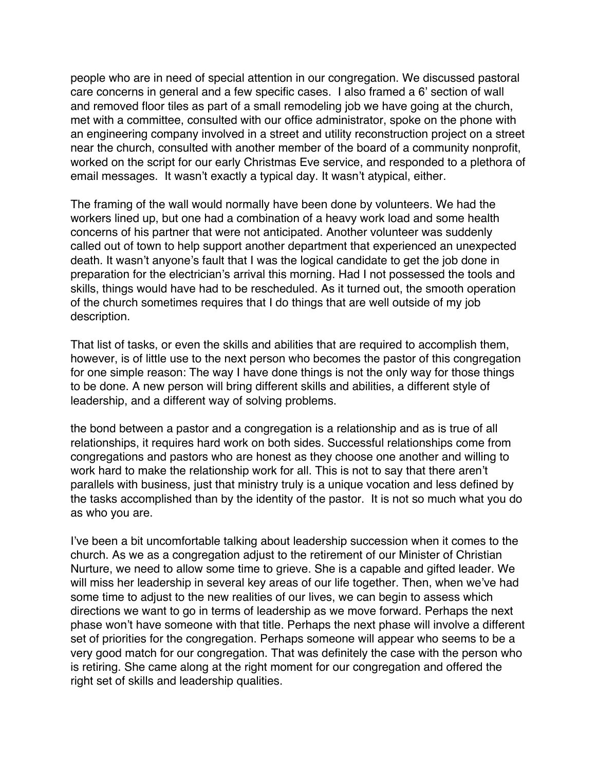people who are in need of special attention in our congregation. We discussed pastoral care concerns in general and a few specific cases. I also framed a 6' section of wall and removed floor tiles as part of a small remodeling job we have going at the church, met with a committee, consulted with our office administrator, spoke on the phone with an engineering company involved in a street and utility reconstruction project on a street near the church, consulted with another member of the board of a community nonprofit, worked on the script for our early Christmas Eve service, and responded to a plethora of email messages. It wasn't exactly a typical day. It wasn't atypical, either.

The framing of the wall would normally have been done by volunteers. We had the workers lined up, but one had a combination of a heavy work load and some health concerns of his partner that were not anticipated. Another volunteer was suddenly called out of town to help support another department that experienced an unexpected death. It wasn't anyone's fault that I was the logical candidate to get the job done in preparation for the electrician's arrival this morning. Had I not possessed the tools and skills, things would have had to be rescheduled. As it turned out, the smooth operation of the church sometimes requires that I do things that are well outside of my job description.

That list of tasks, or even the skills and abilities that are required to accomplish them, however, is of little use to the next person who becomes the pastor of this congregation for one simple reason: The way I have done things is not the only way for those things to be done. A new person will bring different skills and abilities, a different style of leadership, and a different way of solving problems.

the bond between a pastor and a congregation is a relationship and as is true of all relationships, it requires hard work on both sides. Successful relationships come from congregations and pastors who are honest as they choose one another and willing to work hard to make the relationship work for all. This is not to say that there aren't parallels with business, just that ministry truly is a unique vocation and less defined by the tasks accomplished than by the identity of the pastor. It is not so much what you do as who you are.

I've been a bit uncomfortable talking about leadership succession when it comes to the church. As we as a congregation adjust to the retirement of our Minister of Christian Nurture, we need to allow some time to grieve. She is a capable and gifted leader. We will miss her leadership in several key areas of our life together. Then, when we've had some time to adjust to the new realities of our lives, we can begin to assess which directions we want to go in terms of leadership as we move forward. Perhaps the next phase won't have someone with that title. Perhaps the next phase will involve a different set of priorities for the congregation. Perhaps someone will appear who seems to be a very good match for our congregation. That was definitely the case with the person who is retiring. She came along at the right moment for our congregation and offered the right set of skills and leadership qualities.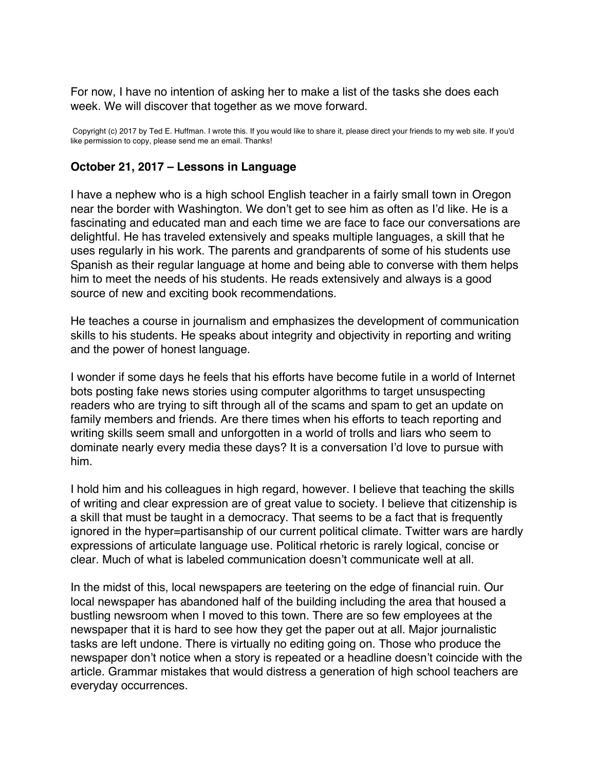<span id="page-45-0"></span>For now, I have no intention of asking her to make a list of the tasks she does each week. We will discover that together as we move forward.

Copyright (c) 2017 by Ted E. Huffman. I wrote this. If you would like to share it, please direct your friends to my web site. If you'd like permission to copy, please send me an email. Thanks!

#### **October 21, 2017 – Lessons in Language**

I have a nephew who is a high school English teacher in a fairly small town in Oregon near the border with Washington. We don't get to see him as often as I'd like. He is a fascinating and educated man and each time we are face to face our conversations are delightful. He has traveled extensively and speaks multiple languages, a skill that he uses regularly in his work. The parents and grandparents of some of his students use Spanish as their regular language at home and being able to converse with them helps him to meet the needs of his students. He reads extensively and always is a good source of new and exciting book recommendations.

He teaches a course in journalism and emphasizes the development of communication skills to his students. He speaks about integrity and objectivity in reporting and writing and the power of honest language.

I wonder if some days he feels that his efforts have become futile in a world of Internet bots posting fake news stories using computer algorithms to target unsuspecting readers who are trying to sift through all of the scams and spam to get an update on family members and friends. Are there times when his efforts to teach reporting and writing skills seem small and unforgotten in a world of trolls and liars who seem to dominate nearly every media these days? It is a conversation I'd love to pursue with him.

I hold him and his colleagues in high regard, however. I believe that teaching the skills of writing and clear expression are of great value to society. I believe that citizenship is a skill that must be taught in a democracy. That seems to be a fact that is frequently ignored in the hyper=partisanship of our current political climate. Twitter wars are hardly expressions of articulate language use. Political rhetoric is rarely logical, concise or clear. Much of what is labeled communication doesn't communicate well at all.

In the midst of this, local newspapers are teetering on the edge of financial ruin. Our local newspaper has abandoned half of the building including the area that housed a bustling newsroom when I moved to this town. There are so few employees at the newspaper that it is hard to see how they get the paper out at all. Major journalistic tasks are left undone. There is virtually no editing going on. Those who produce the newspaper don't notice when a story is repeated or a headline doesn't coincide with the article. Grammar mistakes that would distress a generation of high school teachers are everyday occurrences.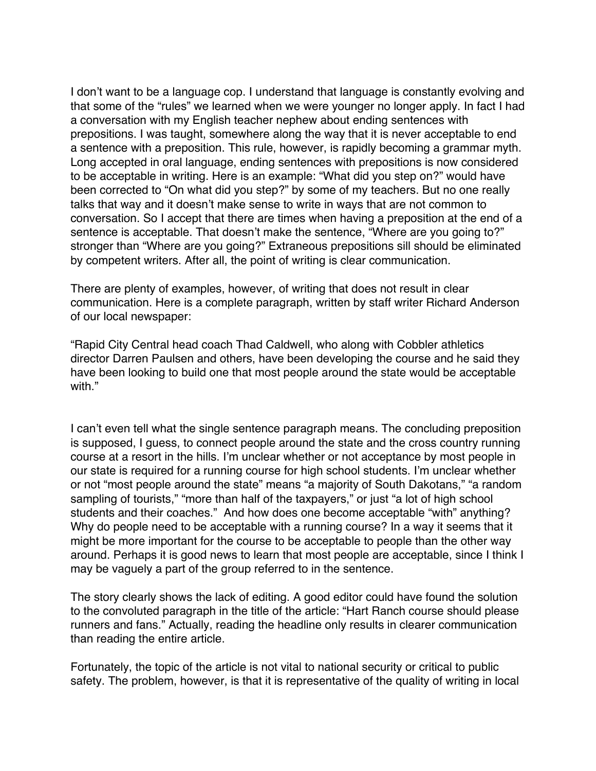I don't want to be a language cop. I understand that language is constantly evolving and that some of the "rules" we learned when we were younger no longer apply. In fact I had a conversation with my English teacher nephew about ending sentences with prepositions. I was taught, somewhere along the way that it is never acceptable to end a sentence with a preposition. This rule, however, is rapidly becoming a grammar myth. Long accepted in oral language, ending sentences with prepositions is now considered to be acceptable in writing. Here is an example: "What did you step on?" would have been corrected to "On what did you step?" by some of my teachers. But no one really talks that way and it doesn't make sense to write in ways that are not common to conversation. So I accept that there are times when having a preposition at the end of a sentence is acceptable. That doesn't make the sentence, "Where are you going to?" stronger than "Where are you going?" Extraneous prepositions sill should be eliminated by competent writers. After all, the point of writing is clear communication.

There are plenty of examples, however, of writing that does not result in clear communication. Here is a complete paragraph, written by staff writer Richard Anderson of our local newspaper:

"Rapid City Central head coach Thad Caldwell, who along with Cobbler athletics director Darren Paulsen and others, have been developing the course and he said they have been looking to build one that most people around the state would be acceptable with."

I can't even tell what the single sentence paragraph means. The concluding preposition is supposed, I guess, to connect people around the state and the cross country running course at a resort in the hills. I'm unclear whether or not acceptance by most people in our state is required for a running course for high school students. I'm unclear whether or not "most people around the state" means "a majority of South Dakotans," "a random sampling of tourists," "more than half of the taxpayers," or just "a lot of high school students and their coaches." And how does one become acceptable "with" anything? Why do people need to be acceptable with a running course? In a way it seems that it might be more important for the course to be acceptable to people than the other way around. Perhaps it is good news to learn that most people are acceptable, since I think I may be vaguely a part of the group referred to in the sentence.

The story clearly shows the lack of editing. A good editor could have found the solution to the convoluted paragraph in the title of the article: "Hart Ranch course should please runners and fans." Actually, reading the headline only results in clearer communication than reading the entire article.

Fortunately, the topic of the article is not vital to national security or critical to public safety. The problem, however, is that it is representative of the quality of writing in local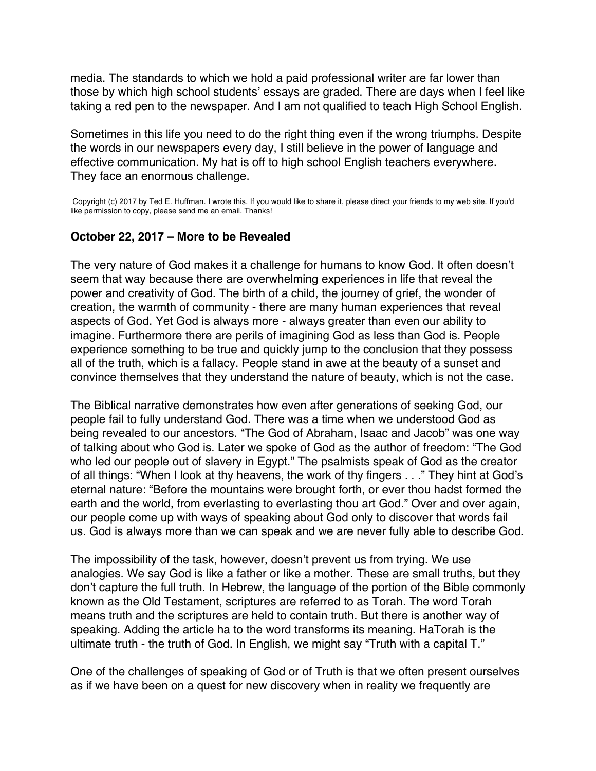<span id="page-47-0"></span>media. The standards to which we hold a paid professional writer are far lower than those by which high school students' essays are graded. There are days when I feel like taking a red pen to the newspaper. And I am not qualified to teach High School English.

Sometimes in this life you need to do the right thing even if the wrong triumphs. Despite the words in our newspapers every day, I still believe in the power of language and effective communication. My hat is off to high school English teachers everywhere. They face an enormous challenge.

Copyright (c) 2017 by Ted E. Huffman. I wrote this. If you would like to share it, please direct your friends to my web site. If you'd like permission to copy, please send me an email. Thanks!

#### **October 22, 2017 – More to be Revealed**

The very nature of God makes it a challenge for humans to know God. It often doesn't seem that way because there are overwhelming experiences in life that reveal the power and creativity of God. The birth of a child, the journey of grief, the wonder of creation, the warmth of community - there are many human experiences that reveal aspects of God. Yet God is always more - always greater than even our ability to imagine. Furthermore there are perils of imagining God as less than God is. People experience something to be true and quickly jump to the conclusion that they possess all of the truth, which is a fallacy. People stand in awe at the beauty of a sunset and convince themselves that they understand the nature of beauty, which is not the case.

The Biblical narrative demonstrates how even after generations of seeking God, our people fail to fully understand God. There was a time when we understood God as being revealed to our ancestors. "The God of Abraham, Isaac and Jacob" was one way of talking about who God is. Later we spoke of God as the author of freedom: "The God who led our people out of slavery in Egypt." The psalmists speak of God as the creator of all things: "When I look at thy heavens, the work of thy fingers . . ." They hint at God's eternal nature: "Before the mountains were brought forth, or ever thou hadst formed the earth and the world, from everlasting to everlasting thou art God." Over and over again, our people come up with ways of speaking about God only to discover that words fail us. God is always more than we can speak and we are never fully able to describe God.

The impossibility of the task, however, doesn't prevent us from trying. We use analogies. We say God is like a father or like a mother. These are small truths, but they don't capture the full truth. In Hebrew, the language of the portion of the Bible commonly known as the Old Testament, scriptures are referred to as Torah. The word Torah means truth and the scriptures are held to contain truth. But there is another way of speaking. Adding the article ha to the word transforms its meaning. HaTorah is the ultimate truth - the truth of God. In English, we might say "Truth with a capital T."

One of the challenges of speaking of God or of Truth is that we often present ourselves as if we have been on a quest for new discovery when in reality we frequently are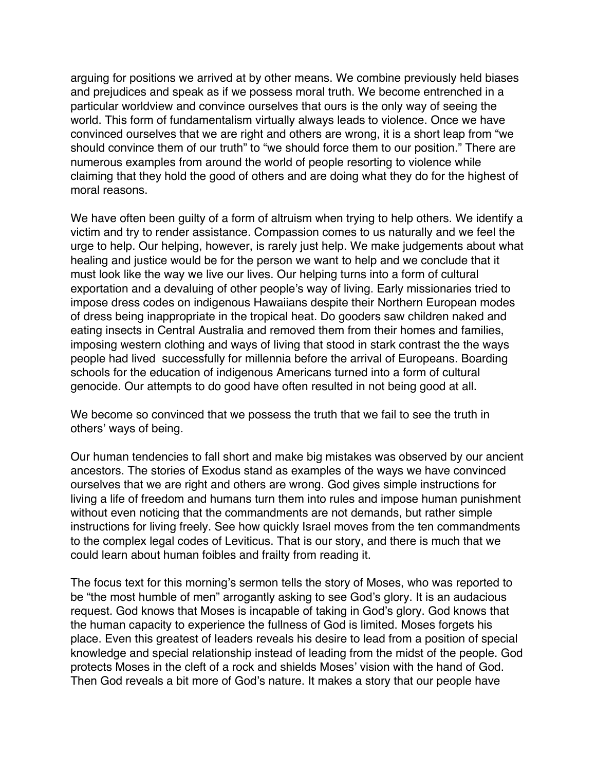arguing for positions we arrived at by other means. We combine previously held biases and prejudices and speak as if we possess moral truth. We become entrenched in a particular worldview and convince ourselves that ours is the only way of seeing the world. This form of fundamentalism virtually always leads to violence. Once we have convinced ourselves that we are right and others are wrong, it is a short leap from "we should convince them of our truth" to "we should force them to our position." There are numerous examples from around the world of people resorting to violence while claiming that they hold the good of others and are doing what they do for the highest of moral reasons.

We have often been guilty of a form of altruism when trying to help others. We identify a victim and try to render assistance. Compassion comes to us naturally and we feel the urge to help. Our helping, however, is rarely just help. We make judgements about what healing and justice would be for the person we want to help and we conclude that it must look like the way we live our lives. Our helping turns into a form of cultural exportation and a devaluing of other people's way of living. Early missionaries tried to impose dress codes on indigenous Hawaiians despite their Northern European modes of dress being inappropriate in the tropical heat. Do gooders saw children naked and eating insects in Central Australia and removed them from their homes and families, imposing western clothing and ways of living that stood in stark contrast the the ways people had lived successfully for millennia before the arrival of Europeans. Boarding schools for the education of indigenous Americans turned into a form of cultural genocide. Our attempts to do good have often resulted in not being good at all.

We become so convinced that we possess the truth that we fail to see the truth in others' ways of being.

Our human tendencies to fall short and make big mistakes was observed by our ancient ancestors. The stories of Exodus stand as examples of the ways we have convinced ourselves that we are right and others are wrong. God gives simple instructions for living a life of freedom and humans turn them into rules and impose human punishment without even noticing that the commandments are not demands, but rather simple instructions for living freely. See how quickly Israel moves from the ten commandments to the complex legal codes of Leviticus. That is our story, and there is much that we could learn about human foibles and frailty from reading it.

The focus text for this morning's sermon tells the story of Moses, who was reported to be "the most humble of men" arrogantly asking to see God's glory. It is an audacious request. God knows that Moses is incapable of taking in God's glory. God knows that the human capacity to experience the fullness of God is limited. Moses forgets his place. Even this greatest of leaders reveals his desire to lead from a position of special knowledge and special relationship instead of leading from the midst of the people. God protects Moses in the cleft of a rock and shields Moses' vision with the hand of God. Then God reveals a bit more of God's nature. It makes a story that our people have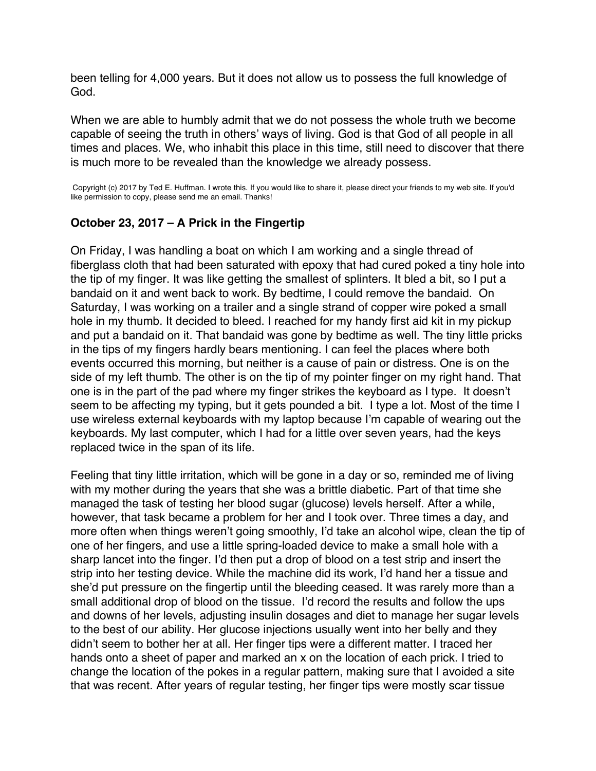<span id="page-49-0"></span>been telling for 4,000 years. But it does not allow us to possess the full knowledge of God.

When we are able to humbly admit that we do not possess the whole truth we become capable of seeing the truth in others' ways of living. God is that God of all people in all times and places. We, who inhabit this place in this time, still need to discover that there is much more to be revealed than the knowledge we already possess.

Copyright (c) 2017 by Ted E. Huffman. I wrote this. If you would like to share it, please direct your friends to my web site. If you'd like permission to copy, please send me an email. Thanks!

#### **October 23, 2017 – A Prick in the Fingertip**

On Friday, I was handling a boat on which I am working and a single thread of fiberglass cloth that had been saturated with epoxy that had cured poked a tiny hole into the tip of my finger. It was like getting the smallest of splinters. It bled a bit, so I put a bandaid on it and went back to work. By bedtime, I could remove the bandaid. On Saturday, I was working on a trailer and a single strand of copper wire poked a small hole in my thumb. It decided to bleed. I reached for my handy first aid kit in my pickup and put a bandaid on it. That bandaid was gone by bedtime as well. The tiny little pricks in the tips of my fingers hardly bears mentioning. I can feel the places where both events occurred this morning, but neither is a cause of pain or distress. One is on the side of my left thumb. The other is on the tip of my pointer finger on my right hand. That one is in the part of the pad where my finger strikes the keyboard as I type. It doesn't seem to be affecting my typing, but it gets pounded a bit. I type a lot. Most of the time I use wireless external keyboards with my laptop because I'm capable of wearing out the keyboards. My last computer, which I had for a little over seven years, had the keys replaced twice in the span of its life.

Feeling that tiny little irritation, which will be gone in a day or so, reminded me of living with my mother during the years that she was a brittle diabetic. Part of that time she managed the task of testing her blood sugar (glucose) levels herself. After a while, however, that task became a problem for her and I took over. Three times a day, and more often when things weren't going smoothly, I'd take an alcohol wipe, clean the tip of one of her fingers, and use a little spring-loaded device to make a small hole with a sharp lancet into the finger. I'd then put a drop of blood on a test strip and insert the strip into her testing device. While the machine did its work, I'd hand her a tissue and she'd put pressure on the fingertip until the bleeding ceased. It was rarely more than a small additional drop of blood on the tissue. I'd record the results and follow the ups and downs of her levels, adjusting insulin dosages and diet to manage her sugar levels to the best of our ability. Her glucose injections usually went into her belly and they didn't seem to bother her at all. Her finger tips were a different matter. I traced her hands onto a sheet of paper and marked an x on the location of each prick. I tried to change the location of the pokes in a regular pattern, making sure that I avoided a site that was recent. After years of regular testing, her finger tips were mostly scar tissue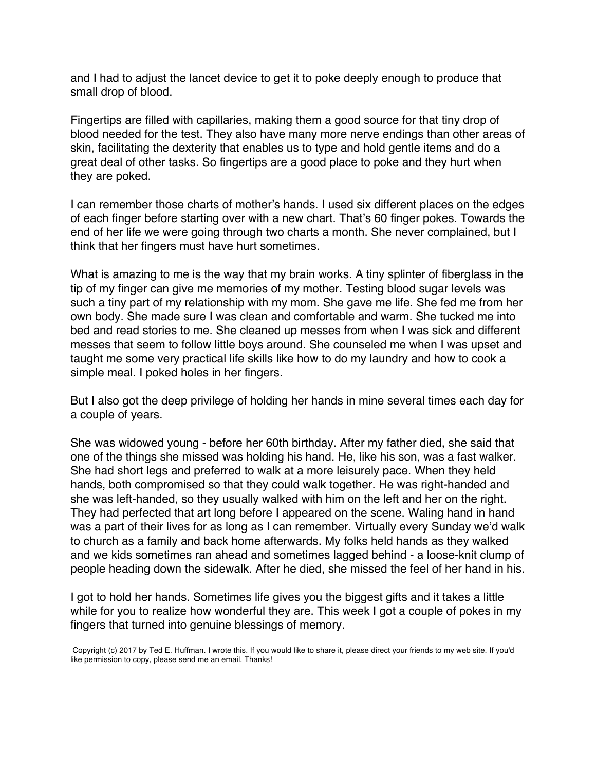and I had to adjust the lancet device to get it to poke deeply enough to produce that small drop of blood.

Fingertips are filled with capillaries, making them a good source for that tiny drop of blood needed for the test. They also have many more nerve endings than other areas of skin, facilitating the dexterity that enables us to type and hold gentle items and do a great deal of other tasks. So fingertips are a good place to poke and they hurt when they are poked.

I can remember those charts of mother's hands. I used six different places on the edges of each finger before starting over with a new chart. That's 60 finger pokes. Towards the end of her life we were going through two charts a month. She never complained, but I think that her fingers must have hurt sometimes.

What is amazing to me is the way that my brain works. A tiny splinter of fiberglass in the tip of my finger can give me memories of my mother. Testing blood sugar levels was such a tiny part of my relationship with my mom. She gave me life. She fed me from her own body. She made sure I was clean and comfortable and warm. She tucked me into bed and read stories to me. She cleaned up messes from when I was sick and different messes that seem to follow little boys around. She counseled me when I was upset and taught me some very practical life skills like how to do my laundry and how to cook a simple meal. I poked holes in her fingers.

But I also got the deep privilege of holding her hands in mine several times each day for a couple of years.

She was widowed young - before her 60th birthday. After my father died, she said that one of the things she missed was holding his hand. He, like his son, was a fast walker. She had short legs and preferred to walk at a more leisurely pace. When they held hands, both compromised so that they could walk together. He was right-handed and she was left-handed, so they usually walked with him on the left and her on the right. They had perfected that art long before I appeared on the scene. Waling hand in hand was a part of their lives for as long as I can remember. Virtually every Sunday we'd walk to church as a family and back home afterwards. My folks held hands as they walked and we kids sometimes ran ahead and sometimes lagged behind - a loose-knit clump of people heading down the sidewalk. After he died, she missed the feel of her hand in his.

I got to hold her hands. Sometimes life gives you the biggest gifts and it takes a little while for you to realize how wonderful they are. This week I got a couple of pokes in my fingers that turned into genuine blessings of memory.

Copyright (c) 2017 by Ted E. Huffman. I wrote this. If you would like to share it, please direct your friends to my web site. If you'd like permission to copy, please send me an email. Thanks!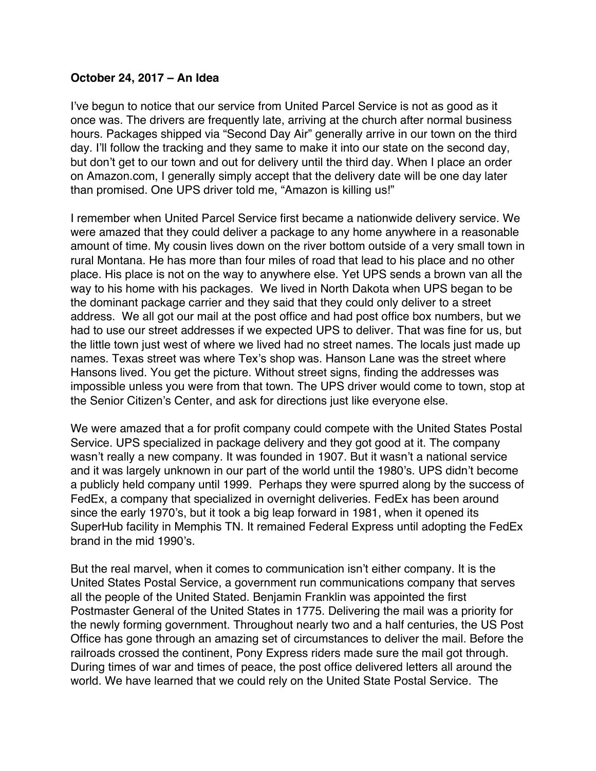### <span id="page-51-0"></span>**October 24, 2017 – An Idea**

I've begun to notice that our service from United Parcel Service is not as good as it once was. The drivers are frequently late, arriving at the church after normal business hours. Packages shipped via "Second Day Air" generally arrive in our town on the third day. I'll follow the tracking and they same to make it into our state on the second day, but don't get to our town and out for delivery until the third day. When I place an order on Amazon.com, I generally simply accept that the delivery date will be one day later than promised. One UPS driver told me, "Amazon is killing us!"

I remember when United Parcel Service first became a nationwide delivery service. We were amazed that they could deliver a package to any home anywhere in a reasonable amount of time. My cousin lives down on the river bottom outside of a very small town in rural Montana. He has more than four miles of road that lead to his place and no other place. His place is not on the way to anywhere else. Yet UPS sends a brown van all the way to his home with his packages. We lived in North Dakota when UPS began to be the dominant package carrier and they said that they could only deliver to a street address. We all got our mail at the post office and had post office box numbers, but we had to use our street addresses if we expected UPS to deliver. That was fine for us, but the little town just west of where we lived had no street names. The locals just made up names. Texas street was where Tex's shop was. Hanson Lane was the street where Hansons lived. You get the picture. Without street signs, finding the addresses was impossible unless you were from that town. The UPS driver would come to town, stop at the Senior Citizen's Center, and ask for directions just like everyone else.

We were amazed that a for profit company could compete with the United States Postal Service. UPS specialized in package delivery and they got good at it. The company wasn't really a new company. It was founded in 1907. But it wasn't a national service and it was largely unknown in our part of the world until the 1980's. UPS didn't become a publicly held company until 1999. Perhaps they were spurred along by the success of FedEx, a company that specialized in overnight deliveries. FedEx has been around since the early 1970's, but it took a big leap forward in 1981, when it opened its SuperHub facility in Memphis TN. It remained Federal Express until adopting the FedEx brand in the mid 1990's.

But the real marvel, when it comes to communication isn't either company. It is the United States Postal Service, a government run communications company that serves all the people of the United Stated. Benjamin Franklin was appointed the first Postmaster General of the United States in 1775. Delivering the mail was a priority for the newly forming government. Throughout nearly two and a half centuries, the US Post Office has gone through an amazing set of circumstances to deliver the mail. Before the railroads crossed the continent, Pony Express riders made sure the mail got through. During times of war and times of peace, the post office delivered letters all around the world. We have learned that we could rely on the United State Postal Service. The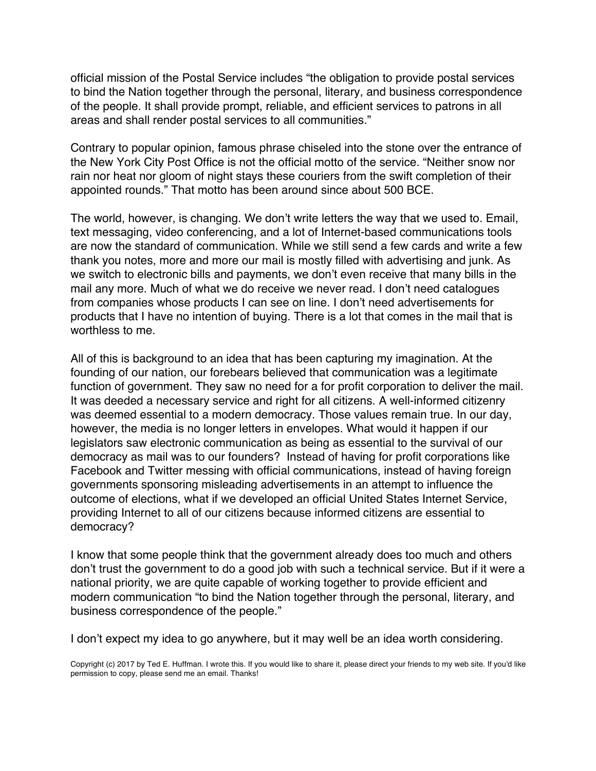official mission of the Postal Service includes "the obligation to provide postal services to bind the Nation together through the personal, literary, and business correspondence of the people. It shall provide prompt, reliable, and efficient services to patrons in all areas and shall render postal services to all communities."

Contrary to popular opinion, famous phrase chiseled into the stone over the entrance of the New York City Post Office is not the official motto of the service. "Neither snow nor rain nor heat nor gloom of night stays these couriers from the swift completion of their appointed rounds." That motto has been around since about 500 BCE.

The world, however, is changing. We don't write letters the way that we used to. Email, text messaging, video conferencing, and a lot of Internet-based communications tools are now the standard of communication. While we still send a few cards and write a few thank you notes, more and more our mail is mostly filled with advertising and junk. As we switch to electronic bills and payments, we don't even receive that many bills in the mail any more. Much of what we do receive we never read. I don't need catalogues from companies whose products I can see on line. I don't need advertisements for products that I have no intention of buying. There is a lot that comes in the mail that is worthless to me.

All of this is background to an idea that has been capturing my imagination. At the founding of our nation, our forebears believed that communication was a legitimate function of government. They saw no need for a for profit corporation to deliver the mail. It was deeded a necessary service and right for all citizens. A well-informed citizenry was deemed essential to a modern democracy. Those values remain true. In our day, however, the media is no longer letters in envelopes. What would it happen if our legislators saw electronic communication as being as essential to the survival of our democracy as mail was to our founders? Instead of having for profit corporations like Facebook and Twitter messing with official communications, instead of having foreign governments sponsoring misleading advertisements in an attempt to influence the outcome of elections, what if we developed an official United States Internet Service, providing Internet to all of our citizens because informed citizens are essential to democracy?

I know that some people think that the government already does too much and others don't trust the government to do a good job with such a technical service. But if it were a national priority, we are quite capable of working together to provide efficient and modern communication "to bind the Nation together through the personal, literary, and business correspondence of the people."

I don't expect my idea to go anywhere, but it may well be an idea worth considering.

Copyright (c) 2017 by Ted E. Huffman. I wrote this. If you would like to share it, please direct your friends to my web site. If you'd like permission to copy, please send me an email. Thanks!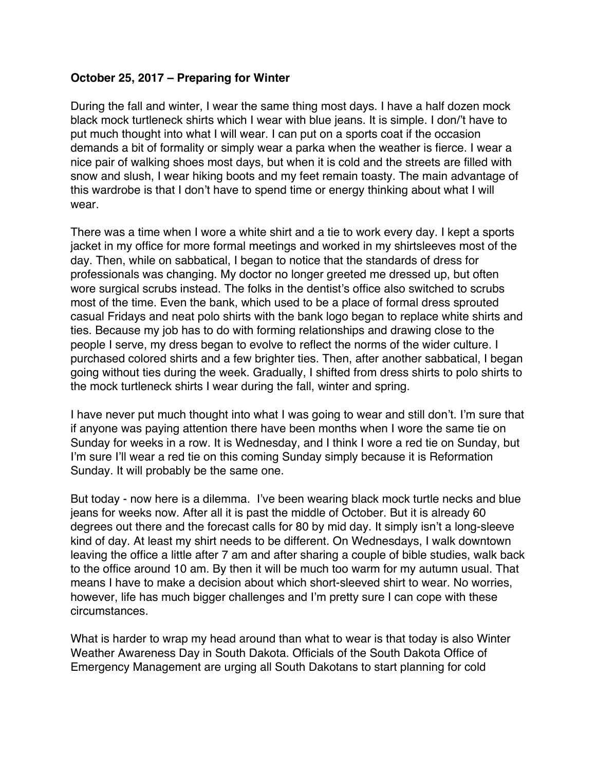### <span id="page-53-0"></span>**October 25, 2017 – Preparing for Winter**

During the fall and winter, I wear the same thing most days. I have a half dozen mock black mock turtleneck shirts which I wear with blue jeans. It is simple. I don/'t have to put much thought into what I will wear. I can put on a sports coat if the occasion demands a bit of formality or simply wear a parka when the weather is fierce. I wear a nice pair of walking shoes most days, but when it is cold and the streets are filled with snow and slush, I wear hiking boots and my feet remain toasty. The main advantage of this wardrobe is that I don't have to spend time or energy thinking about what I will wear.

There was a time when I wore a white shirt and a tie to work every day. I kept a sports jacket in my office for more formal meetings and worked in my shirtsleeves most of the day. Then, while on sabbatical, I began to notice that the standards of dress for professionals was changing. My doctor no longer greeted me dressed up, but often wore surgical scrubs instead. The folks in the dentist's office also switched to scrubs most of the time. Even the bank, which used to be a place of formal dress sprouted casual Fridays and neat polo shirts with the bank logo began to replace white shirts and ties. Because my job has to do with forming relationships and drawing close to the people I serve, my dress began to evolve to reflect the norms of the wider culture. I purchased colored shirts and a few brighter ties. Then, after another sabbatical, I began going without ties during the week. Gradually, I shifted from dress shirts to polo shirts to the mock turtleneck shirts I wear during the fall, winter and spring.

I have never put much thought into what I was going to wear and still don't. I'm sure that if anyone was paying attention there have been months when I wore the same tie on Sunday for weeks in a row. It is Wednesday, and I think I wore a red tie on Sunday, but I'm sure I'll wear a red tie on this coming Sunday simply because it is Reformation Sunday. It will probably be the same one.

But today - now here is a dilemma. I've been wearing black mock turtle necks and blue jeans for weeks now. After all it is past the middle of October. But it is already 60 degrees out there and the forecast calls for 80 by mid day. It simply isn't a long-sleeve kind of day. At least my shirt needs to be different. On Wednesdays, I walk downtown leaving the office a little after 7 am and after sharing a couple of bible studies, walk back to the office around 10 am. By then it will be much too warm for my autumn usual. That means I have to make a decision about which short-sleeved shirt to wear. No worries, however, life has much bigger challenges and I'm pretty sure I can cope with these circumstances.

What is harder to wrap my head around than what to wear is that today is also Winter Weather Awareness Day in South Dakota. Officials of the South Dakota Office of Emergency Management are urging all South Dakotans to start planning for cold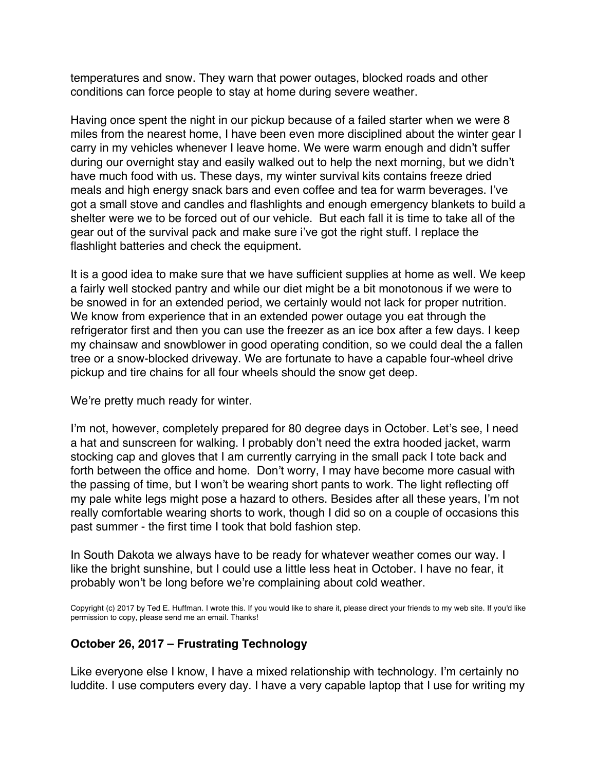temperatures and snow. They warn that power outages, blocked roads and other conditions can force people to stay at home during severe weather.

Having once spent the night in our pickup because of a failed starter when we were 8 miles from the nearest home, I have been even more disciplined about the winter gear I carry in my vehicles whenever I leave home. We were warm enough and didn't suffer during our overnight stay and easily walked out to help the next morning, but we didn't have much food with us. These days, my winter survival kits contains freeze dried meals and high energy snack bars and even coffee and tea for warm beverages. I've got a small stove and candles and flashlights and enough emergency blankets to build a shelter were we to be forced out of our vehicle. But each fall it is time to take all of the gear out of the survival pack and make sure i've got the right stuff. I replace the flashlight batteries and check the equipment.

It is a good idea to make sure that we have sufficient supplies at home as well. We keep a fairly well stocked pantry and while our diet might be a bit monotonous if we were to be snowed in for an extended period, we certainly would not lack for proper nutrition. We know from experience that in an extended power outage you eat through the refrigerator first and then you can use the freezer as an ice box after a few days. I keep my chainsaw and snowblower in good operating condition, so we could deal the a fallen tree or a snow-blocked driveway. We are fortunate to have a capable four-wheel drive pickup and tire chains for all four wheels should the snow get deep.

We're pretty much ready for winter.

I'm not, however, completely prepared for 80 degree days in October. Let's see, I need a hat and sunscreen for walking. I probably don't need the extra hooded jacket, warm stocking cap and gloves that I am currently carrying in the small pack I tote back and forth between the office and home. Don't worry, I may have become more casual with the passing of time, but I won't be wearing short pants to work. The light reflecting off my pale white legs might pose a hazard to others. Besides after all these years, I'm not really comfortable wearing shorts to work, though I did so on a couple of occasions this past summer - the first time I took that bold fashion step.

In South Dakota we always have to be ready for whatever weather comes our way. I like the bright sunshine, but I could use a little less heat in October. I have no fear, it probably won't be long before we're complaining about cold weather.

Copyright (c) 2017 by Ted E. Huffman. I wrote this. If you would like to share it, please direct your friends to my web site. If you'd like permission to copy, please send me an email. Thanks!

# **October 26, 2017 – Frustrating Technology**

Like everyone else I know, I have a mixed relationship with technology. I'm certainly no luddite. I use computers every day. I have a very capable laptop that I use for writing my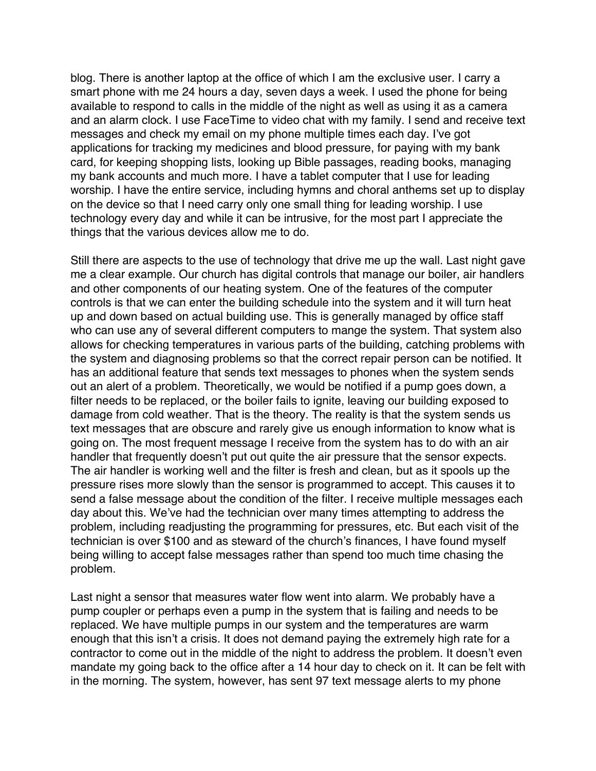<span id="page-55-0"></span>blog. There is another laptop at the office of which I am the exclusive user. I carry a smart phone with me 24 hours a day, seven days a week. I used the phone for being available to respond to calls in the middle of the night as well as using it as a camera and an alarm clock. I use FaceTime to video chat with my family. I send and receive text messages and check my email on my phone multiple times each day. I've got applications for tracking my medicines and blood pressure, for paying with my bank card, for keeping shopping lists, looking up Bible passages, reading books, managing my bank accounts and much more. I have a tablet computer that I use for leading worship. I have the entire service, including hymns and choral anthems set up to display on the device so that I need carry only one small thing for leading worship. I use technology every day and while it can be intrusive, for the most part I appreciate the things that the various devices allow me to do.

Still there are aspects to the use of technology that drive me up the wall. Last night gave me a clear example. Our church has digital controls that manage our boiler, air handlers and other components of our heating system. One of the features of the computer controls is that we can enter the building schedule into the system and it will turn heat up and down based on actual building use. This is generally managed by office staff who can use any of several different computers to mange the system. That system also allows for checking temperatures in various parts of the building, catching problems with the system and diagnosing problems so that the correct repair person can be notified. It has an additional feature that sends text messages to phones when the system sends out an alert of a problem. Theoretically, we would be notified if a pump goes down, a filter needs to be replaced, or the boiler fails to ignite, leaving our building exposed to damage from cold weather. That is the theory. The reality is that the system sends us text messages that are obscure and rarely give us enough information to know what is going on. The most frequent message I receive from the system has to do with an air handler that frequently doesn't put out quite the air pressure that the sensor expects. The air handler is working well and the filter is fresh and clean, but as it spools up the pressure rises more slowly than the sensor is programmed to accept. This causes it to send a false message about the condition of the filter. I receive multiple messages each day about this. We've had the technician over many times attempting to address the problem, including readjusting the programming for pressures, etc. But each visit of the technician is over \$100 and as steward of the church's finances, I have found myself being willing to accept false messages rather than spend too much time chasing the problem.

Last night a sensor that measures water flow went into alarm. We probably have a pump coupler or perhaps even a pump in the system that is failing and needs to be replaced. We have multiple pumps in our system and the temperatures are warm enough that this isn't a crisis. It does not demand paying the extremely high rate for a contractor to come out in the middle of the night to address the problem. It doesn't even mandate my going back to the office after a 14 hour day to check on it. It can be felt with in the morning. The system, however, has sent 97 text message alerts to my phone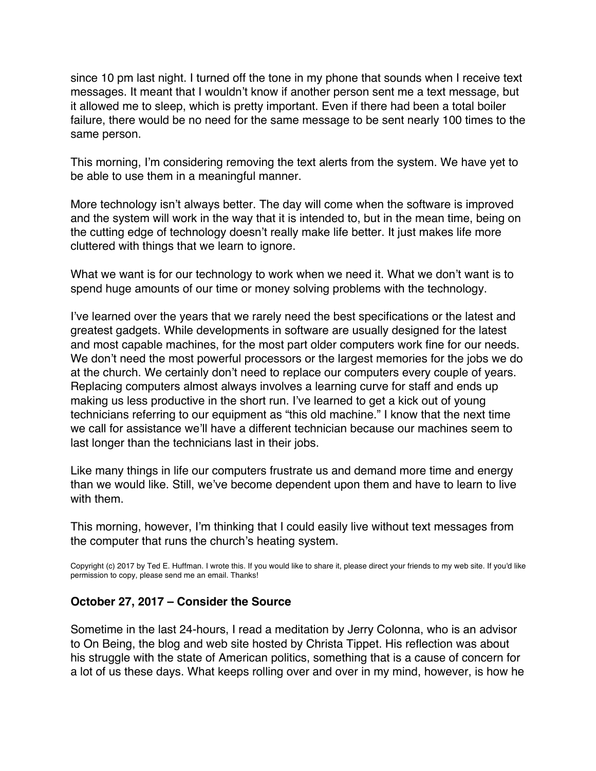since 10 pm last night. I turned off the tone in my phone that sounds when I receive text messages. It meant that I wouldn't know if another person sent me a text message, but it allowed me to sleep, which is pretty important. Even if there had been a total boiler failure, there would be no need for the same message to be sent nearly 100 times to the same person.

This morning, I'm considering removing the text alerts from the system. We have yet to be able to use them in a meaningful manner.

More technology isn't always better. The day will come when the software is improved and the system will work in the way that it is intended to, but in the mean time, being on the cutting edge of technology doesn't really make life better. It just makes life more cluttered with things that we learn to ignore.

What we want is for our technology to work when we need it. What we don't want is to spend huge amounts of our time or money solving problems with the technology.

I've learned over the years that we rarely need the best specifications or the latest and greatest gadgets. While developments in software are usually designed for the latest and most capable machines, for the most part older computers work fine for our needs. We don't need the most powerful processors or the largest memories for the jobs we do at the church. We certainly don't need to replace our computers every couple of years. Replacing computers almost always involves a learning curve for staff and ends up making us less productive in the short run. I've learned to get a kick out of young technicians referring to our equipment as "this old machine." I know that the next time we call for assistance we'll have a different technician because our machines seem to last longer than the technicians last in their jobs.

Like many things in life our computers frustrate us and demand more time and energy than we would like. Still, we've become dependent upon them and have to learn to live with them.

This morning, however, I'm thinking that I could easily live without text messages from the computer that runs the church's heating system.

Copyright (c) 2017 by Ted E. Huffman. I wrote this. If you would like to share it, please direct your friends to my web site. If you'd like permission to copy, please send me an email. Thanks!

#### **October 27, 2017 – Consider the Source**

Sometime in the last 24-hours, I read a meditation by Jerry Colonna, who is an advisor to On Being, the blog and web site hosted by Christa Tippet. His reflection was about his struggle with the state of American politics, something that is a cause of concern for a lot of us these days. What keeps rolling over and over in my mind, however, is how he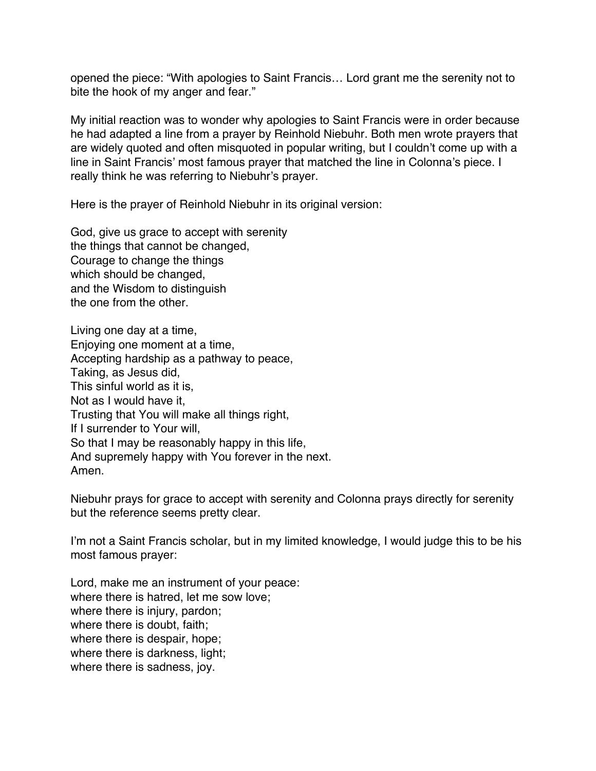<span id="page-57-0"></span>opened the piece: "With apologies to Saint Francis… Lord grant me the serenity not to bite the hook of my anger and fear."

My initial reaction was to wonder why apologies to Saint Francis were in order because he had adapted a line from a prayer by Reinhold Niebuhr. Both men wrote prayers that are widely quoted and often misquoted in popular writing, but I couldn't come up with a line in Saint Francis' most famous prayer that matched the line in Colonna's piece. I really think he was referring to Niebuhr's prayer.

Here is the prayer of Reinhold Niebuhr in its original version:

God, give us grace to accept with serenity the things that cannot be changed, Courage to change the things which should be changed, and the Wisdom to distinguish the one from the other.

Living one day at a time, Enjoying one moment at a time, Accepting hardship as a pathway to peace, Taking, as Jesus did, This sinful world as it is, Not as I would have it, Trusting that You will make all things right, If I surrender to Your will, So that I may be reasonably happy in this life, And supremely happy with You forever in the next. Amen.

Niebuhr prays for grace to accept with serenity and Colonna prays directly for serenity but the reference seems pretty clear.

I'm not a Saint Francis scholar, but in my limited knowledge, I would judge this to be his most famous prayer:

Lord, make me an instrument of your peace: where there is hatred, let me sow love; where there is injury, pardon; where there is doubt, faith; where there is despair, hope; where there is darkness, light; where there is sadness, joy.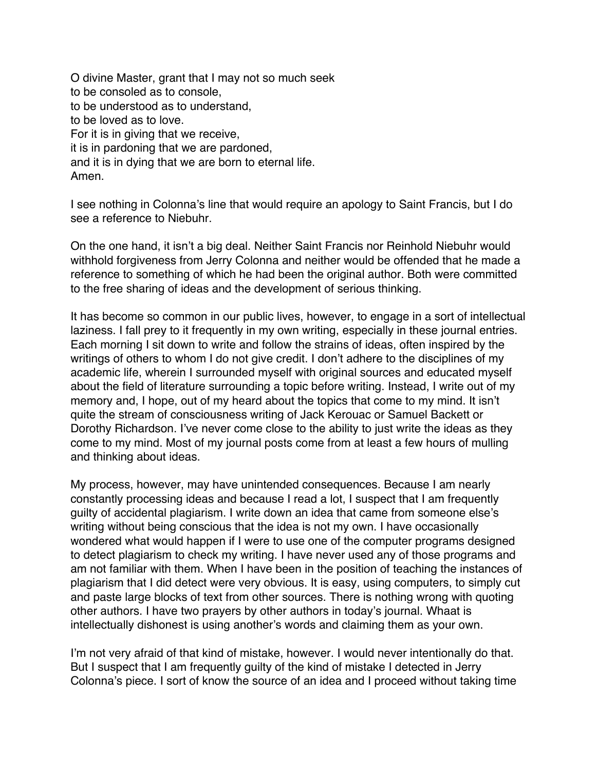O divine Master, grant that I may not so much seek to be consoled as to console, to be understood as to understand, to be loved as to love. For it is in giving that we receive, it is in pardoning that we are pardoned, and it is in dying that we are born to eternal life. Amen.

I see nothing in Colonna's line that would require an apology to Saint Francis, but I do see a reference to Niebuhr.

On the one hand, it isn't a big deal. Neither Saint Francis nor Reinhold Niebuhr would withhold forgiveness from Jerry Colonna and neither would be offended that he made a reference to something of which he had been the original author. Both were committed to the free sharing of ideas and the development of serious thinking.

It has become so common in our public lives, however, to engage in a sort of intellectual laziness. I fall prey to it frequently in my own writing, especially in these journal entries. Each morning I sit down to write and follow the strains of ideas, often inspired by the writings of others to whom I do not give credit. I don't adhere to the disciplines of my academic life, wherein I surrounded myself with original sources and educated myself about the field of literature surrounding a topic before writing. Instead, I write out of my memory and, I hope, out of my heard about the topics that come to my mind. It isn't quite the stream of consciousness writing of Jack Kerouac or Samuel Backett or Dorothy Richardson. I've never come close to the ability to just write the ideas as they come to my mind. Most of my journal posts come from at least a few hours of mulling and thinking about ideas.

My process, however, may have unintended consequences. Because I am nearly constantly processing ideas and because I read a lot, I suspect that I am frequently guilty of accidental plagiarism. I write down an idea that came from someone else's writing without being conscious that the idea is not my own. I have occasionally wondered what would happen if I were to use one of the computer programs designed to detect plagiarism to check my writing. I have never used any of those programs and am not familiar with them. When I have been in the position of teaching the instances of plagiarism that I did detect were very obvious. It is easy, using computers, to simply cut and paste large blocks of text from other sources. There is nothing wrong with quoting other authors. I have two prayers by other authors in today's journal. Whaat is intellectually dishonest is using another's words and claiming them as your own.

I'm not very afraid of that kind of mistake, however. I would never intentionally do that. But I suspect that I am frequently guilty of the kind of mistake I detected in Jerry Colonna's piece. I sort of know the source of an idea and I proceed without taking time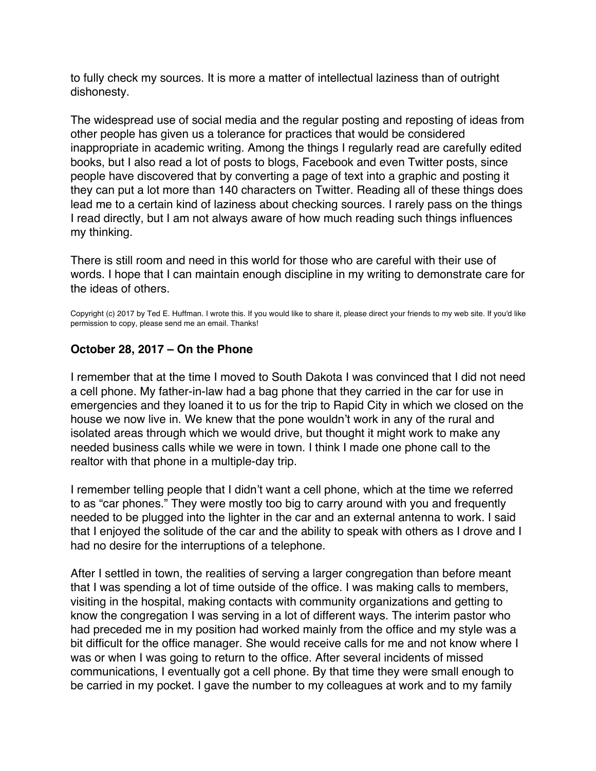<span id="page-59-0"></span>to fully check my sources. It is more a matter of intellectual laziness than of outright dishonesty.

The widespread use of social media and the regular posting and reposting of ideas from other people has given us a tolerance for practices that would be considered inappropriate in academic writing. Among the things I regularly read are carefully edited books, but I also read a lot of posts to blogs, Facebook and even Twitter posts, since people have discovered that by converting a page of text into a graphic and posting it they can put a lot more than 140 characters on Twitter. Reading all of these things does lead me to a certain kind of laziness about checking sources. I rarely pass on the things I read directly, but I am not always aware of how much reading such things influences my thinking.

There is still room and need in this world for those who are careful with their use of words. I hope that I can maintain enough discipline in my writing to demonstrate care for the ideas of others.

Copyright (c) 2017 by Ted E. Huffman. I wrote this. If you would like to share it, please direct your friends to my web site. If you'd like permission to copy, please send me an email. Thanks!

### **October 28, 2017 – On the Phone**

I remember that at the time I moved to South Dakota I was convinced that I did not need a cell phone. My father-in-law had a bag phone that they carried in the car for use in emergencies and they loaned it to us for the trip to Rapid City in which we closed on the house we now live in. We knew that the pone wouldn't work in any of the rural and isolated areas through which we would drive, but thought it might work to make any needed business calls while we were in town. I think I made one phone call to the realtor with that phone in a multiple-day trip.

I remember telling people that I didn't want a cell phone, which at the time we referred to as "car phones." They were mostly too big to carry around with you and frequently needed to be plugged into the lighter in the car and an external antenna to work. I said that I enjoyed the solitude of the car and the ability to speak with others as I drove and I had no desire for the interruptions of a telephone.

After I settled in town, the realities of serving a larger congregation than before meant that I was spending a lot of time outside of the office. I was making calls to members, visiting in the hospital, making contacts with community organizations and getting to know the congregation I was serving in a lot of different ways. The interim pastor who had preceded me in my position had worked mainly from the office and my style was a bit difficult for the office manager. She would receive calls for me and not know where I was or when I was going to return to the office. After several incidents of missed communications, I eventually got a cell phone. By that time they were small enough to be carried in my pocket. I gave the number to my colleagues at work and to my family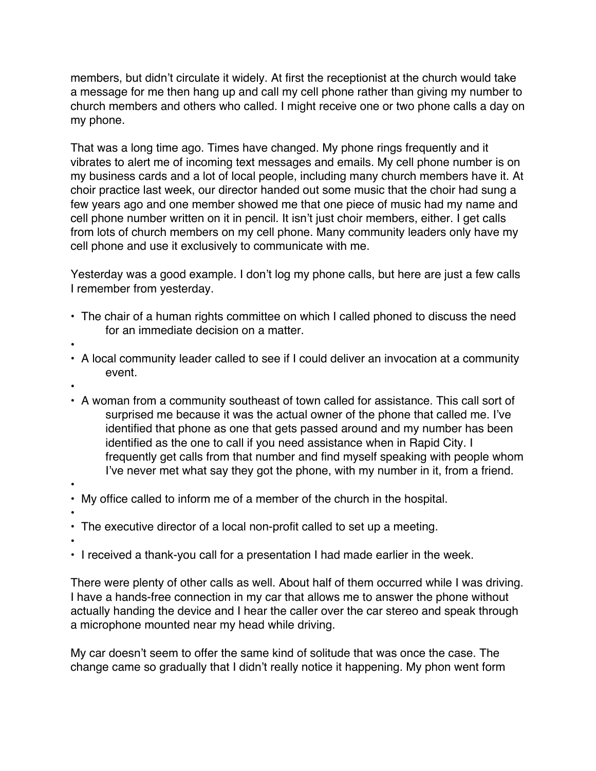members, but didn't circulate it widely. At first the receptionist at the church would take a message for me then hang up and call my cell phone rather than giving my number to church members and others who called. I might receive one or two phone calls a day on my phone.

That was a long time ago. Times have changed. My phone rings frequently and it vibrates to alert me of incoming text messages and emails. My cell phone number is on my business cards and a lot of local people, including many church members have it. At choir practice last week, our director handed out some music that the choir had sung a few years ago and one member showed me that one piece of music had my name and cell phone number written on it in pencil. It isn't just choir members, either. I get calls from lots of church members on my cell phone. Many community leaders only have my cell phone and use it exclusively to communicate with me.

Yesterday was a good example. I don't log my phone calls, but here are just a few calls I remember from yesterday.

- The chair of a human rights committee on which I called phoned to discuss the need for an immediate decision on a matter.
- •
- A local community leader called to see if I could deliver an invocation at a community event.
- •
- A woman from a community southeast of town called for assistance. This call sort of surprised me because it was the actual owner of the phone that called me. I've identified that phone as one that gets passed around and my number has been identified as the one to call if you need assistance when in Rapid City. I frequently get calls from that number and find myself speaking with people whom I've never met what say they got the phone, with my number in it, from a friend.
- •
- My office called to inform me of a member of the church in the hospital.
- • The executive director of a local non-profit called to set up a meeting.
- •
- I received a thank-you call for a presentation I had made earlier in the week.

There were plenty of other calls as well. About half of them occurred while I was driving. I have a hands-free connection in my car that allows me to answer the phone without actually handing the device and I hear the caller over the car stereo and speak through a microphone mounted near my head while driving.

My car doesn't seem to offer the same kind of solitude that was once the case. The change came so gradually that I didn't really notice it happening. My phon went form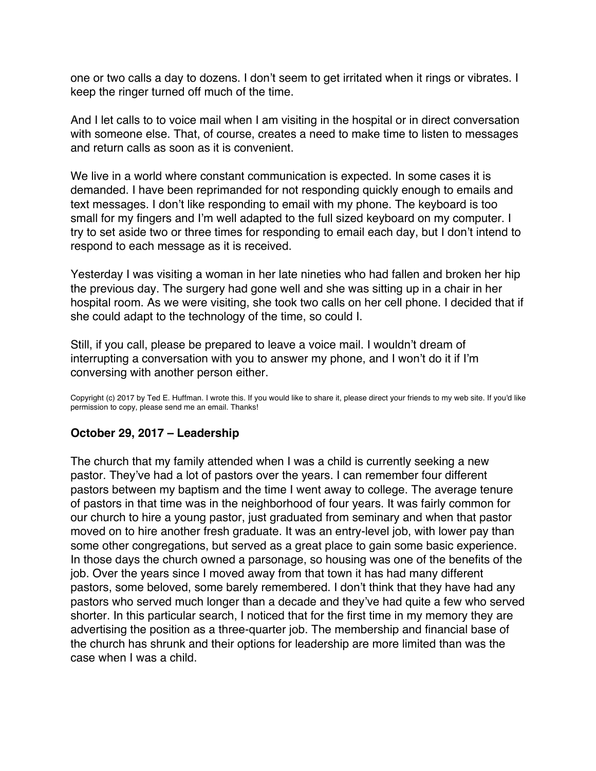<span id="page-61-0"></span>one or two calls a day to dozens. I don't seem to get irritated when it rings or vibrates. I keep the ringer turned off much of the time.

And I let calls to to voice mail when I am visiting in the hospital or in direct conversation with someone else. That, of course, creates a need to make time to listen to messages and return calls as soon as it is convenient.

We live in a world where constant communication is expected. In some cases it is demanded. I have been reprimanded for not responding quickly enough to emails and text messages. I don't like responding to email with my phone. The keyboard is too small for my fingers and I'm well adapted to the full sized keyboard on my computer. I try to set aside two or three times for responding to email each day, but I don't intend to respond to each message as it is received.

Yesterday I was visiting a woman in her late nineties who had fallen and broken her hip the previous day. The surgery had gone well and she was sitting up in a chair in her hospital room. As we were visiting, she took two calls on her cell phone. I decided that if she could adapt to the technology of the time, so could I.

Still, if you call, please be prepared to leave a voice mail. I wouldn't dream of interrupting a conversation with you to answer my phone, and I won't do it if I'm conversing with another person either.

Copyright (c) 2017 by Ted E. Huffman. I wrote this. If you would like to share it, please direct your friends to my web site. If you'd like permission to copy, please send me an email. Thanks!

#### **October 29, 2017 – Leadership**

The church that my family attended when I was a child is currently seeking a new pastor. They've had a lot of pastors over the years. I can remember four different pastors between my baptism and the time I went away to college. The average tenure of pastors in that time was in the neighborhood of four years. It was fairly common for our church to hire a young pastor, just graduated from seminary and when that pastor moved on to hire another fresh graduate. It was an entry-level job, with lower pay than some other congregations, but served as a great place to gain some basic experience. In those days the church owned a parsonage, so housing was one of the benefits of the job. Over the years since I moved away from that town it has had many different pastors, some beloved, some barely remembered. I don't think that they have had any pastors who served much longer than a decade and they've had quite a few who served shorter. In this particular search, I noticed that for the first time in my memory they are advertising the position as a three-quarter job. The membership and financial base of the church has shrunk and their options for leadership are more limited than was the case when I was a child.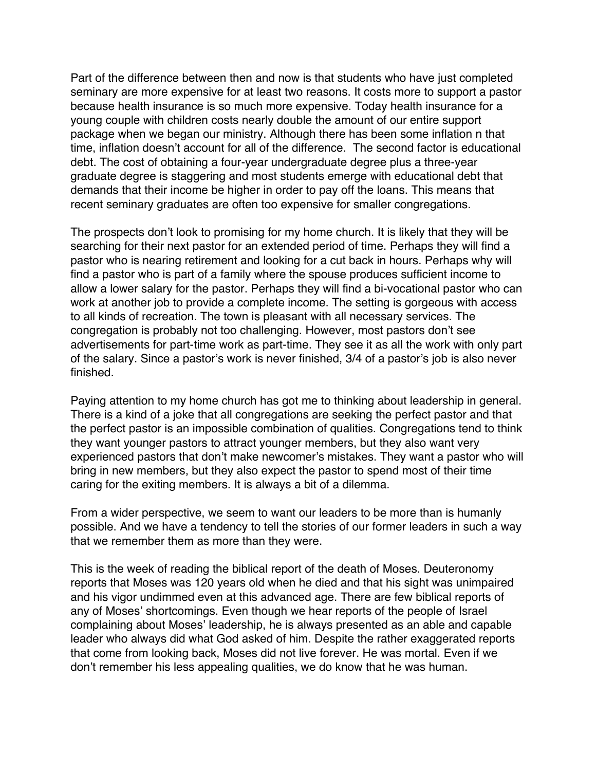Part of the difference between then and now is that students who have just completed seminary are more expensive for at least two reasons. It costs more to support a pastor because health insurance is so much more expensive. Today health insurance for a young couple with children costs nearly double the amount of our entire support package when we began our ministry. Although there has been some inflation n that time, inflation doesn't account for all of the difference. The second factor is educational debt. The cost of obtaining a four-year undergraduate degree plus a three-year graduate degree is staggering and most students emerge with educational debt that demands that their income be higher in order to pay off the loans. This means that recent seminary graduates are often too expensive for smaller congregations.

The prospects don't look to promising for my home church. It is likely that they will be searching for their next pastor for an extended period of time. Perhaps they will find a pastor who is nearing retirement and looking for a cut back in hours. Perhaps why will find a pastor who is part of a family where the spouse produces sufficient income to allow a lower salary for the pastor. Perhaps they will find a bi-vocational pastor who can work at another job to provide a complete income. The setting is gorgeous with access to all kinds of recreation. The town is pleasant with all necessary services. The congregation is probably not too challenging. However, most pastors don't see advertisements for part-time work as part-time. They see it as all the work with only part of the salary. Since a pastor's work is never finished, 3/4 of a pastor's job is also never finished.

Paying attention to my home church has got me to thinking about leadership in general. There is a kind of a joke that all congregations are seeking the perfect pastor and that the perfect pastor is an impossible combination of qualities. Congregations tend to think they want younger pastors to attract younger members, but they also want very experienced pastors that don't make newcomer's mistakes. They want a pastor who will bring in new members, but they also expect the pastor to spend most of their time caring for the exiting members. It is always a bit of a dilemma.

From a wider perspective, we seem to want our leaders to be more than is humanly possible. And we have a tendency to tell the stories of our former leaders in such a way that we remember them as more than they were.

This is the week of reading the biblical report of the death of Moses. Deuteronomy reports that Moses was 120 years old when he died and that his sight was unimpaired and his vigor undimmed even at this advanced age. There are few biblical reports of any of Moses' shortcomings. Even though we hear reports of the people of Israel complaining about Moses' leadership, he is always presented as an able and capable leader who always did what God asked of him. Despite the rather exaggerated reports that come from looking back, Moses did not live forever. He was mortal. Even if we don't remember his less appealing qualities, we do know that he was human.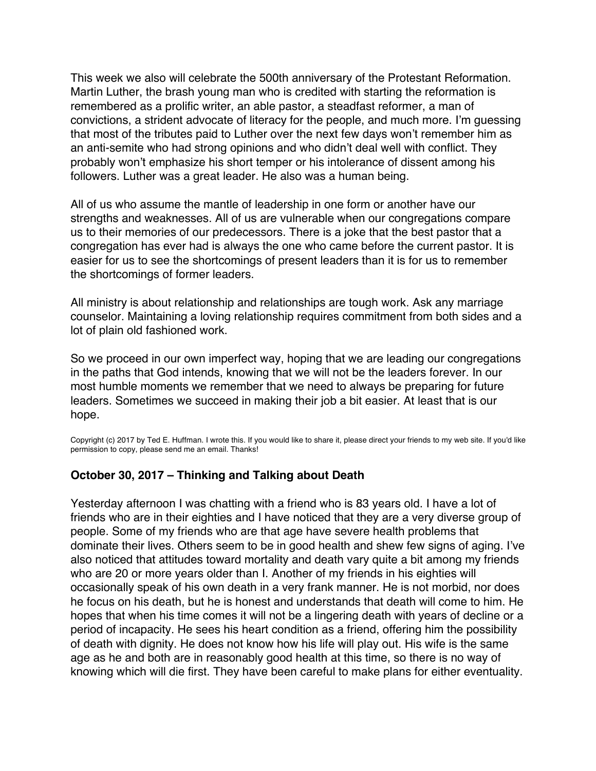<span id="page-63-0"></span>This week we also will celebrate the 500th anniversary of the Protestant Reformation. Martin Luther, the brash young man who is credited with starting the reformation is remembered as a prolific writer, an able pastor, a steadfast reformer, a man of convictions, a strident advocate of literacy for the people, and much more. I'm guessing that most of the tributes paid to Luther over the next few days won't remember him as an anti-semite who had strong opinions and who didn't deal well with conflict. They probably won't emphasize his short temper or his intolerance of dissent among his followers. Luther was a great leader. He also was a human being.

All of us who assume the mantle of leadership in one form or another have our strengths and weaknesses. All of us are vulnerable when our congregations compare us to their memories of our predecessors. There is a joke that the best pastor that a congregation has ever had is always the one who came before the current pastor. It is easier for us to see the shortcomings of present leaders than it is for us to remember the shortcomings of former leaders.

All ministry is about relationship and relationships are tough work. Ask any marriage counselor. Maintaining a loving relationship requires commitment from both sides and a lot of plain old fashioned work.

So we proceed in our own imperfect way, hoping that we are leading our congregations in the paths that God intends, knowing that we will not be the leaders forever. In our most humble moments we remember that we need to always be preparing for future leaders. Sometimes we succeed in making their job a bit easier. At least that is our hope.

Copyright (c) 2017 by Ted E. Huffman. I wrote this. If you would like to share it, please direct your friends to my web site. If you'd like permission to copy, please send me an email. Thanks!

#### **October 30, 2017 – Thinking and Talking about Death**

Yesterday afternoon I was chatting with a friend who is 83 years old. I have a lot of friends who are in their eighties and I have noticed that they are a very diverse group of people. Some of my friends who are that age have severe health problems that dominate their lives. Others seem to be in good health and shew few signs of aging. I've also noticed that attitudes toward mortality and death vary quite a bit among my friends who are 20 or more years older than I. Another of my friends in his eighties will occasionally speak of his own death in a very frank manner. He is not morbid, nor does he focus on his death, but he is honest and understands that death will come to him. He hopes that when his time comes it will not be a lingering death with years of decline or a period of incapacity. He sees his heart condition as a friend, offering him the possibility of death with dignity. He does not know how his life will play out. His wife is the same age as he and both are in reasonably good health at this time, so there is no way of knowing which will die first. They have been careful to make plans for either eventuality.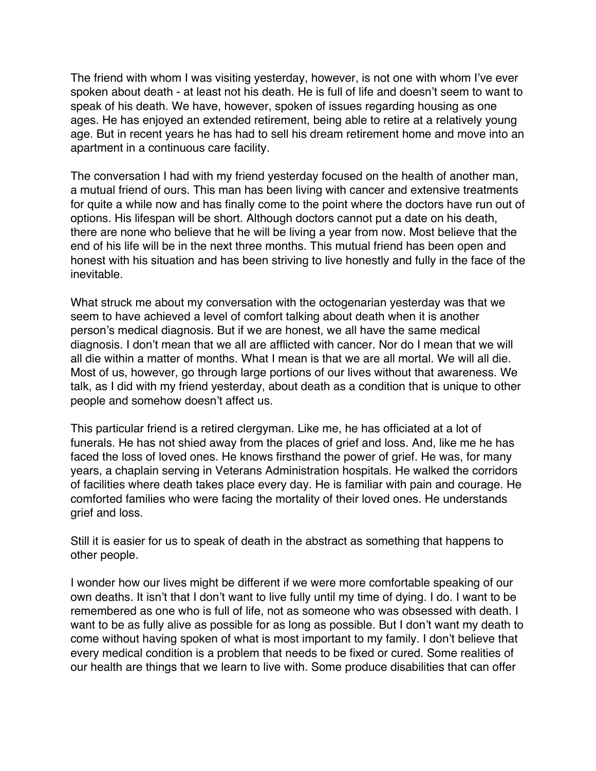The friend with whom I was visiting yesterday, however, is not one with whom I've ever spoken about death - at least not his death. He is full of life and doesn't seem to want to speak of his death. We have, however, spoken of issues regarding housing as one ages. He has enjoyed an extended retirement, being able to retire at a relatively young age. But in recent years he has had to sell his dream retirement home and move into an apartment in a continuous care facility.

The conversation I had with my friend yesterday focused on the health of another man, a mutual friend of ours. This man has been living with cancer and extensive treatments for quite a while now and has finally come to the point where the doctors have run out of options. His lifespan will be short. Although doctors cannot put a date on his death, there are none who believe that he will be living a year from now. Most believe that the end of his life will be in the next three months. This mutual friend has been open and honest with his situation and has been striving to live honestly and fully in the face of the inevitable.

What struck me about my conversation with the octogenarian yesterday was that we seem to have achieved a level of comfort talking about death when it is another person's medical diagnosis. But if we are honest, we all have the same medical diagnosis. I don't mean that we all are afflicted with cancer. Nor do I mean that we will all die within a matter of months. What I mean is that we are all mortal. We will all die. Most of us, however, go through large portions of our lives without that awareness. We talk, as I did with my friend yesterday, about death as a condition that is unique to other people and somehow doesn't affect us.

This particular friend is a retired clergyman. Like me, he has officiated at a lot of funerals. He has not shied away from the places of grief and loss. And, like me he has faced the loss of loved ones. He knows firsthand the power of grief. He was, for many years, a chaplain serving in Veterans Administration hospitals. He walked the corridors of facilities where death takes place every day. He is familiar with pain and courage. He comforted families who were facing the mortality of their loved ones. He understands grief and loss.

Still it is easier for us to speak of death in the abstract as something that happens to other people.

I wonder how our lives might be different if we were more comfortable speaking of our own deaths. It isn't that I don't want to live fully until my time of dying. I do. I want to be remembered as one who is full of life, not as someone who was obsessed with death. I want to be as fully alive as possible for as long as possible. But I don't want my death to come without having spoken of what is most important to my family. I don't believe that every medical condition is a problem that needs to be fixed or cured. Some realities of our health are things that we learn to live with. Some produce disabilities that can offer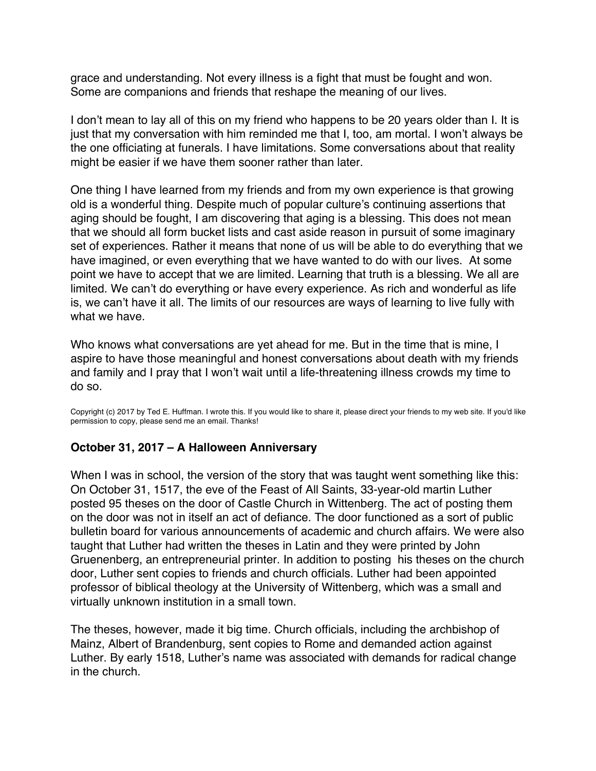<span id="page-65-0"></span>grace and understanding. Not every illness is a fight that must be fought and won. Some are companions and friends that reshape the meaning of our lives.

I don't mean to lay all of this on my friend who happens to be 20 years older than I. It is just that my conversation with him reminded me that I, too, am mortal. I won't always be the one officiating at funerals. I have limitations. Some conversations about that reality might be easier if we have them sooner rather than later.

One thing I have learned from my friends and from my own experience is that growing old is a wonderful thing. Despite much of popular culture's continuing assertions that aging should be fought, I am discovering that aging is a blessing. This does not mean that we should all form bucket lists and cast aside reason in pursuit of some imaginary set of experiences. Rather it means that none of us will be able to do everything that we have imagined, or even everything that we have wanted to do with our lives. At some point we have to accept that we are limited. Learning that truth is a blessing. We all are limited. We can't do everything or have every experience. As rich and wonderful as life is, we can't have it all. The limits of our resources are ways of learning to live fully with what we have.

Who knows what conversations are yet ahead for me. But in the time that is mine, I aspire to have those meaningful and honest conversations about death with my friends and family and I pray that I won't wait until a life-threatening illness crowds my time to do so.

Copyright (c) 2017 by Ted E. Huffman. I wrote this. If you would like to share it, please direct your friends to my web site. If you'd like permission to copy, please send me an email. Thanks!

#### **October 31, 2017 – A Halloween Anniversary**

When I was in school, the version of the story that was taught went something like this: On October 31, 1517, the eve of the Feast of All Saints, 33-year-old martin Luther posted 95 theses on the door of Castle Church in Wittenberg. The act of posting them on the door was not in itself an act of defiance. The door functioned as a sort of public bulletin board for various announcements of academic and church affairs. We were also taught that Luther had written the theses in Latin and they were printed by John Gruenenberg, an entrepreneurial printer. In addition to posting his theses on the church door, Luther sent copies to friends and church officials. Luther had been appointed professor of biblical theology at the University of Wittenberg, which was a small and virtually unknown institution in a small town.

The theses, however, made it big time. Church officials, including the archbishop of Mainz, Albert of Brandenburg, sent copies to Rome and demanded action against Luther. By early 1518, Luther's name was associated with demands for radical change in the church.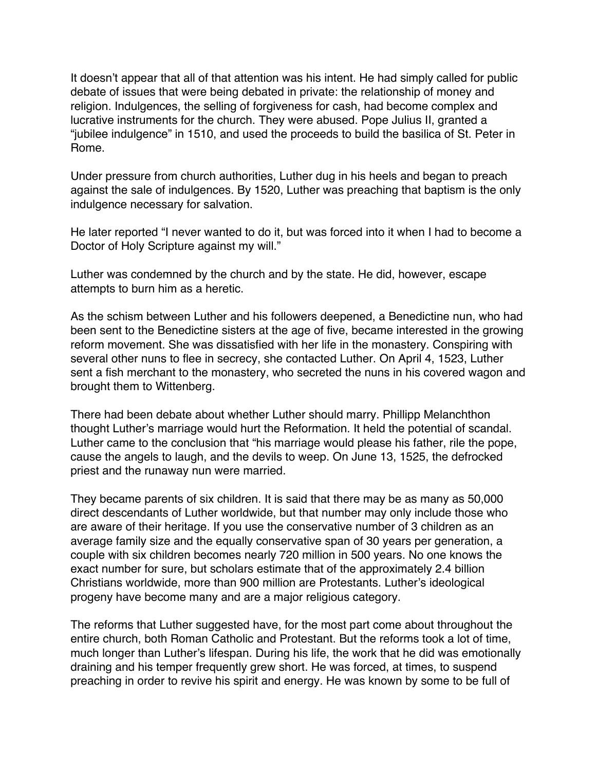It doesn't appear that all of that attention was his intent. He had simply called for public debate of issues that were being debated in private: the relationship of money and religion. Indulgences, the selling of forgiveness for cash, had become complex and lucrative instruments for the church. They were abused. Pope Julius II, granted a "jubilee indulgence" in 1510, and used the proceeds to build the basilica of St. Peter in Rome.

Under pressure from church authorities, Luther dug in his heels and began to preach against the sale of indulgences. By 1520, Luther was preaching that baptism is the only indulgence necessary for salvation.

He later reported "I never wanted to do it, but was forced into it when I had to become a Doctor of Holy Scripture against my will."

Luther was condemned by the church and by the state. He did, however, escape attempts to burn him as a heretic.

As the schism between Luther and his followers deepened, a Benedictine nun, who had been sent to the Benedictine sisters at the age of five, became interested in the growing reform movement. She was dissatisfied with her life in the monastery. Conspiring with several other nuns to flee in secrecy, she contacted Luther. On April 4, 1523, Luther sent a fish merchant to the monastery, who secreted the nuns in his covered wagon and brought them to Wittenberg.

There had been debate about whether Luther should marry. Phillipp Melanchthon thought Luther's marriage would hurt the Reformation. It held the potential of scandal. Luther came to the conclusion that "his marriage would please his father, rile the pope, cause the angels to laugh, and the devils to weep. On June 13, 1525, the defrocked priest and the runaway nun were married.

They became parents of six children. It is said that there may be as many as 50,000 direct descendants of Luther worldwide, but that number may only include those who are aware of their heritage. If you use the conservative number of 3 children as an average family size and the equally conservative span of 30 years per generation, a couple with six children becomes nearly 720 million in 500 years. No one knows the exact number for sure, but scholars estimate that of the approximately 2.4 billion Christians worldwide, more than 900 million are Protestants. Luther's ideological progeny have become many and are a major religious category.

The reforms that Luther suggested have, for the most part come about throughout the entire church, both Roman Catholic and Protestant. But the reforms took a lot of time, much longer than Luther's lifespan. During his life, the work that he did was emotionally draining and his temper frequently grew short. He was forced, at times, to suspend preaching in order to revive his spirit and energy. He was known by some to be full of